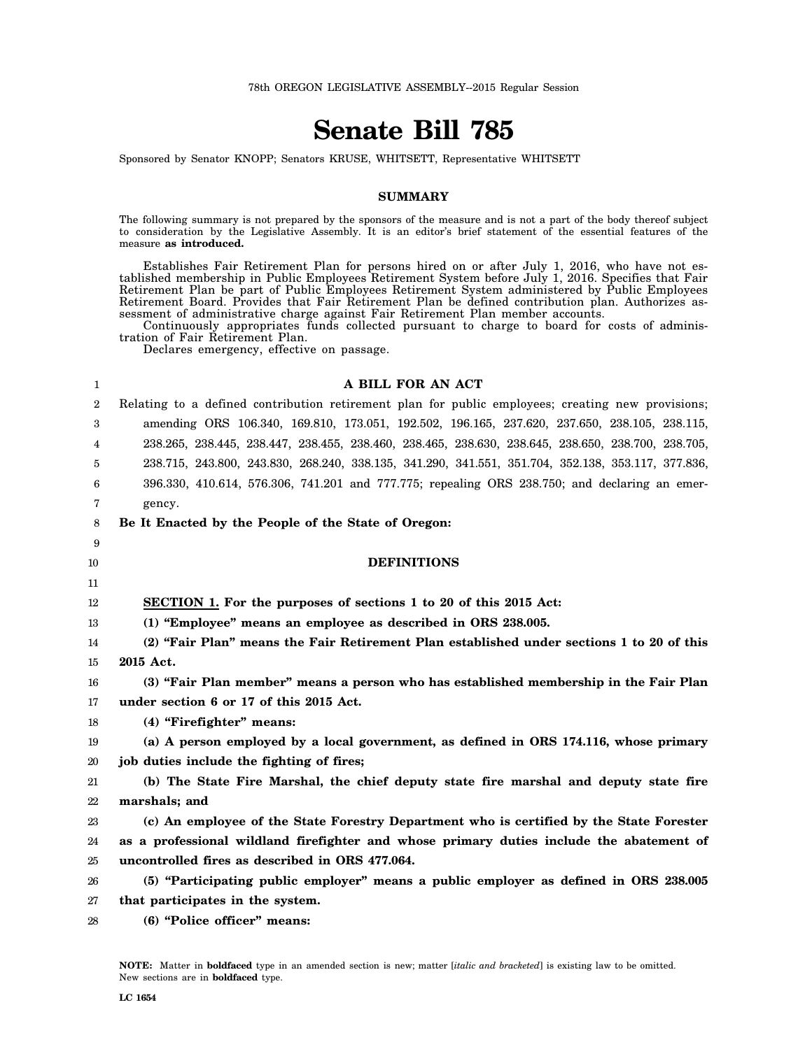# **Senate Bill 785**

Sponsored by Senator KNOPP; Senators KRUSE, WHITSETT, Representative WHITSETT

#### **SUMMARY**

The following summary is not prepared by the sponsors of the measure and is not a part of the body thereof subject to consideration by the Legislative Assembly. It is an editor's brief statement of the essential features of the measure **as introduced.**

Establishes Fair Retirement Plan for persons hired on or after July 1, 2016, who have not established membership in Public Employees Retirement System before July 1, 2016. Specifies that Fair Retirement Plan be part of Public Employees Retirement System administered by Public Employees Retirement Board. Provides that Fair Retirement Plan be defined contribution plan. Authorizes assessment of administrative charge against Fair Retirement Plan member accounts.

Continuously appropriates funds collected pursuant to charge to board for costs of administration of Fair Retirement Plan.

Declares emergency, effective on passage.

| 1              | A BILL FOR AN ACT                                                                                  |
|----------------|----------------------------------------------------------------------------------------------------|
| $\overline{2}$ | Relating to a defined contribution retirement plan for public employees; creating new provisions;  |
| 3              | amending ORS 106.340, 169.810, 173.051, 192.502, 196.165, 237.620, 237.650, 238.105, 238.115,      |
| 4              | 238.265, 238.445, 238.447, 238.455, 238.460, 238.465, 238.630, 238.645, 238.650, 238.700, 238.705, |
| 5              | 238.715, 243.800, 243.830, 268.240, 338.135, 341.290, 341.551, 351.704, 352.138, 353.117, 377.836, |
| 6              | 396.330, 410.614, 576.306, 741.201 and 777.775; repealing ORS 238.750; and declaring an emer-      |
| 7              | gency.                                                                                             |
| 8              | Be It Enacted by the People of the State of Oregon:                                                |
| 9              |                                                                                                    |
| 10             | <b>DEFINITIONS</b>                                                                                 |
| 11             |                                                                                                    |
| 12             | SECTION 1. For the purposes of sections 1 to 20 of this 2015 Act:                                  |
| 13             | (1) "Employee" means an employee as described in ORS 238.005.                                      |
| 14             | (2) "Fair Plan" means the Fair Retirement Plan established under sections 1 to 20 of this          |
| 15             | 2015 Act.                                                                                          |
| 16             | (3) "Fair Plan member" means a person who has established membership in the Fair Plan              |
| 17             | under section 6 or 17 of this 2015 Act.                                                            |
| 18             | (4) "Firefighter" means:                                                                           |
| 19             | (a) A person employed by a local government, as defined in ORS 174.116, whose primary              |
| 20             | job duties include the fighting of fires;                                                          |
| 21             | (b) The State Fire Marshal, the chief deputy state fire marshal and deputy state fire              |
| 22             | marshals; and                                                                                      |
| 23             | (c) An employee of the State Forestry Department who is certified by the State Forester            |
| 24             | as a professional wildland firefighter and whose primary duties include the abatement of           |
| 25             | uncontrolled fires as described in ORS 477.064.                                                    |
| 26             | (5) "Participating public employer" means a public employer as defined in ORS 238.005              |
| 27             | that participates in the system.                                                                   |
| 28             | (6) "Police officer" means:                                                                        |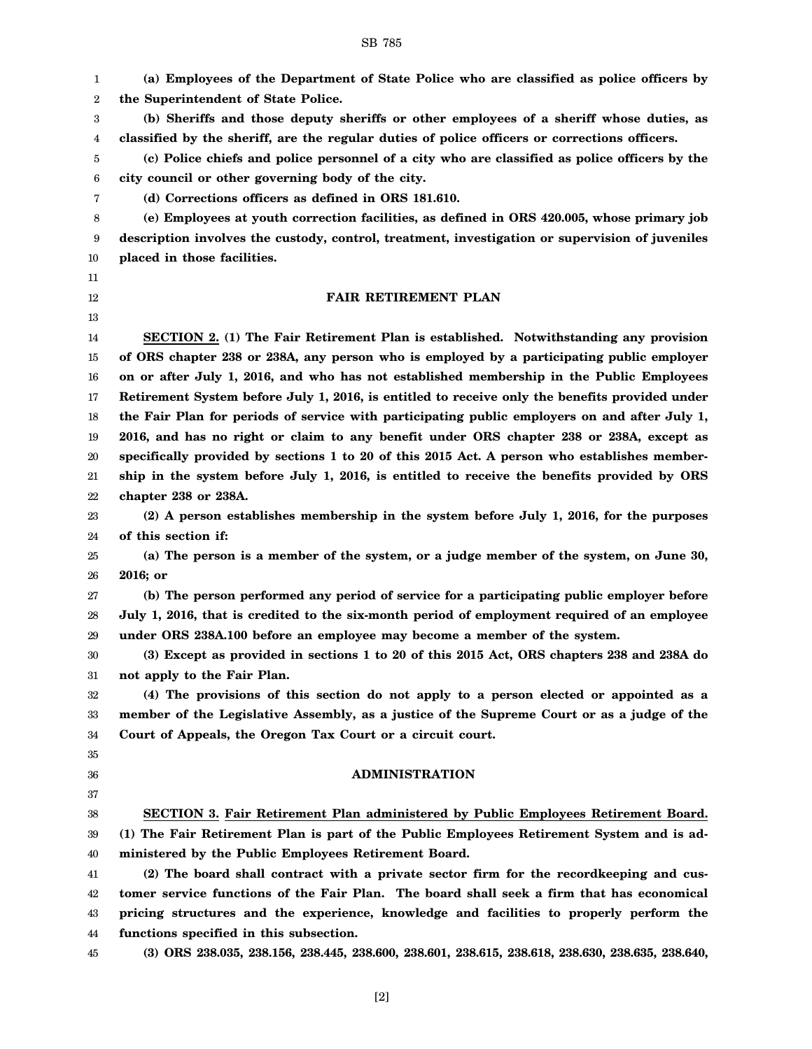1 2 3 4 5 6 7 8 9 10 11 12 13 14 15 16 17 18 19 20 21 22 23 24 25 26 27 28 29 30 31 32 33 34 35 36 37 38 39 40 41 42 43 44 45 **(a) Employees of the Department of State Police who are classified as police officers by the Superintendent of State Police. (b) Sheriffs and those deputy sheriffs or other employees of a sheriff whose duties, as classified by the sheriff, are the regular duties of police officers or corrections officers. (c) Police chiefs and police personnel of a city who are classified as police officers by the city council or other governing body of the city. (d) Corrections officers as defined in ORS 181.610. (e) Employees at youth correction facilities, as defined in ORS 420.005, whose primary job description involves the custody, control, treatment, investigation or supervision of juveniles placed in those facilities. FAIR RETIREMENT PLAN SECTION 2. (1) The Fair Retirement Plan is established. Notwithstanding any provision of ORS chapter 238 or 238A, any person who is employed by a participating public employer on or after July 1, 2016, and who has not established membership in the Public Employees Retirement System before July 1, 2016, is entitled to receive only the benefits provided under the Fair Plan for periods of service with participating public employers on and after July 1, 2016, and has no right or claim to any benefit under ORS chapter 238 or 238A, except as specifically provided by sections 1 to 20 of this 2015 Act. A person who establishes membership in the system before July 1, 2016, is entitled to receive the benefits provided by ORS chapter 238 or 238A. (2) A person establishes membership in the system before July 1, 2016, for the purposes of this section if: (a) The person is a member of the system, or a judge member of the system, on June 30, 2016; or (b) The person performed any period of service for a participating public employer before July 1, 2016, that is credited to the six-month period of employment required of an employee under ORS 238A.100 before an employee may become a member of the system. (3) Except as provided in sections 1 to 20 of this 2015 Act, ORS chapters 238 and 238A do not apply to the Fair Plan. (4) The provisions of this section do not apply to a person elected or appointed as a member of the Legislative Assembly, as a justice of the Supreme Court or as a judge of the Court of Appeals, the Oregon Tax Court or a circuit court. ADMINISTRATION SECTION 3. Fair Retirement Plan administered by Public Employees Retirement Board. (1) The Fair Retirement Plan is part of the Public Employees Retirement System and is administered by the Public Employees Retirement Board. (2) The board shall contract with a private sector firm for the recordkeeping and customer service functions of the Fair Plan. The board shall seek a firm that has economical pricing structures and the experience, knowledge and facilities to properly perform the functions specified in this subsection. (3) ORS 238.035, 238.156, 238.445, 238.600, 238.601, 238.615, 238.618, 238.630, 238.635, 238.640,**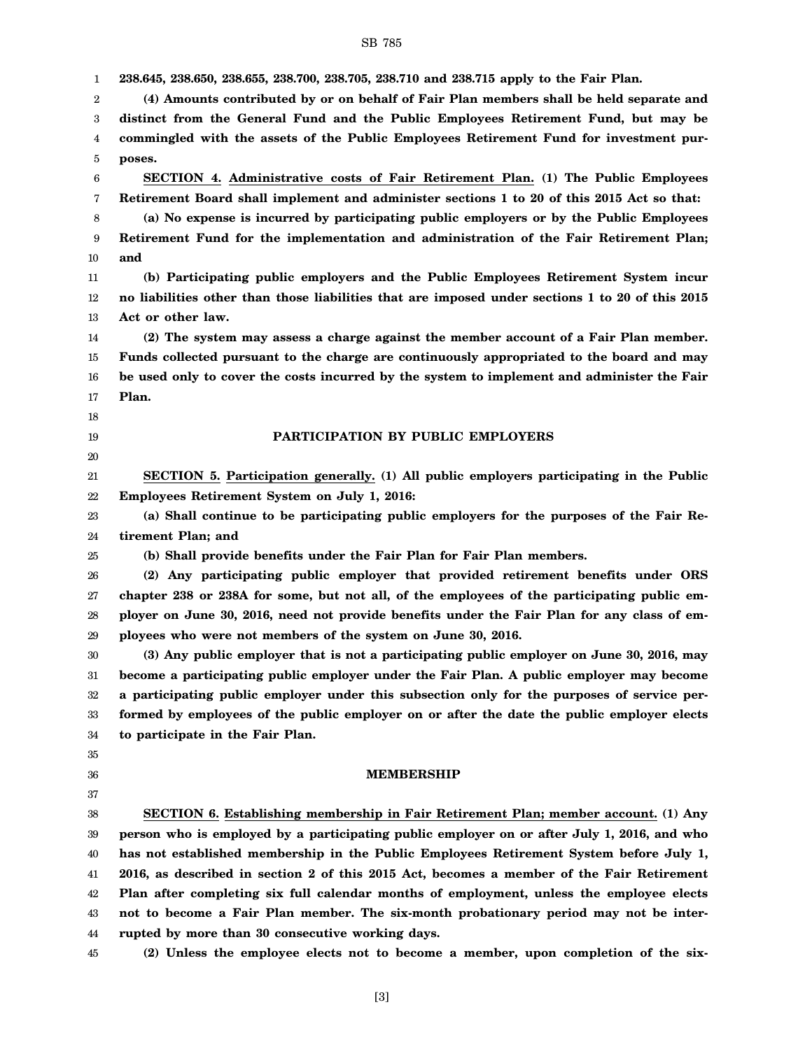1 2 3 4 5 6 7 8 9 10 11 12 13 14 15 16 17 18 19 20 21 22 23 24 25 26 27 28 29 30 31 32 33 34 35 36 37 38 39 40 41 42 43 44 45 **238.645, 238.650, 238.655, 238.700, 238.705, 238.710 and 238.715 apply to the Fair Plan. (4) Amounts contributed by or on behalf of Fair Plan members shall be held separate and distinct from the General Fund and the Public Employees Retirement Fund, but may be commingled with the assets of the Public Employees Retirement Fund for investment purposes. SECTION 4. Administrative costs of Fair Retirement Plan. (1) The Public Employees Retirement Board shall implement and administer sections 1 to 20 of this 2015 Act so that: (a) No expense is incurred by participating public employers or by the Public Employees Retirement Fund for the implementation and administration of the Fair Retirement Plan; and (b) Participating public employers and the Public Employees Retirement System incur no liabilities other than those liabilities that are imposed under sections 1 to 20 of this 2015 Act or other law. (2) The system may assess a charge against the member account of a Fair Plan member. Funds collected pursuant to the charge are continuously appropriated to the board and may be used only to cover the costs incurred by the system to implement and administer the Fair Plan. PARTICIPATION BY PUBLIC EMPLOYERS SECTION 5. Participation generally. (1) All public employers participating in the Public Employees Retirement System on July 1, 2016: (a) Shall continue to be participating public employers for the purposes of the Fair Retirement Plan; and (b) Shall provide benefits under the Fair Plan for Fair Plan members. (2) Any participating public employer that provided retirement benefits under ORS chapter 238 or 238A for some, but not all, of the employees of the participating public employer on June 30, 2016, need not provide benefits under the Fair Plan for any class of employees who were not members of the system on June 30, 2016. (3) Any public employer that is not a participating public employer on June 30, 2016, may become a participating public employer under the Fair Plan. A public employer may become a participating public employer under this subsection only for the purposes of service performed by employees of the public employer on or after the date the public employer elects to participate in the Fair Plan. MEMBERSHIP SECTION 6. Establishing membership in Fair Retirement Plan; member account. (1) Any person who is employed by a participating public employer on or after July 1, 2016, and who has not established membership in the Public Employees Retirement System before July 1, 2016, as described in section 2 of this 2015 Act, becomes a member of the Fair Retirement Plan after completing six full calendar months of employment, unless the employee elects not to become a Fair Plan member. The six-month probationary period may not be interrupted by more than 30 consecutive working days. (2) Unless the employee elects not to become a member, upon completion of the six-**

SB 785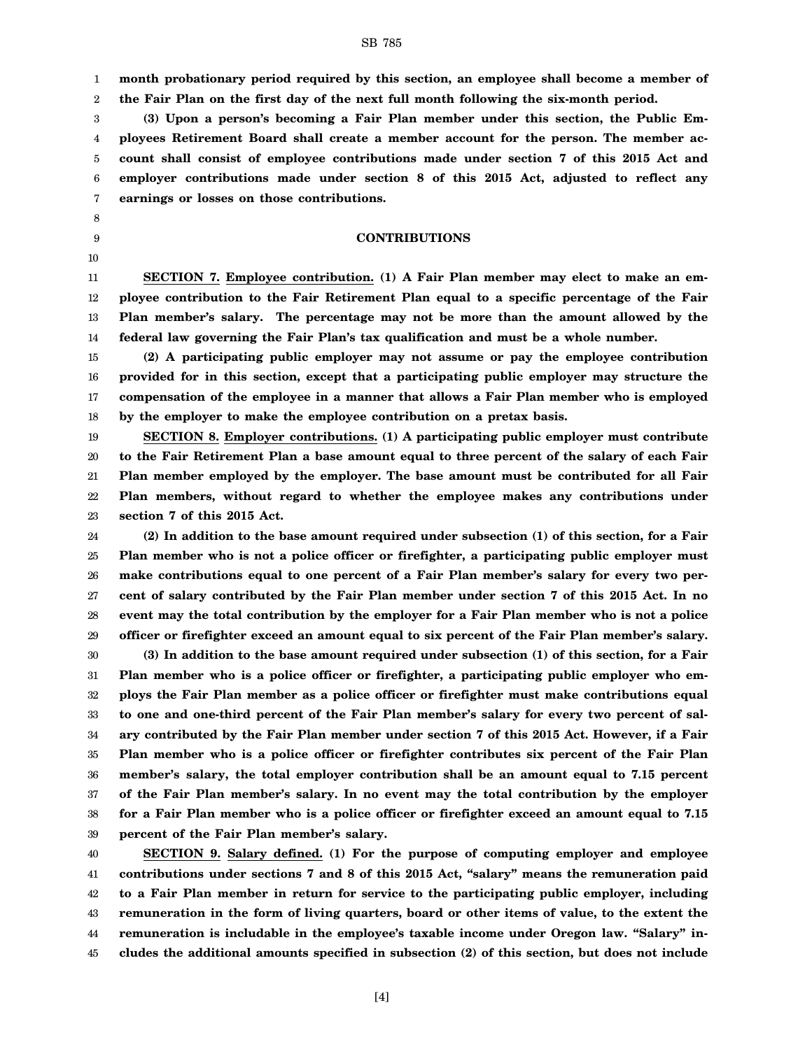1 2 **month probationary period required by this section, an employee shall become a member of the Fair Plan on the first day of the next full month following the six-month period.**

3 4 5 6 7 **(3) Upon a person's becoming a Fair Plan member under this section, the Public Employees Retirement Board shall create a member account for the person. The member account shall consist of employee contributions made under section 7 of this 2015 Act and employer contributions made under section 8 of this 2015 Act, adjusted to reflect any earnings or losses on those contributions.**

8 9 10

#### **CONTRIBUTIONS**

11 12 13 14 **SECTION 7. Employee contribution. (1) A Fair Plan member may elect to make an employee contribution to the Fair Retirement Plan equal to a specific percentage of the Fair Plan member's salary. The percentage may not be more than the amount allowed by the federal law governing the Fair Plan's tax qualification and must be a whole number.**

15 16 17 18 **(2) A participating public employer may not assume or pay the employee contribution provided for in this section, except that a participating public employer may structure the compensation of the employee in a manner that allows a Fair Plan member who is employed by the employer to make the employee contribution on a pretax basis.**

19 20 21 22 23 **SECTION 8. Employer contributions. (1) A participating public employer must contribute to the Fair Retirement Plan a base amount equal to three percent of the salary of each Fair Plan member employed by the employer. The base amount must be contributed for all Fair Plan members, without regard to whether the employee makes any contributions under section 7 of this 2015 Act.**

24 25 26 27 28 29 **(2) In addition to the base amount required under subsection (1) of this section, for a Fair Plan member who is not a police officer or firefighter, a participating public employer must make contributions equal to one percent of a Fair Plan member's salary for every two percent of salary contributed by the Fair Plan member under section 7 of this 2015 Act. In no event may the total contribution by the employer for a Fair Plan member who is not a police officer or firefighter exceed an amount equal to six percent of the Fair Plan member's salary.**

30 31 32 33 34 35 36 37 38 39 **(3) In addition to the base amount required under subsection (1) of this section, for a Fair Plan member who is a police officer or firefighter, a participating public employer who employs the Fair Plan member as a police officer or firefighter must make contributions equal to one and one-third percent of the Fair Plan member's salary for every two percent of salary contributed by the Fair Plan member under section 7 of this 2015 Act. However, if a Fair Plan member who is a police officer or firefighter contributes six percent of the Fair Plan member's salary, the total employer contribution shall be an amount equal to 7.15 percent of the Fair Plan member's salary. In no event may the total contribution by the employer for a Fair Plan member who is a police officer or firefighter exceed an amount equal to 7.15 percent of the Fair Plan member's salary.**

40 41 42 43 44 45 **SECTION 9. Salary defined. (1) For the purpose of computing employer and employee contributions under sections 7 and 8 of this 2015 Act, "salary" means the remuneration paid to a Fair Plan member in return for service to the participating public employer, including remuneration in the form of living quarters, board or other items of value, to the extent the remuneration is includable in the employee's taxable income under Oregon law. "Salary" includes the additional amounts specified in subsection (2) of this section, but does not include**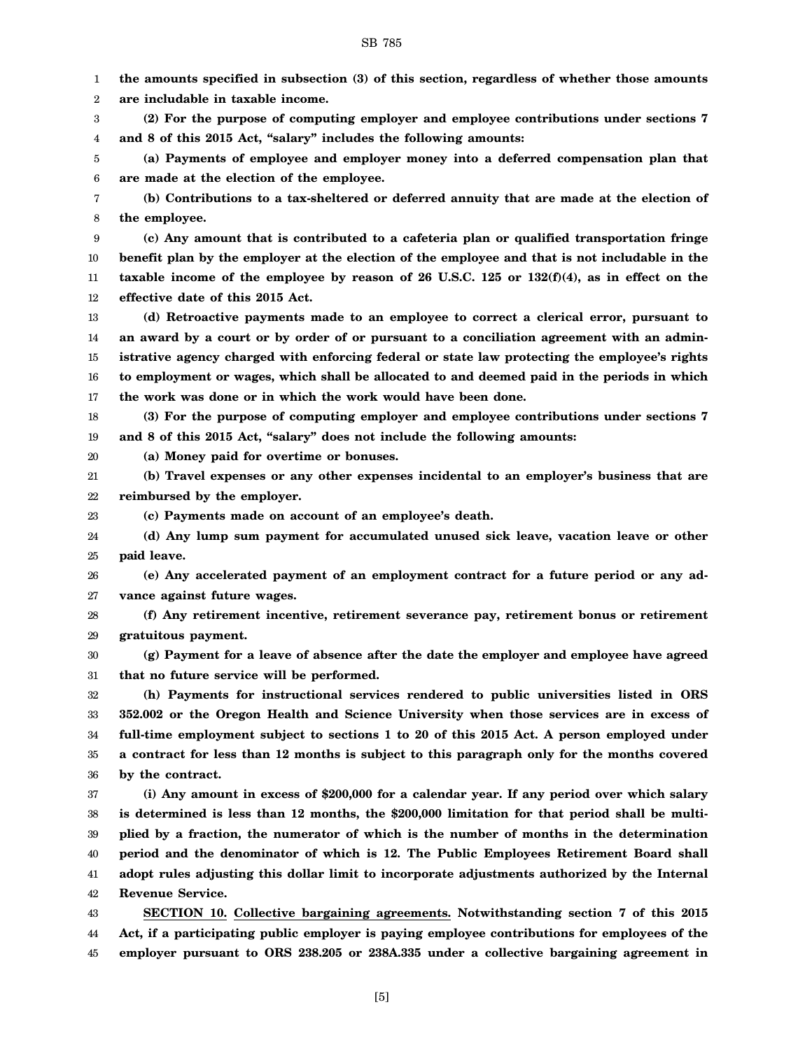1 2 3 4 5 6 7 8 9 10 11 12 13 14 15 16 17 18 19 20 21 22 23 24 25 26 27 28 29 30 31 32 33 34 35 36 37 38 39 40 41 42 43 **the amounts specified in subsection (3) of this section, regardless of whether those amounts are includable in taxable income. (2) For the purpose of computing employer and employee contributions under sections 7 and 8 of this 2015 Act, "salary" includes the following amounts: (a) Payments of employee and employer money into a deferred compensation plan that are made at the election of the employee. (b) Contributions to a tax-sheltered or deferred annuity that are made at the election of the employee. (c) Any amount that is contributed to a cafeteria plan or qualified transportation fringe benefit plan by the employer at the election of the employee and that is not includable in the taxable income of the employee by reason of 26 U.S.C. 125 or 132(f)(4), as in effect on the effective date of this 2015 Act. (d) Retroactive payments made to an employee to correct a clerical error, pursuant to an award by a court or by order of or pursuant to a conciliation agreement with an administrative agency charged with enforcing federal or state law protecting the employee's rights to employment or wages, which shall be allocated to and deemed paid in the periods in which the work was done or in which the work would have been done. (3) For the purpose of computing employer and employee contributions under sections 7 and 8 of this 2015 Act, "salary" does not include the following amounts: (a) Money paid for overtime or bonuses. (b) Travel expenses or any other expenses incidental to an employer's business that are reimbursed by the employer. (c) Payments made on account of an employee's death. (d) Any lump sum payment for accumulated unused sick leave, vacation leave or other paid leave. (e) Any accelerated payment of an employment contract for a future period or any advance against future wages. (f) Any retirement incentive, retirement severance pay, retirement bonus or retirement gratuitous payment. (g) Payment for a leave of absence after the date the employer and employee have agreed that no future service will be performed. (h) Payments for instructional services rendered to public universities listed in ORS 352.002 or the Oregon Health and Science University when those services are in excess of full-time employment subject to sections 1 to 20 of this 2015 Act. A person employed under a contract for less than 12 months is subject to this paragraph only for the months covered by the contract. (i) Any amount in excess of \$200,000 for a calendar year. If any period over which salary is determined is less than 12 months, the \$200,000 limitation for that period shall be multiplied by a fraction, the numerator of which is the number of months in the determination period and the denominator of which is 12. The Public Employees Retirement Board shall adopt rules adjusting this dollar limit to incorporate adjustments authorized by the Internal Revenue Service. SECTION 10. Collective bargaining agreements. Notwithstanding section 7 of this 2015**

SB 785

44 45 **Act, if a participating public employer is paying employee contributions for employees of the employer pursuant to ORS 238.205 or 238A.335 under a collective bargaining agreement in**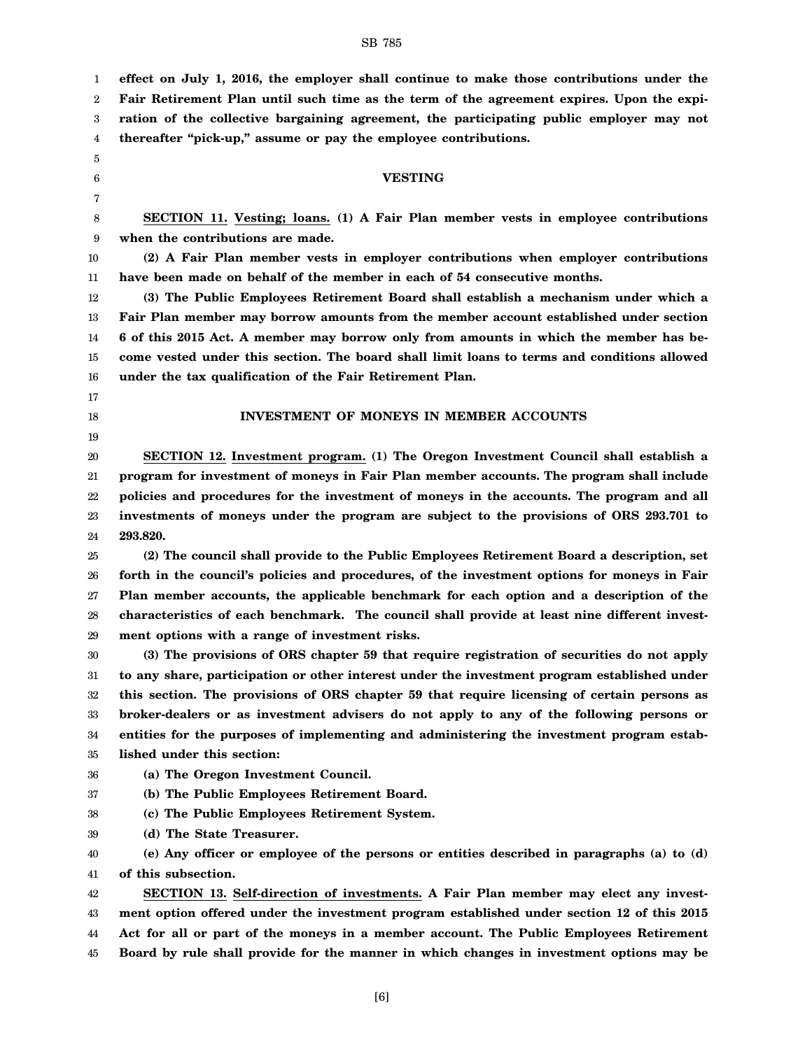**ration of the collective bargaining agreement, the participating public employer may not thereafter "pick-up," assume or pay the employee contributions.**

**effect on July 1, 2016, the employer shall continue to make those contributions under the Fair Retirement Plan until such time as the term of the agreement expires. Upon the expi-**

**SECTION 11. Vesting; loans. (1) A Fair Plan member vests in employee contributions when the contributions are made.**

**VESTING**

10 11 **(2) A Fair Plan member vests in employer contributions when employer contributions have been made on behalf of the member in each of 54 consecutive months.**

12 13 14 15 16 **(3) The Public Employees Retirement Board shall establish a mechanism under which a Fair Plan member may borrow amounts from the member account established under section 6 of this 2015 Act. A member may borrow only from amounts in which the member has become vested under this section. The board shall limit loans to terms and conditions allowed under the tax qualification of the Fair Retirement Plan.**

17

18 19

### **INVESTMENT OF MONEYS IN MEMBER ACCOUNTS**

20 21 22 23 24 **SECTION 12. Investment program. (1) The Oregon Investment Council shall establish a program for investment of moneys in Fair Plan member accounts. The program shall include policies and procedures for the investment of moneys in the accounts. The program and all investments of moneys under the program are subject to the provisions of ORS 293.701 to 293.820.**

25 26 27 28 29 **(2) The council shall provide to the Public Employees Retirement Board a description, set forth in the council's policies and procedures, of the investment options for moneys in Fair Plan member accounts, the applicable benchmark for each option and a description of the characteristics of each benchmark. The council shall provide at least nine different investment options with a range of investment risks.**

30 31 32 33 34 35 **(3) The provisions of ORS chapter 59 that require registration of securities do not apply to any share, participation or other interest under the investment program established under this section. The provisions of ORS chapter 59 that require licensing of certain persons as broker-dealers or as investment advisers do not apply to any of the following persons or entities for the purposes of implementing and administering the investment program established under this section:**

36 **(a) The Oregon Investment Council.**

37 **(b) The Public Employees Retirement Board.**

38 **(c) The Public Employees Retirement System.**

39 **(d) The State Treasurer.**

40 41 **(e) Any officer or employee of the persons or entities described in paragraphs (a) to (d) of this subsection.**

42 43 44 45 **SECTION 13. Self-direction of investments. A Fair Plan member may elect any investment option offered under the investment program established under section 12 of this 2015 Act for all or part of the moneys in a member account. The Public Employees Retirement Board by rule shall provide for the manner in which changes in investment options may be**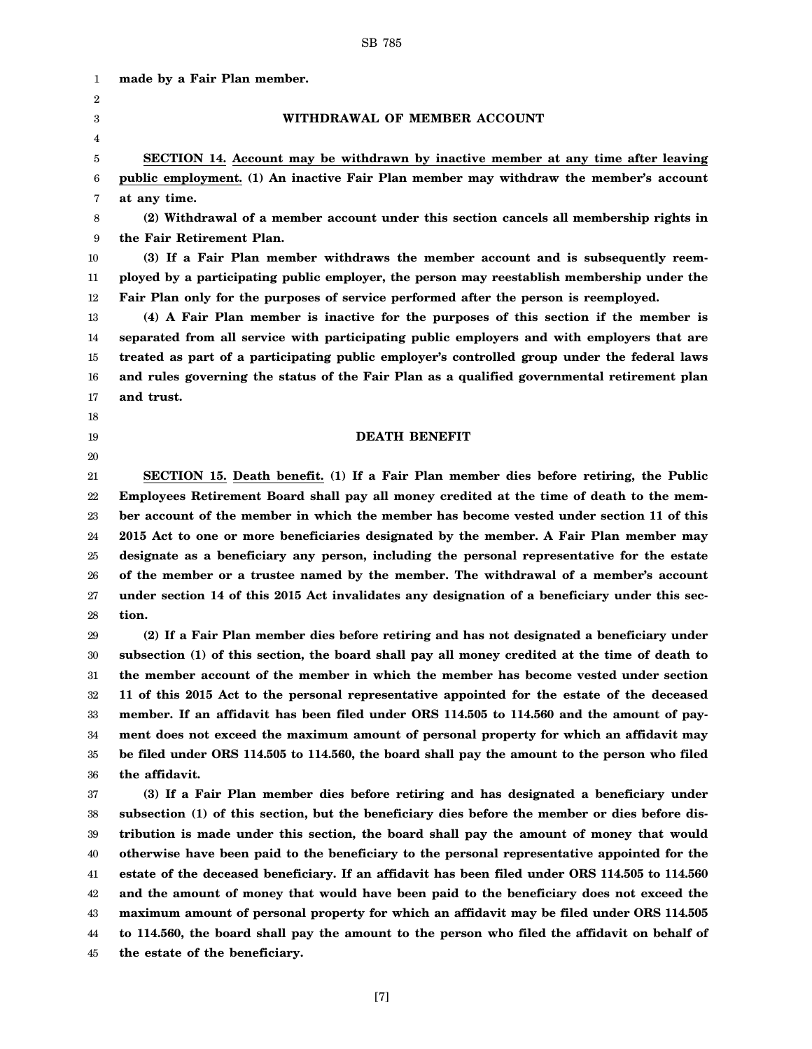2 3 4 5 6 7 8 9 10 11 12 13 14 15 16 17 18 19 20 21 22 23 24 25 26 27 28 29 30 31 32 33 34 35 36 37 38 39 40 41 42 43 44 45 **made by a Fair Plan member. WITHDRAWAL OF MEMBER ACCOUNT SECTION 14. Account may be withdrawn by inactive member at any time after leaving public employment. (1) An inactive Fair Plan member may withdraw the member's account at any time. (2) Withdrawal of a member account under this section cancels all membership rights in the Fair Retirement Plan. (3) If a Fair Plan member withdraws the member account and is subsequently reemployed by a participating public employer, the person may reestablish membership under the Fair Plan only for the purposes of service performed after the person is reemployed. (4) A Fair Plan member is inactive for the purposes of this section if the member is separated from all service with participating public employers and with employers that are treated as part of a participating public employer's controlled group under the federal laws and rules governing the status of the Fair Plan as a qualified governmental retirement plan and trust. DEATH BENEFIT SECTION 15. Death benefit. (1) If a Fair Plan member dies before retiring, the Public Employees Retirement Board shall pay all money credited at the time of death to the member account of the member in which the member has become vested under section 11 of this 2015 Act to one or more beneficiaries designated by the member. A Fair Plan member may designate as a beneficiary any person, including the personal representative for the estate of the member or a trustee named by the member. The withdrawal of a member's account under section 14 of this 2015 Act invalidates any designation of a beneficiary under this section. (2) If a Fair Plan member dies before retiring and has not designated a beneficiary under subsection (1) of this section, the board shall pay all money credited at the time of death to the member account of the member in which the member has become vested under section 11 of this 2015 Act to the personal representative appointed for the estate of the deceased member. If an affidavit has been filed under ORS 114.505 to 114.560 and the amount of payment does not exceed the maximum amount of personal property for which an affidavit may be filed under ORS 114.505 to 114.560, the board shall pay the amount to the person who filed the affidavit. (3) If a Fair Plan member dies before retiring and has designated a beneficiary under subsection (1) of this section, but the beneficiary dies before the member or dies before distribution is made under this section, the board shall pay the amount of money that would otherwise have been paid to the beneficiary to the personal representative appointed for the estate of the deceased beneficiary. If an affidavit has been filed under ORS 114.505 to 114.560 and the amount of money that would have been paid to the beneficiary does not exceed the maximum amount of personal property for which an affidavit may be filed under ORS 114.505 to 114.560, the board shall pay the amount to the person who filed the affidavit on behalf of the estate of the beneficiary.**

1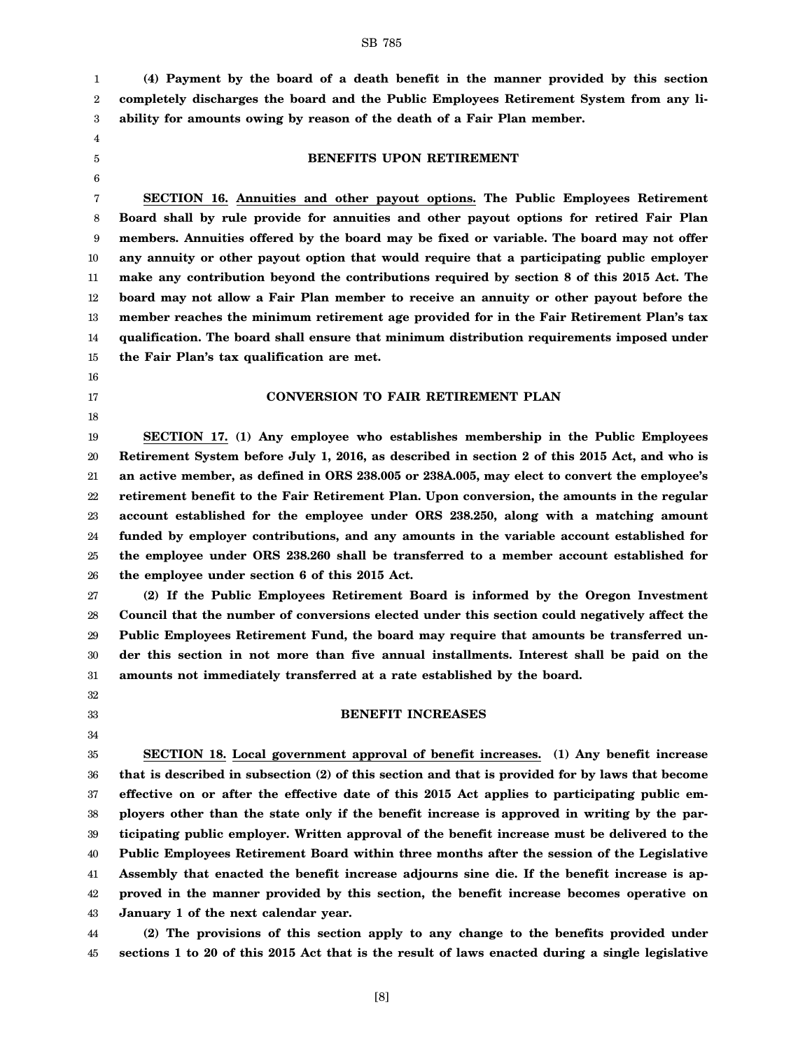1 2 3 **(4) Payment by the board of a death benefit in the manner provided by this section completely discharges the board and the Public Employees Retirement System from any liability for amounts owing by reason of the death of a Fair Plan member.**

- 4 5
- 6

16 17 18

32 33 34

#### **BENEFITS UPON RETIREMENT**

7 8 9 10 11 12 13 14 15 **SECTION 16. Annuities and other payout options. The Public Employees Retirement Board shall by rule provide for annuities and other payout options for retired Fair Plan members. Annuities offered by the board may be fixed or variable. The board may not offer any annuity or other payout option that would require that a participating public employer make any contribution beyond the contributions required by section 8 of this 2015 Act. The board may not allow a Fair Plan member to receive an annuity or other payout before the member reaches the minimum retirement age provided for in the Fair Retirement Plan's tax qualification. The board shall ensure that minimum distribution requirements imposed under the Fair Plan's tax qualification are met.**

#### **CONVERSION TO FAIR RETIREMENT PLAN**

19 20 21 22 23 24 25 26 **SECTION 17. (1) Any employee who establishes membership in the Public Employees Retirement System before July 1, 2016, as described in section 2 of this 2015 Act, and who is an active member, as defined in ORS 238.005 or 238A.005, may elect to convert the employee's retirement benefit to the Fair Retirement Plan. Upon conversion, the amounts in the regular account established for the employee under ORS 238.250, along with a matching amount funded by employer contributions, and any amounts in the variable account established for the employee under ORS 238.260 shall be transferred to a member account established for the employee under section 6 of this 2015 Act.**

27 28 29 30 31 **(2) If the Public Employees Retirement Board is informed by the Oregon Investment Council that the number of conversions elected under this section could negatively affect the Public Employees Retirement Fund, the board may require that amounts be transferred under this section in not more than five annual installments. Interest shall be paid on the amounts not immediately transferred at a rate established by the board.**

#### **BENEFIT INCREASES**

35 36 37 38 39 40 41 42 43 **SECTION 18. Local government approval of benefit increases. (1) Any benefit increase that is described in subsection (2) of this section and that is provided for by laws that become effective on or after the effective date of this 2015 Act applies to participating public employers other than the state only if the benefit increase is approved in writing by the participating public employer. Written approval of the benefit increase must be delivered to the Public Employees Retirement Board within three months after the session of the Legislative Assembly that enacted the benefit increase adjourns sine die. If the benefit increase is approved in the manner provided by this section, the benefit increase becomes operative on January 1 of the next calendar year.**

44 45 **(2) The provisions of this section apply to any change to the benefits provided under sections 1 to 20 of this 2015 Act that is the result of laws enacted during a single legislative**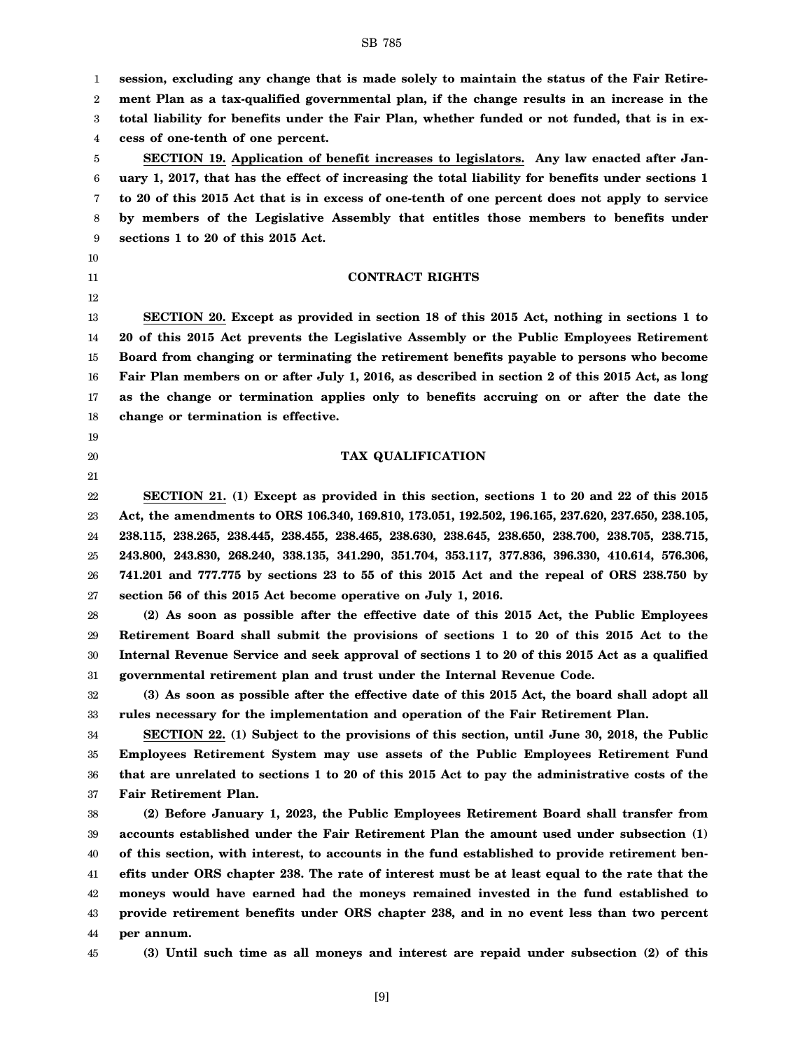1 2 3 4 5 6 7 8 9 10 11 12 13 14 15 16 17 18 19 20 21 22 23 24 25 26 27 28 29 30 31 32 33 34 35 36 37 38 39 40 **session, excluding any change that is made solely to maintain the status of the Fair Retirement Plan as a tax-qualified governmental plan, if the change results in an increase in the total liability for benefits under the Fair Plan, whether funded or not funded, that is in excess of one-tenth of one percent. SECTION 19. Application of benefit increases to legislators. Any law enacted after January 1, 2017, that has the effect of increasing the total liability for benefits under sections 1 to 20 of this 2015 Act that is in excess of one-tenth of one percent does not apply to service by members of the Legislative Assembly that entitles those members to benefits under sections 1 to 20 of this 2015 Act. CONTRACT RIGHTS SECTION 20. Except as provided in section 18 of this 2015 Act, nothing in sections 1 to 20 of this 2015 Act prevents the Legislative Assembly or the Public Employees Retirement Board from changing or terminating the retirement benefits payable to persons who become Fair Plan members on or after July 1, 2016, as described in section 2 of this 2015 Act, as long as the change or termination applies only to benefits accruing on or after the date the change or termination is effective. TAX QUALIFICATION SECTION 21. (1) Except as provided in this section, sections 1 to 20 and 22 of this 2015 Act, the amendments to ORS 106.340, 169.810, 173.051, 192.502, 196.165, 237.620, 237.650, 238.105, 238.115, 238.265, 238.445, 238.455, 238.465, 238.630, 238.645, 238.650, 238.700, 238.705, 238.715, 243.800, 243.830, 268.240, 338.135, 341.290, 351.704, 353.117, 377.836, 396.330, 410.614, 576.306, 741.201 and 777.775 by sections 23 to 55 of this 2015 Act and the repeal of ORS 238.750 by section 56 of this 2015 Act become operative on July 1, 2016. (2) As soon as possible after the effective date of this 2015 Act, the Public Employees Retirement Board shall submit the provisions of sections 1 to 20 of this 2015 Act to the Internal Revenue Service and seek approval of sections 1 to 20 of this 2015 Act as a qualified governmental retirement plan and trust under the Internal Revenue Code. (3) As soon as possible after the effective date of this 2015 Act, the board shall adopt all rules necessary for the implementation and operation of the Fair Retirement Plan. SECTION 22. (1) Subject to the provisions of this section, until June 30, 2018, the Public Employees Retirement System may use assets of the Public Employees Retirement Fund that are unrelated to sections 1 to 20 of this 2015 Act to pay the administrative costs of the Fair Retirement Plan. (2) Before January 1, 2023, the Public Employees Retirement Board shall transfer from accounts established under the Fair Retirement Plan the amount used under subsection (1) of this section, with interest, to accounts in the fund established to provide retirement ben-**

42 43 44 **moneys would have earned had the moneys remained invested in the fund established to provide retirement benefits under ORS chapter 238, and in no event less than two percent per annum.**

[9]

45

41

**(3) Until such time as all moneys and interest are repaid under subsection (2) of this**

**efits under ORS chapter 238. The rate of interest must be at least equal to the rate that the**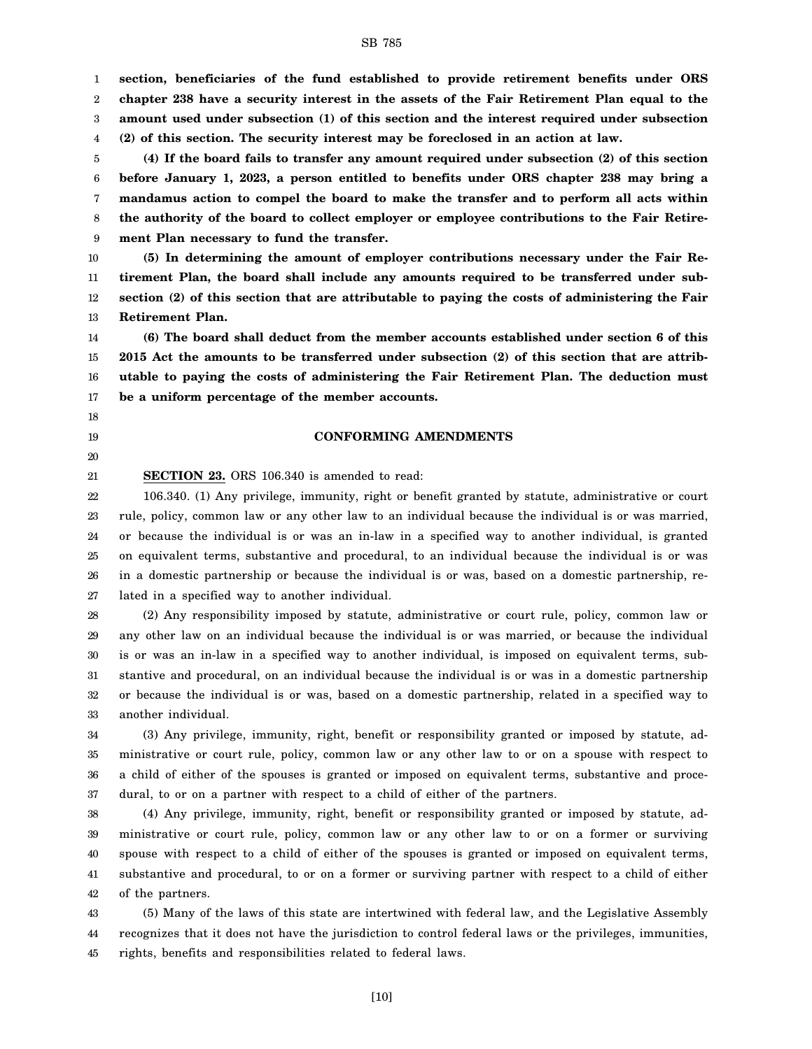1 2 3 4 **section, beneficiaries of the fund established to provide retirement benefits under ORS chapter 238 have a security interest in the assets of the Fair Retirement Plan equal to the amount used under subsection (1) of this section and the interest required under subsection (2) of this section. The security interest may be foreclosed in an action at law.**

5 6 7 8 9 **(4) If the board fails to transfer any amount required under subsection (2) of this section before January 1, 2023, a person entitled to benefits under ORS chapter 238 may bring a mandamus action to compel the board to make the transfer and to perform all acts within the authority of the board to collect employer or employee contributions to the Fair Retirement Plan necessary to fund the transfer.**

10 11 12 13 **(5) In determining the amount of employer contributions necessary under the Fair Retirement Plan, the board shall include any amounts required to be transferred under subsection (2) of this section that are attributable to paying the costs of administering the Fair Retirement Plan.**

14 15 16 17 **(6) The board shall deduct from the member accounts established under section 6 of this 2015 Act the amounts to be transferred under subsection (2) of this section that are attributable to paying the costs of administering the Fair Retirement Plan. The deduction must be a uniform percentage of the member accounts.**

#### **CONFORMING AMENDMENTS**

21 **SECTION 23.** ORS 106.340 is amended to read:

18 19 20

22 23 24 25 26 27 106.340. (1) Any privilege, immunity, right or benefit granted by statute, administrative or court rule, policy, common law or any other law to an individual because the individual is or was married, or because the individual is or was an in-law in a specified way to another individual, is granted on equivalent terms, substantive and procedural, to an individual because the individual is or was in a domestic partnership or because the individual is or was, based on a domestic partnership, related in a specified way to another individual.

28 29 30 31 32 33 (2) Any responsibility imposed by statute, administrative or court rule, policy, common law or any other law on an individual because the individual is or was married, or because the individual is or was an in-law in a specified way to another individual, is imposed on equivalent terms, substantive and procedural, on an individual because the individual is or was in a domestic partnership or because the individual is or was, based on a domestic partnership, related in a specified way to another individual.

34 35 36 37 (3) Any privilege, immunity, right, benefit or responsibility granted or imposed by statute, administrative or court rule, policy, common law or any other law to or on a spouse with respect to a child of either of the spouses is granted or imposed on equivalent terms, substantive and procedural, to or on a partner with respect to a child of either of the partners.

38 39 40 41 42 (4) Any privilege, immunity, right, benefit or responsibility granted or imposed by statute, administrative or court rule, policy, common law or any other law to or on a former or surviving spouse with respect to a child of either of the spouses is granted or imposed on equivalent terms, substantive and procedural, to or on a former or surviving partner with respect to a child of either of the partners.

43 44 45 (5) Many of the laws of this state are intertwined with federal law, and the Legislative Assembly recognizes that it does not have the jurisdiction to control federal laws or the privileges, immunities, rights, benefits and responsibilities related to federal laws.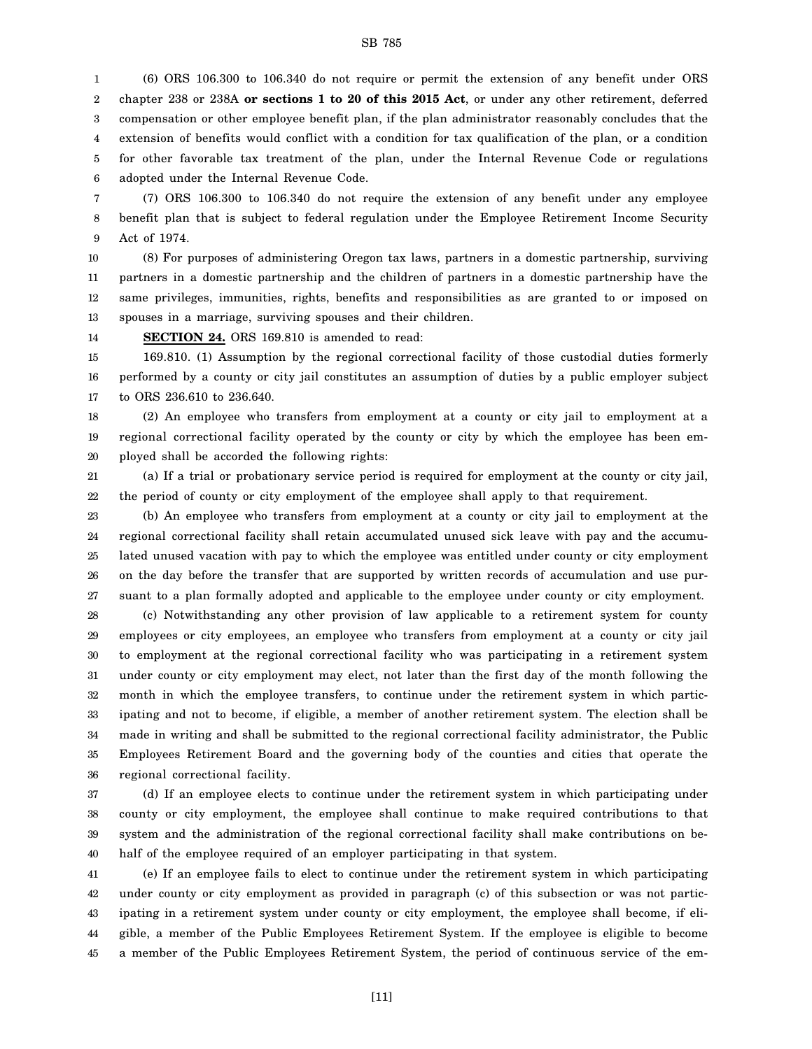1 2 3 4 5 6 (6) ORS 106.300 to 106.340 do not require or permit the extension of any benefit under ORS chapter 238 or 238A **or sections 1 to 20 of this 2015 Act**, or under any other retirement, deferred compensation or other employee benefit plan, if the plan administrator reasonably concludes that the extension of benefits would conflict with a condition for tax qualification of the plan, or a condition for other favorable tax treatment of the plan, under the Internal Revenue Code or regulations adopted under the Internal Revenue Code.

7 8 9 (7) ORS 106.300 to 106.340 do not require the extension of any benefit under any employee benefit plan that is subject to federal regulation under the Employee Retirement Income Security Act of 1974.

10 11 12 13 (8) For purposes of administering Oregon tax laws, partners in a domestic partnership, surviving partners in a domestic partnership and the children of partners in a domestic partnership have the same privileges, immunities, rights, benefits and responsibilities as are granted to or imposed on spouses in a marriage, surviving spouses and their children.

14 **SECTION 24.** ORS 169.810 is amended to read:

15 16 17 169.810. (1) Assumption by the regional correctional facility of those custodial duties formerly performed by a county or city jail constitutes an assumption of duties by a public employer subject to ORS 236.610 to 236.640.

18 19 20 (2) An employee who transfers from employment at a county or city jail to employment at a regional correctional facility operated by the county or city by which the employee has been employed shall be accorded the following rights:

21 22 (a) If a trial or probationary service period is required for employment at the county or city jail, the period of county or city employment of the employee shall apply to that requirement.

23 24 25 26 27 (b) An employee who transfers from employment at a county or city jail to employment at the regional correctional facility shall retain accumulated unused sick leave with pay and the accumulated unused vacation with pay to which the employee was entitled under county or city employment on the day before the transfer that are supported by written records of accumulation and use pursuant to a plan formally adopted and applicable to the employee under county or city employment.

28 29 30 31 32 33 34 35 36 (c) Notwithstanding any other provision of law applicable to a retirement system for county employees or city employees, an employee who transfers from employment at a county or city jail to employment at the regional correctional facility who was participating in a retirement system under county or city employment may elect, not later than the first day of the month following the month in which the employee transfers, to continue under the retirement system in which participating and not to become, if eligible, a member of another retirement system. The election shall be made in writing and shall be submitted to the regional correctional facility administrator, the Public Employees Retirement Board and the governing body of the counties and cities that operate the regional correctional facility.

37 38 39 40 (d) If an employee elects to continue under the retirement system in which participating under county or city employment, the employee shall continue to make required contributions to that system and the administration of the regional correctional facility shall make contributions on behalf of the employee required of an employer participating in that system.

41 42 43 44 45 (e) If an employee fails to elect to continue under the retirement system in which participating under county or city employment as provided in paragraph (c) of this subsection or was not participating in a retirement system under county or city employment, the employee shall become, if eligible, a member of the Public Employees Retirement System. If the employee is eligible to become a member of the Public Employees Retirement System, the period of continuous service of the em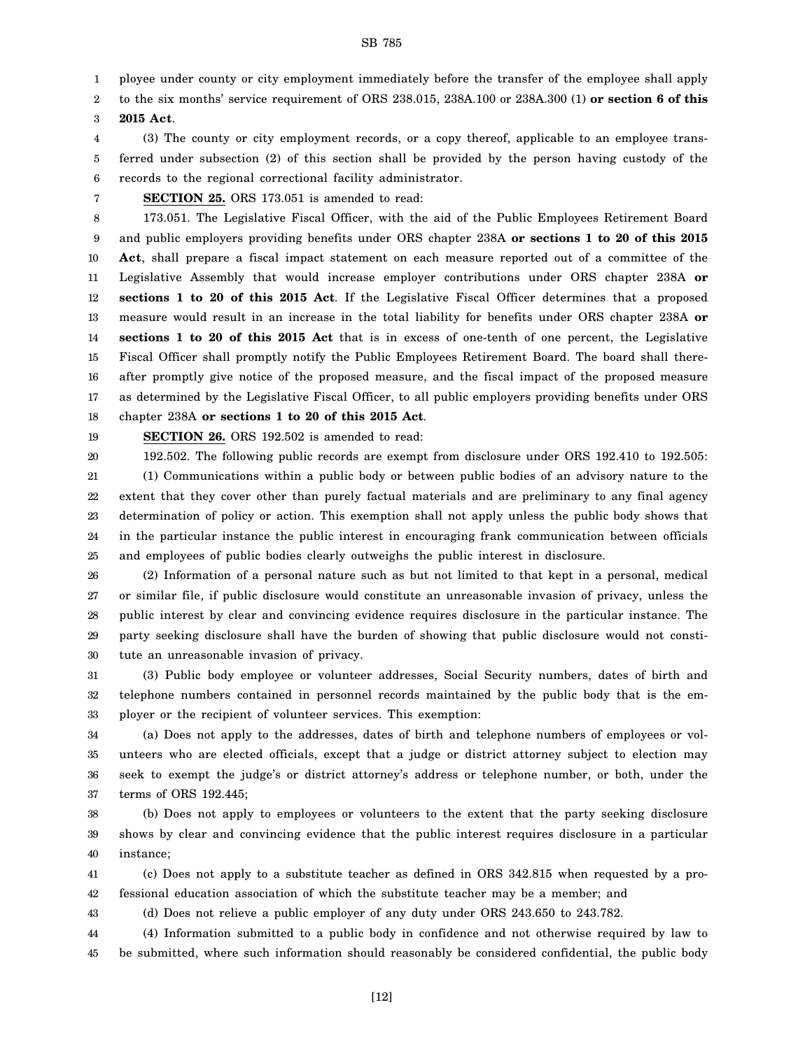1 ployee under county or city employment immediately before the transfer of the employee shall apply

2 to the six months' service requirement of ORS 238.015, 238A.100 or 238A.300 (1) **or section 6 of this**

3 **2015 Act**.

4 5 6 (3) The county or city employment records, or a copy thereof, applicable to an employee transferred under subsection (2) of this section shall be provided by the person having custody of the records to the regional correctional facility administrator.

7

**SECTION 25.** ORS 173.051 is amended to read:

8 9 10 11 12 13 14 15 16 17 18 173.051. The Legislative Fiscal Officer, with the aid of the Public Employees Retirement Board and public employers providing benefits under ORS chapter 238A **or sections 1 to 20 of this 2015 Act**, shall prepare a fiscal impact statement on each measure reported out of a committee of the Legislative Assembly that would increase employer contributions under ORS chapter 238A **or sections 1 to 20 of this 2015 Act**. If the Legislative Fiscal Officer determines that a proposed measure would result in an increase in the total liability for benefits under ORS chapter 238A **or sections 1 to 20 of this 2015 Act** that is in excess of one-tenth of one percent, the Legislative Fiscal Officer shall promptly notify the Public Employees Retirement Board. The board shall thereafter promptly give notice of the proposed measure, and the fiscal impact of the proposed measure as determined by the Legislative Fiscal Officer, to all public employers providing benefits under ORS chapter 238A **or sections 1 to 20 of this 2015 Act**.

19 **SECTION 26.** ORS 192.502 is amended to read:

20 21 22 23 24 25 192.502. The following public records are exempt from disclosure under ORS 192.410 to 192.505: (1) Communications within a public body or between public bodies of an advisory nature to the extent that they cover other than purely factual materials and are preliminary to any final agency determination of policy or action. This exemption shall not apply unless the public body shows that in the particular instance the public interest in encouraging frank communication between officials and employees of public bodies clearly outweighs the public interest in disclosure.

26 27 28 29 30 (2) Information of a personal nature such as but not limited to that kept in a personal, medical or similar file, if public disclosure would constitute an unreasonable invasion of privacy, unless the public interest by clear and convincing evidence requires disclosure in the particular instance. The party seeking disclosure shall have the burden of showing that public disclosure would not constitute an unreasonable invasion of privacy.

31 32 33 (3) Public body employee or volunteer addresses, Social Security numbers, dates of birth and telephone numbers contained in personnel records maintained by the public body that is the employer or the recipient of volunteer services. This exemption:

34 35 36 37 (a) Does not apply to the addresses, dates of birth and telephone numbers of employees or volunteers who are elected officials, except that a judge or district attorney subject to election may seek to exempt the judge's or district attorney's address or telephone number, or both, under the terms of ORS 192.445;

38 39 40 (b) Does not apply to employees or volunteers to the extent that the party seeking disclosure shows by clear and convincing evidence that the public interest requires disclosure in a particular instance;

41 42 (c) Does not apply to a substitute teacher as defined in ORS 342.815 when requested by a professional education association of which the substitute teacher may be a member; and

43 (d) Does not relieve a public employer of any duty under ORS 243.650 to 243.782.

44 (4) Information submitted to a public body in confidence and not otherwise required by law to

45 be submitted, where such information should reasonably be considered confidential, the public body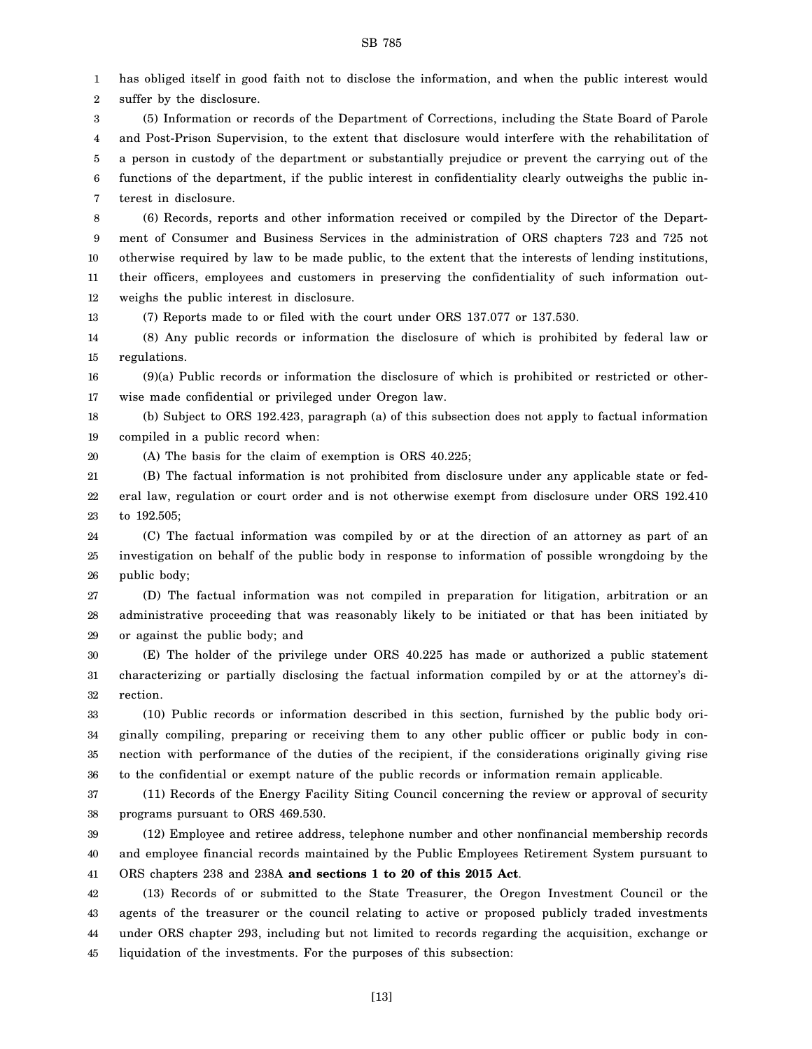1 2 has obliged itself in good faith not to disclose the information, and when the public interest would suffer by the disclosure.

3 4 5 6 7 (5) Information or records of the Department of Corrections, including the State Board of Parole and Post-Prison Supervision, to the extent that disclosure would interfere with the rehabilitation of a person in custody of the department or substantially prejudice or prevent the carrying out of the functions of the department, if the public interest in confidentiality clearly outweighs the public interest in disclosure.

8 9 10 11 12 (6) Records, reports and other information received or compiled by the Director of the Department of Consumer and Business Services in the administration of ORS chapters 723 and 725 not otherwise required by law to be made public, to the extent that the interests of lending institutions, their officers, employees and customers in preserving the confidentiality of such information outweighs the public interest in disclosure.

13 (7) Reports made to or filed with the court under ORS 137.077 or 137.530.

14 15 (8) Any public records or information the disclosure of which is prohibited by federal law or regulations.

16 17 (9)(a) Public records or information the disclosure of which is prohibited or restricted or otherwise made confidential or privileged under Oregon law.

18 19 (b) Subject to ORS 192.423, paragraph (a) of this subsection does not apply to factual information compiled in a public record when:

20 (A) The basis for the claim of exemption is ORS 40.225;

21 22 23 (B) The factual information is not prohibited from disclosure under any applicable state or federal law, regulation or court order and is not otherwise exempt from disclosure under ORS 192.410 to 192.505;

24 25 26 (C) The factual information was compiled by or at the direction of an attorney as part of an investigation on behalf of the public body in response to information of possible wrongdoing by the public body;

27 28 29 (D) The factual information was not compiled in preparation for litigation, arbitration or an administrative proceeding that was reasonably likely to be initiated or that has been initiated by or against the public body; and

30 31 32 (E) The holder of the privilege under ORS 40.225 has made or authorized a public statement characterizing or partially disclosing the factual information compiled by or at the attorney's direction.

33 34 35 36 (10) Public records or information described in this section, furnished by the public body originally compiling, preparing or receiving them to any other public officer or public body in connection with performance of the duties of the recipient, if the considerations originally giving rise to the confidential or exempt nature of the public records or information remain applicable.

37 38 (11) Records of the Energy Facility Siting Council concerning the review or approval of security programs pursuant to ORS 469.530.

39 40 41 (12) Employee and retiree address, telephone number and other nonfinancial membership records and employee financial records maintained by the Public Employees Retirement System pursuant to ORS chapters 238 and 238A **and sections 1 to 20 of this 2015 Act**.

42 43 44 45 (13) Records of or submitted to the State Treasurer, the Oregon Investment Council or the agents of the treasurer or the council relating to active or proposed publicly traded investments under ORS chapter 293, including but not limited to records regarding the acquisition, exchange or liquidation of the investments. For the purposes of this subsection:

[13]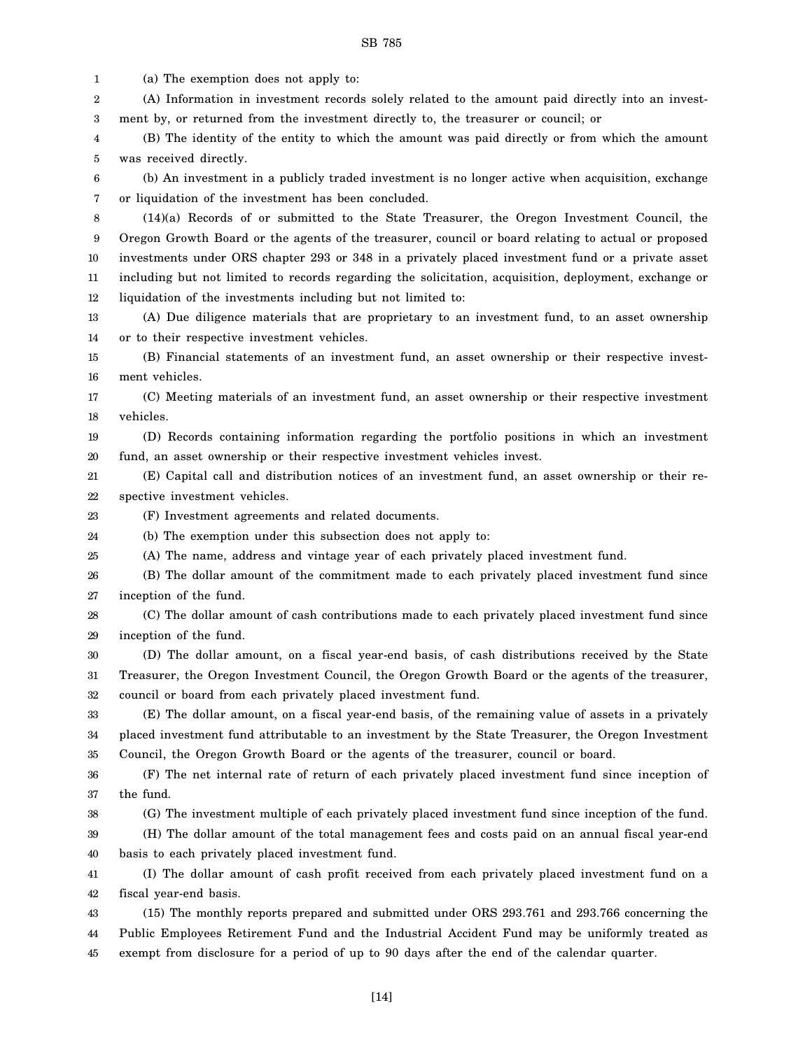1 (a) The exemption does not apply to:

2 3 (A) Information in investment records solely related to the amount paid directly into an investment by, or returned from the investment directly to, the treasurer or council; or

4 5 (B) The identity of the entity to which the amount was paid directly or from which the amount was received directly.

6 7 (b) An investment in a publicly traded investment is no longer active when acquisition, exchange or liquidation of the investment has been concluded.

8 9 10 11 12 (14)(a) Records of or submitted to the State Treasurer, the Oregon Investment Council, the Oregon Growth Board or the agents of the treasurer, council or board relating to actual or proposed investments under ORS chapter 293 or 348 in a privately placed investment fund or a private asset including but not limited to records regarding the solicitation, acquisition, deployment, exchange or liquidation of the investments including but not limited to:

13 14 (A) Due diligence materials that are proprietary to an investment fund, to an asset ownership or to their respective investment vehicles.

15 16 (B) Financial statements of an investment fund, an asset ownership or their respective investment vehicles.

17 18 (C) Meeting materials of an investment fund, an asset ownership or their respective investment vehicles.

19 20 (D) Records containing information regarding the portfolio positions in which an investment fund, an asset ownership or their respective investment vehicles invest.

21 22 (E) Capital call and distribution notices of an investment fund, an asset ownership or their respective investment vehicles.

23 (F) Investment agreements and related documents.

24 (b) The exemption under this subsection does not apply to:

25 (A) The name, address and vintage year of each privately placed investment fund.

26 27 (B) The dollar amount of the commitment made to each privately placed investment fund since inception of the fund.

28 29 (C) The dollar amount of cash contributions made to each privately placed investment fund since inception of the fund.

30 31 32 (D) The dollar amount, on a fiscal year-end basis, of cash distributions received by the State Treasurer, the Oregon Investment Council, the Oregon Growth Board or the agents of the treasurer, council or board from each privately placed investment fund.

33 34 35 (E) The dollar amount, on a fiscal year-end basis, of the remaining value of assets in a privately placed investment fund attributable to an investment by the State Treasurer, the Oregon Investment Council, the Oregon Growth Board or the agents of the treasurer, council or board.

36 37 (F) The net internal rate of return of each privately placed investment fund since inception of the fund.

38 (G) The investment multiple of each privately placed investment fund since inception of the fund.

39 40 (H) The dollar amount of the total management fees and costs paid on an annual fiscal year-end basis to each privately placed investment fund.

41 42 (I) The dollar amount of cash profit received from each privately placed investment fund on a fiscal year-end basis.

43 44 45 (15) The monthly reports prepared and submitted under ORS 293.761 and 293.766 concerning the Public Employees Retirement Fund and the Industrial Accident Fund may be uniformly treated as exempt from disclosure for a period of up to 90 days after the end of the calendar quarter.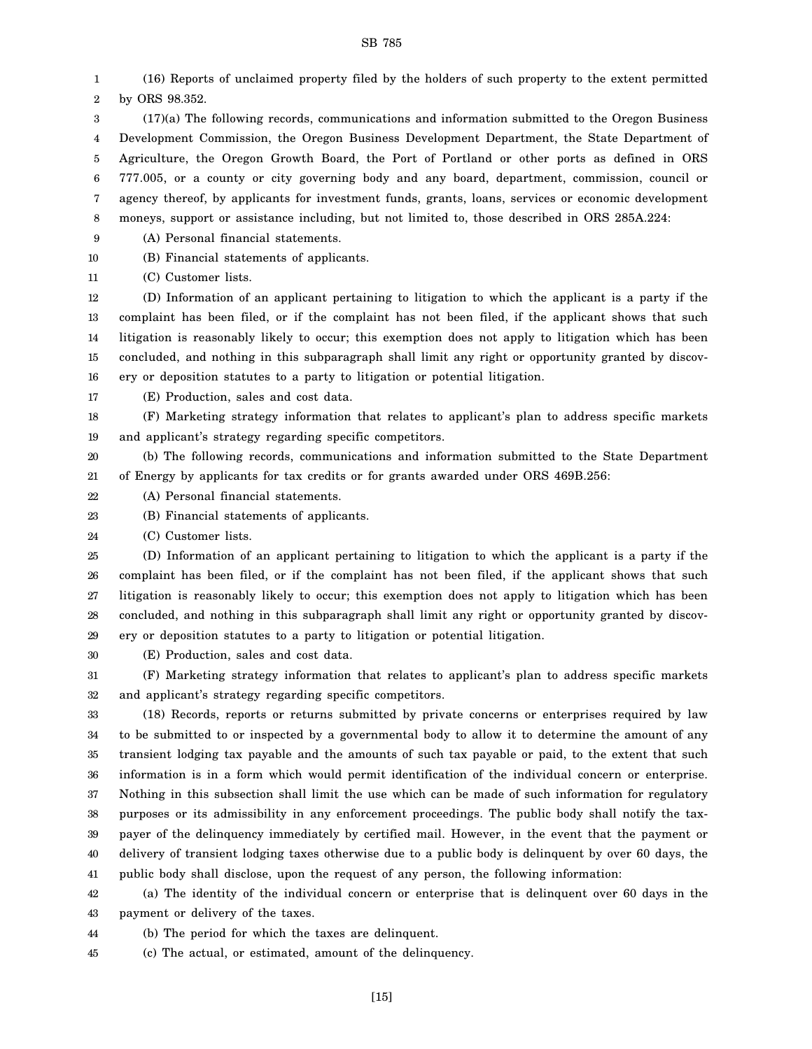1 2 (16) Reports of unclaimed property filed by the holders of such property to the extent permitted by ORS 98.352.

3 4 5 6 7 8 (17)(a) The following records, communications and information submitted to the Oregon Business Development Commission, the Oregon Business Development Department, the State Department of Agriculture, the Oregon Growth Board, the Port of Portland or other ports as defined in ORS 777.005, or a county or city governing body and any board, department, commission, council or agency thereof, by applicants for investment funds, grants, loans, services or economic development moneys, support or assistance including, but not limited to, those described in ORS 285A.224:

9 (A) Personal financial statements.

10 (B) Financial statements of applicants.

11 (C) Customer lists.

12 13 14 15 16 (D) Information of an applicant pertaining to litigation to which the applicant is a party if the complaint has been filed, or if the complaint has not been filed, if the applicant shows that such litigation is reasonably likely to occur; this exemption does not apply to litigation which has been concluded, and nothing in this subparagraph shall limit any right or opportunity granted by discovery or deposition statutes to a party to litigation or potential litigation.

17 (E) Production, sales and cost data.

18 19 (F) Marketing strategy information that relates to applicant's plan to address specific markets and applicant's strategy regarding specific competitors.

20 21 (b) The following records, communications and information submitted to the State Department of Energy by applicants for tax credits or for grants awarded under ORS 469B.256:

22 (A) Personal financial statements.

23 (B) Financial statements of applicants.

24 (C) Customer lists.

25 26 27 28 29 (D) Information of an applicant pertaining to litigation to which the applicant is a party if the complaint has been filed, or if the complaint has not been filed, if the applicant shows that such litigation is reasonably likely to occur; this exemption does not apply to litigation which has been concluded, and nothing in this subparagraph shall limit any right or opportunity granted by discovery or deposition statutes to a party to litigation or potential litigation.

30 (E) Production, sales and cost data.

31 32 (F) Marketing strategy information that relates to applicant's plan to address specific markets and applicant's strategy regarding specific competitors.

33 34 35 36 37 38 39 40 41 (18) Records, reports or returns submitted by private concerns or enterprises required by law to be submitted to or inspected by a governmental body to allow it to determine the amount of any transient lodging tax payable and the amounts of such tax payable or paid, to the extent that such information is in a form which would permit identification of the individual concern or enterprise. Nothing in this subsection shall limit the use which can be made of such information for regulatory purposes or its admissibility in any enforcement proceedings. The public body shall notify the taxpayer of the delinquency immediately by certified mail. However, in the event that the payment or delivery of transient lodging taxes otherwise due to a public body is delinquent by over 60 days, the public body shall disclose, upon the request of any person, the following information:

42 43 (a) The identity of the individual concern or enterprise that is delinquent over 60 days in the payment or delivery of the taxes.

44 (b) The period for which the taxes are delinquent.

45 (c) The actual, or estimated, amount of the delinquency.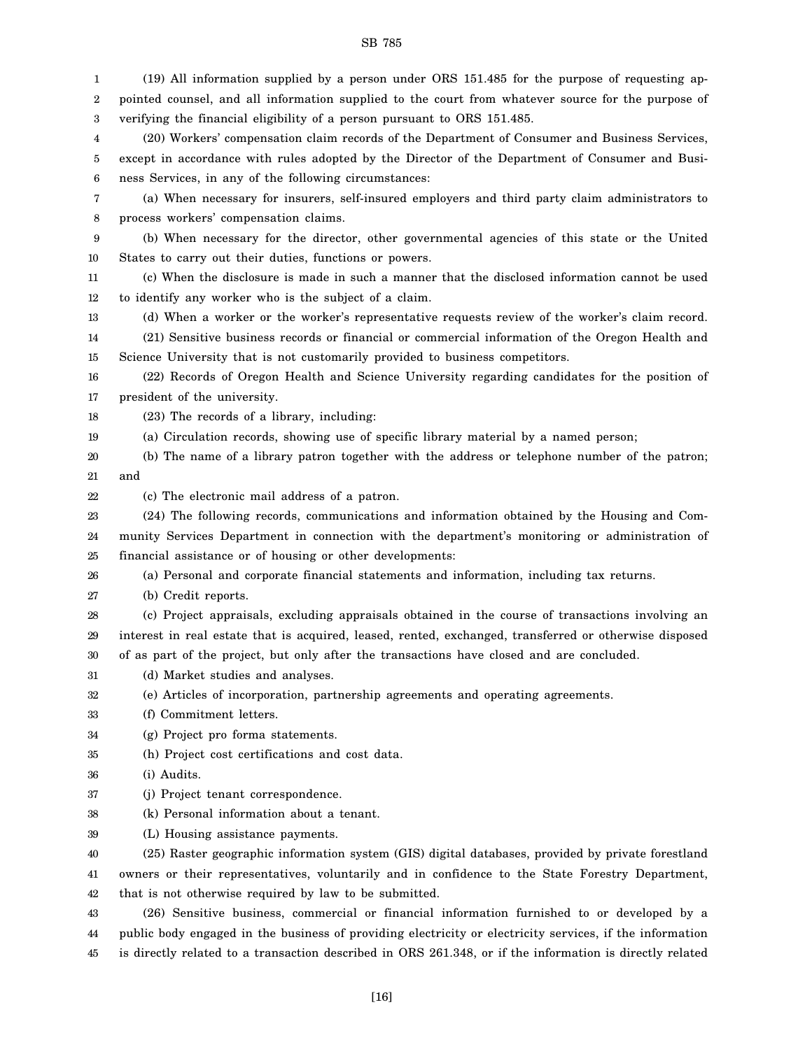1 2 3 4 5 6 7 8 9 10 11 12 13 14 15 16 17 18 19 20 21 22 23 24 25 26 27 28 29 30 31 32 33 34 35 36 37 38 39 40 41 42 43 44 45 (19) All information supplied by a person under ORS 151.485 for the purpose of requesting appointed counsel, and all information supplied to the court from whatever source for the purpose of verifying the financial eligibility of a person pursuant to ORS 151.485. (20) Workers' compensation claim records of the Department of Consumer and Business Services, except in accordance with rules adopted by the Director of the Department of Consumer and Business Services, in any of the following circumstances: (a) When necessary for insurers, self-insured employers and third party claim administrators to process workers' compensation claims. (b) When necessary for the director, other governmental agencies of this state or the United States to carry out their duties, functions or powers. (c) When the disclosure is made in such a manner that the disclosed information cannot be used to identify any worker who is the subject of a claim. (d) When a worker or the worker's representative requests review of the worker's claim record. (21) Sensitive business records or financial or commercial information of the Oregon Health and Science University that is not customarily provided to business competitors. (22) Records of Oregon Health and Science University regarding candidates for the position of president of the university. (23) The records of a library, including: (a) Circulation records, showing use of specific library material by a named person; (b) The name of a library patron together with the address or telephone number of the patron; and (c) The electronic mail address of a patron. (24) The following records, communications and information obtained by the Housing and Community Services Department in connection with the department's monitoring or administration of financial assistance or of housing or other developments: (a) Personal and corporate financial statements and information, including tax returns. (b) Credit reports. (c) Project appraisals, excluding appraisals obtained in the course of transactions involving an interest in real estate that is acquired, leased, rented, exchanged, transferred or otherwise disposed of as part of the project, but only after the transactions have closed and are concluded. (d) Market studies and analyses. (e) Articles of incorporation, partnership agreements and operating agreements. (f) Commitment letters. (g) Project pro forma statements. (h) Project cost certifications and cost data. (i) Audits. (j) Project tenant correspondence. (k) Personal information about a tenant. (L) Housing assistance payments. (25) Raster geographic information system (GIS) digital databases, provided by private forestland owners or their representatives, voluntarily and in confidence to the State Forestry Department, that is not otherwise required by law to be submitted. (26) Sensitive business, commercial or financial information furnished to or developed by a public body engaged in the business of providing electricity or electricity services, if the information is directly related to a transaction described in ORS 261.348, or if the information is directly related

SB 785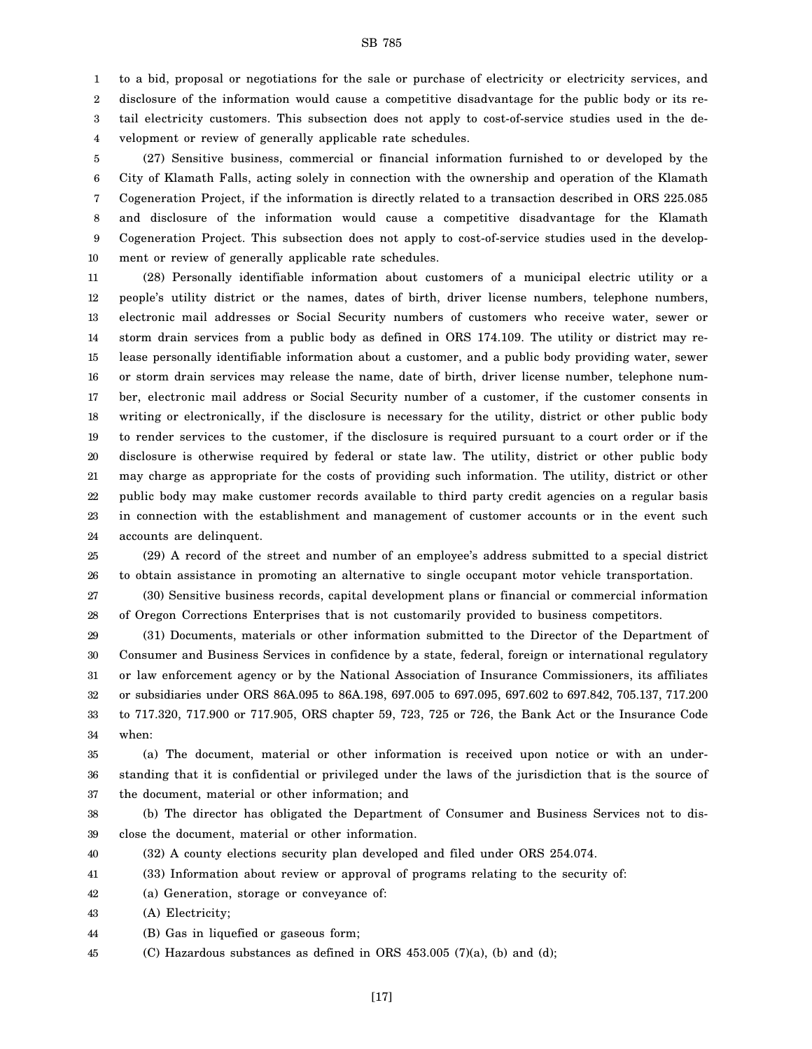to a bid, proposal or negotiations for the sale or purchase of electricity or electricity services, and

2 3 4 disclosure of the information would cause a competitive disadvantage for the public body or its retail electricity customers. This subsection does not apply to cost-of-service studies used in the development or review of generally applicable rate schedules.

5 6 7 8 9 10 (27) Sensitive business, commercial or financial information furnished to or developed by the City of Klamath Falls, acting solely in connection with the ownership and operation of the Klamath Cogeneration Project, if the information is directly related to a transaction described in ORS 225.085 and disclosure of the information would cause a competitive disadvantage for the Klamath Cogeneration Project. This subsection does not apply to cost-of-service studies used in the development or review of generally applicable rate schedules.

11 12 13 14 15 16 17 18 19 20 21 22 23 24 (28) Personally identifiable information about customers of a municipal electric utility or a people's utility district or the names, dates of birth, driver license numbers, telephone numbers, electronic mail addresses or Social Security numbers of customers who receive water, sewer or storm drain services from a public body as defined in ORS 174.109. The utility or district may release personally identifiable information about a customer, and a public body providing water, sewer or storm drain services may release the name, date of birth, driver license number, telephone number, electronic mail address or Social Security number of a customer, if the customer consents in writing or electronically, if the disclosure is necessary for the utility, district or other public body to render services to the customer, if the disclosure is required pursuant to a court order or if the disclosure is otherwise required by federal or state law. The utility, district or other public body may charge as appropriate for the costs of providing such information. The utility, district or other public body may make customer records available to third party credit agencies on a regular basis in connection with the establishment and management of customer accounts or in the event such accounts are delinquent.

25 26 (29) A record of the street and number of an employee's address submitted to a special district to obtain assistance in promoting an alternative to single occupant motor vehicle transportation.

27 28 (30) Sensitive business records, capital development plans or financial or commercial information of Oregon Corrections Enterprises that is not customarily provided to business competitors.

29 30 31 32 33 34 (31) Documents, materials or other information submitted to the Director of the Department of Consumer and Business Services in confidence by a state, federal, foreign or international regulatory or law enforcement agency or by the National Association of Insurance Commissioners, its affiliates or subsidiaries under ORS 86A.095 to 86A.198, 697.005 to 697.095, 697.602 to 697.842, 705.137, 717.200 to 717.320, 717.900 or 717.905, ORS chapter 59, 723, 725 or 726, the Bank Act or the Insurance Code when:

35 36 37 (a) The document, material or other information is received upon notice or with an understanding that it is confidential or privileged under the laws of the jurisdiction that is the source of the document, material or other information; and

38 39 (b) The director has obligated the Department of Consumer and Business Services not to disclose the document, material or other information.

40 (32) A county elections security plan developed and filed under ORS 254.074.

41 (33) Information about review or approval of programs relating to the security of:

42 (a) Generation, storage or conveyance of:

43 (A) Electricity;

1

44 (B) Gas in liquefied or gaseous form;

45 (C) Hazardous substances as defined in ORS 453.005 (7)(a), (b) and (d);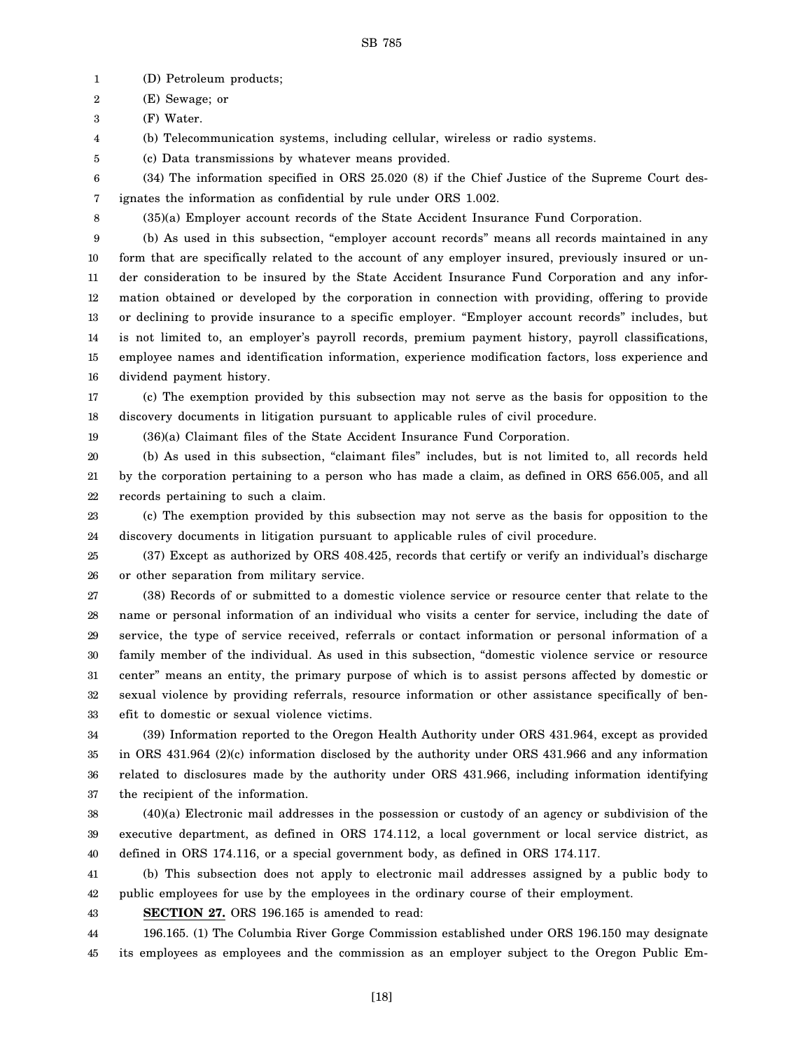1 (D) Petroleum products;

2 (E) Sewage; or

3 (F) Water.

4 (b) Telecommunication systems, including cellular, wireless or radio systems.

5 (c) Data transmissions by whatever means provided.

6 7 (34) The information specified in ORS 25.020 (8) if the Chief Justice of the Supreme Court designates the information as confidential by rule under ORS 1.002.

8

(35)(a) Employer account records of the State Accident Insurance Fund Corporation.

9 10 11 12 13 14 15 16 (b) As used in this subsection, "employer account records" means all records maintained in any form that are specifically related to the account of any employer insured, previously insured or under consideration to be insured by the State Accident Insurance Fund Corporation and any information obtained or developed by the corporation in connection with providing, offering to provide or declining to provide insurance to a specific employer. "Employer account records" includes, but is not limited to, an employer's payroll records, premium payment history, payroll classifications, employee names and identification information, experience modification factors, loss experience and dividend payment history.

17 18 (c) The exemption provided by this subsection may not serve as the basis for opposition to the discovery documents in litigation pursuant to applicable rules of civil procedure.

19

(36)(a) Claimant files of the State Accident Insurance Fund Corporation.

20 21 22 (b) As used in this subsection, "claimant files" includes, but is not limited to, all records held by the corporation pertaining to a person who has made a claim, as defined in ORS 656.005, and all records pertaining to such a claim.

23 24 (c) The exemption provided by this subsection may not serve as the basis for opposition to the discovery documents in litigation pursuant to applicable rules of civil procedure.

25 26 (37) Except as authorized by ORS 408.425, records that certify or verify an individual's discharge or other separation from military service.

27 28 29 30 31 32 33 (38) Records of or submitted to a domestic violence service or resource center that relate to the name or personal information of an individual who visits a center for service, including the date of service, the type of service received, referrals or contact information or personal information of a family member of the individual. As used in this subsection, "domestic violence service or resource center" means an entity, the primary purpose of which is to assist persons affected by domestic or sexual violence by providing referrals, resource information or other assistance specifically of benefit to domestic or sexual violence victims.

34 35 36 37 (39) Information reported to the Oregon Health Authority under ORS 431.964, except as provided in ORS 431.964 (2)(c) information disclosed by the authority under ORS 431.966 and any information related to disclosures made by the authority under ORS 431.966, including information identifying the recipient of the information.

38 39 40 (40)(a) Electronic mail addresses in the possession or custody of an agency or subdivision of the executive department, as defined in ORS 174.112, a local government or local service district, as defined in ORS 174.116, or a special government body, as defined in ORS 174.117.

41 42 (b) This subsection does not apply to electronic mail addresses assigned by a public body to public employees for use by the employees in the ordinary course of their employment.

43

**SECTION 27.** ORS 196.165 is amended to read:

44 45 196.165. (1) The Columbia River Gorge Commission established under ORS 196.150 may designate its employees as employees and the commission as an employer subject to the Oregon Public Em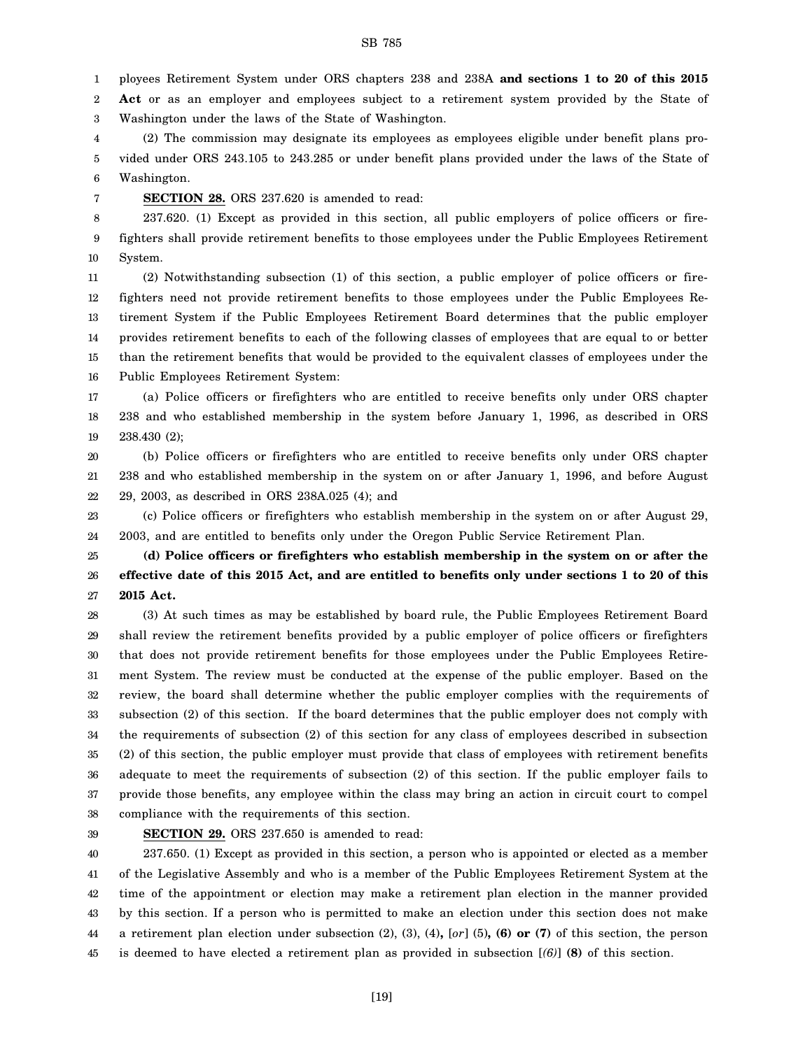1 ployees Retirement System under ORS chapters 238 and 238A **and sections 1 to 20 of this 2015**

2 3 **Act** or as an employer and employees subject to a retirement system provided by the State of Washington under the laws of the State of Washington.

4 5 6 (2) The commission may designate its employees as employees eligible under benefit plans provided under ORS 243.105 to 243.285 or under benefit plans provided under the laws of the State of Washington.

7

**SECTION 28.** ORS 237.620 is amended to read:

8 9 10 237.620. (1) Except as provided in this section, all public employers of police officers or firefighters shall provide retirement benefits to those employees under the Public Employees Retirement System.

11 12 13 14 15 16 (2) Notwithstanding subsection (1) of this section, a public employer of police officers or firefighters need not provide retirement benefits to those employees under the Public Employees Retirement System if the Public Employees Retirement Board determines that the public employer provides retirement benefits to each of the following classes of employees that are equal to or better than the retirement benefits that would be provided to the equivalent classes of employees under the Public Employees Retirement System:

17 18 19 (a) Police officers or firefighters who are entitled to receive benefits only under ORS chapter 238 and who established membership in the system before January 1, 1996, as described in ORS 238.430 (2);

20 21 22 (b) Police officers or firefighters who are entitled to receive benefits only under ORS chapter 238 and who established membership in the system on or after January 1, 1996, and before August 29, 2003, as described in ORS 238A.025 (4); and

23 24 (c) Police officers or firefighters who establish membership in the system on or after August 29, 2003, and are entitled to benefits only under the Oregon Public Service Retirement Plan.

25 26 27 **(d) Police officers or firefighters who establish membership in the system on or after the effective date of this 2015 Act, and are entitled to benefits only under sections 1 to 20 of this 2015 Act.**

28 29 30 31 32 33 34 35 36 37 38 (3) At such times as may be established by board rule, the Public Employees Retirement Board shall review the retirement benefits provided by a public employer of police officers or firefighters that does not provide retirement benefits for those employees under the Public Employees Retirement System. The review must be conducted at the expense of the public employer. Based on the review, the board shall determine whether the public employer complies with the requirements of subsection (2) of this section. If the board determines that the public employer does not comply with the requirements of subsection (2) of this section for any class of employees described in subsection (2) of this section, the public employer must provide that class of employees with retirement benefits adequate to meet the requirements of subsection (2) of this section. If the public employer fails to provide those benefits, any employee within the class may bring an action in circuit court to compel compliance with the requirements of this section.

39

**SECTION 29.** ORS 237.650 is amended to read:

40 41 42 43 44 45 237.650. (1) Except as provided in this section, a person who is appointed or elected as a member of the Legislative Assembly and who is a member of the Public Employees Retirement System at the time of the appointment or election may make a retirement plan election in the manner provided by this section. If a person who is permitted to make an election under this section does not make a retirement plan election under subsection (2), (3), (4)**,** [*or*] (5)**, (6) or (7)** of this section, the person is deemed to have elected a retirement plan as provided in subsection [*(6)*] **(8)** of this section.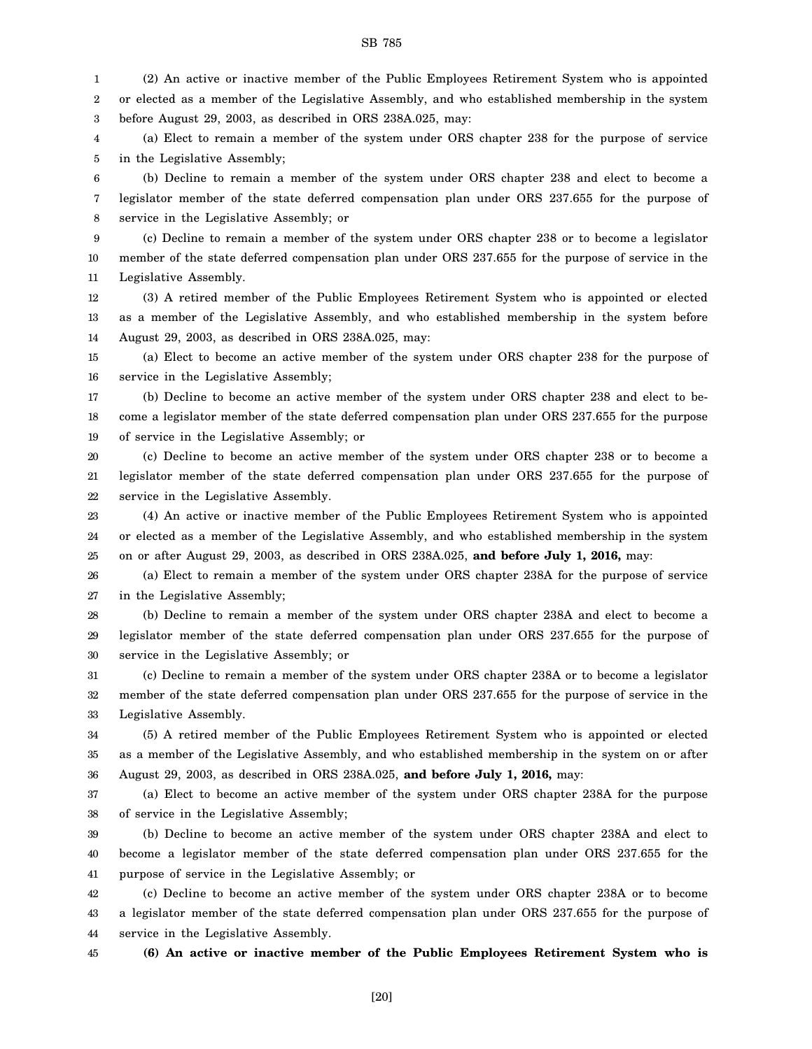1 2 3 (2) An active or inactive member of the Public Employees Retirement System who is appointed or elected as a member of the Legislative Assembly, and who established membership in the system before August 29, 2003, as described in ORS 238A.025, may:

4 5 (a) Elect to remain a member of the system under ORS chapter 238 for the purpose of service in the Legislative Assembly;

6 7 8 (b) Decline to remain a member of the system under ORS chapter 238 and elect to become a legislator member of the state deferred compensation plan under ORS 237.655 for the purpose of service in the Legislative Assembly; or

9 10 11 (c) Decline to remain a member of the system under ORS chapter 238 or to become a legislator member of the state deferred compensation plan under ORS 237.655 for the purpose of service in the Legislative Assembly.

12 13 14 (3) A retired member of the Public Employees Retirement System who is appointed or elected as a member of the Legislative Assembly, and who established membership in the system before August 29, 2003, as described in ORS 238A.025, may:

15 16 (a) Elect to become an active member of the system under ORS chapter 238 for the purpose of service in the Legislative Assembly;

17 18 19 (b) Decline to become an active member of the system under ORS chapter 238 and elect to become a legislator member of the state deferred compensation plan under ORS 237.655 for the purpose of service in the Legislative Assembly; or

20 21 22 (c) Decline to become an active member of the system under ORS chapter 238 or to become a legislator member of the state deferred compensation plan under ORS 237.655 for the purpose of service in the Legislative Assembly.

23 24 25 (4) An active or inactive member of the Public Employees Retirement System who is appointed or elected as a member of the Legislative Assembly, and who established membership in the system on or after August 29, 2003, as described in ORS 238A.025, **and before July 1, 2016,** may:

26 27 (a) Elect to remain a member of the system under ORS chapter 238A for the purpose of service in the Legislative Assembly;

28 29 30 (b) Decline to remain a member of the system under ORS chapter 238A and elect to become a legislator member of the state deferred compensation plan under ORS 237.655 for the purpose of service in the Legislative Assembly; or

31 32 33 (c) Decline to remain a member of the system under ORS chapter 238A or to become a legislator member of the state deferred compensation plan under ORS 237.655 for the purpose of service in the Legislative Assembly.

34 35 36 (5) A retired member of the Public Employees Retirement System who is appointed or elected as a member of the Legislative Assembly, and who established membership in the system on or after August 29, 2003, as described in ORS 238A.025, **and before July 1, 2016,** may:

37 38 (a) Elect to become an active member of the system under ORS chapter 238A for the purpose of service in the Legislative Assembly;

39 40 41 (b) Decline to become an active member of the system under ORS chapter 238A and elect to become a legislator member of the state deferred compensation plan under ORS 237.655 for the purpose of service in the Legislative Assembly; or

42 43 44 (c) Decline to become an active member of the system under ORS chapter 238A or to become a legislator member of the state deferred compensation plan under ORS 237.655 for the purpose of service in the Legislative Assembly.

45

**(6) An active or inactive member of the Public Employees Retirement System who is**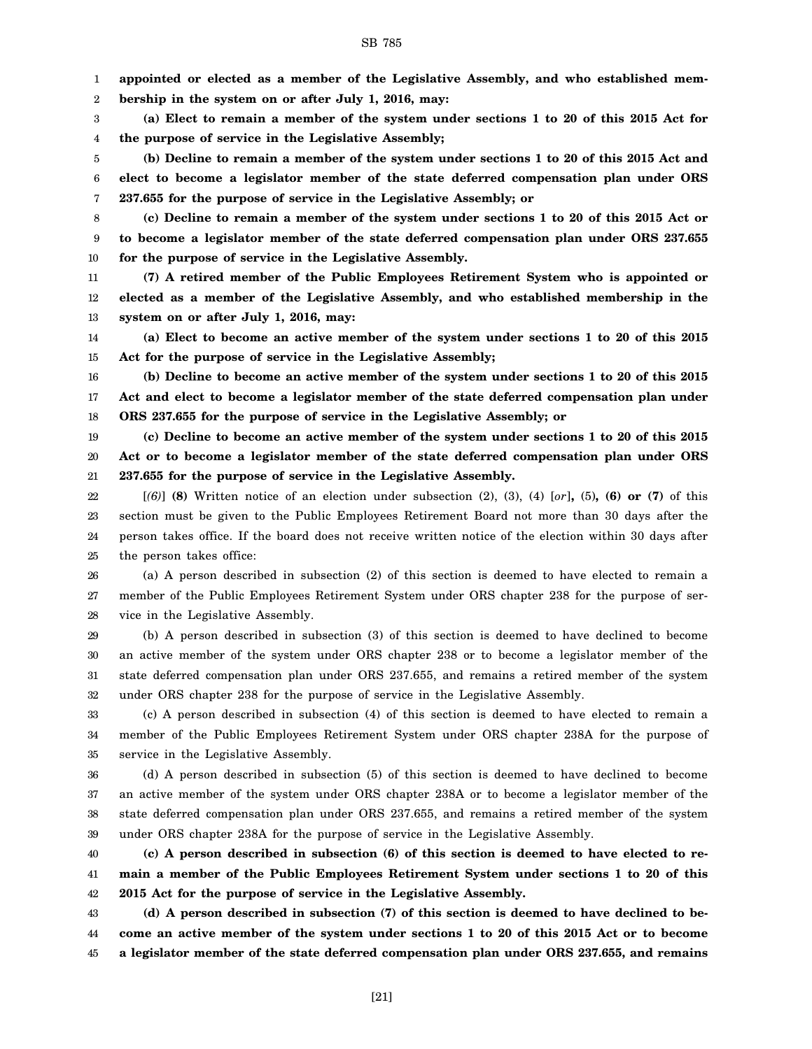2 3 4 5 6 7 8 9 **bership in the system on or after July 1, 2016, may: (a) Elect to remain a member of the system under sections 1 to 20 of this 2015 Act for the purpose of service in the Legislative Assembly; (b) Decline to remain a member of the system under sections 1 to 20 of this 2015 Act and elect to become a legislator member of the state deferred compensation plan under ORS 237.655 for the purpose of service in the Legislative Assembly; or (c) Decline to remain a member of the system under sections 1 to 20 of this 2015 Act or to become a legislator member of the state deferred compensation plan under ORS 237.655**

**for the purpose of service in the Legislative Assembly.**

11 12 13 **(7) A retired member of the Public Employees Retirement System who is appointed or elected as a member of the Legislative Assembly, and who established membership in the system on or after July 1, 2016, may:**

14 15 **(a) Elect to become an active member of the system under sections 1 to 20 of this 2015 Act for the purpose of service in the Legislative Assembly;**

16 17 18 **(b) Decline to become an active member of the system under sections 1 to 20 of this 2015 Act and elect to become a legislator member of the state deferred compensation plan under ORS 237.655 for the purpose of service in the Legislative Assembly; or**

19 20 21 **(c) Decline to become an active member of the system under sections 1 to 20 of this 2015 Act or to become a legislator member of the state deferred compensation plan under ORS 237.655 for the purpose of service in the Legislative Assembly.**

22 23 24 25 [*(6)*] **(8)** Written notice of an election under subsection (2), (3), (4) [*or*]**,** (5)**, (6) or (7)** of this section must be given to the Public Employees Retirement Board not more than 30 days after the person takes office. If the board does not receive written notice of the election within 30 days after the person takes office:

26 27 28 (a) A person described in subsection (2) of this section is deemed to have elected to remain a member of the Public Employees Retirement System under ORS chapter 238 for the purpose of service in the Legislative Assembly.

29 30 31 32 (b) A person described in subsection (3) of this section is deemed to have declined to become an active member of the system under ORS chapter 238 or to become a legislator member of the state deferred compensation plan under ORS 237.655, and remains a retired member of the system under ORS chapter 238 for the purpose of service in the Legislative Assembly.

33 34 35 (c) A person described in subsection (4) of this section is deemed to have elected to remain a member of the Public Employees Retirement System under ORS chapter 238A for the purpose of service in the Legislative Assembly.

36 37 38 39 (d) A person described in subsection (5) of this section is deemed to have declined to become an active member of the system under ORS chapter 238A or to become a legislator member of the state deferred compensation plan under ORS 237.655, and remains a retired member of the system under ORS chapter 238A for the purpose of service in the Legislative Assembly.

40 41 42 **(c) A person described in subsection (6) of this section is deemed to have elected to remain a member of the Public Employees Retirement System under sections 1 to 20 of this 2015 Act for the purpose of service in the Legislative Assembly.**

43 44 45 **(d) A person described in subsection (7) of this section is deemed to have declined to become an active member of the system under sections 1 to 20 of this 2015 Act or to become a legislator member of the state deferred compensation plan under ORS 237.655, and remains**

**appointed or elected as a member of the Legislative Assembly, and who established mem-**

1

10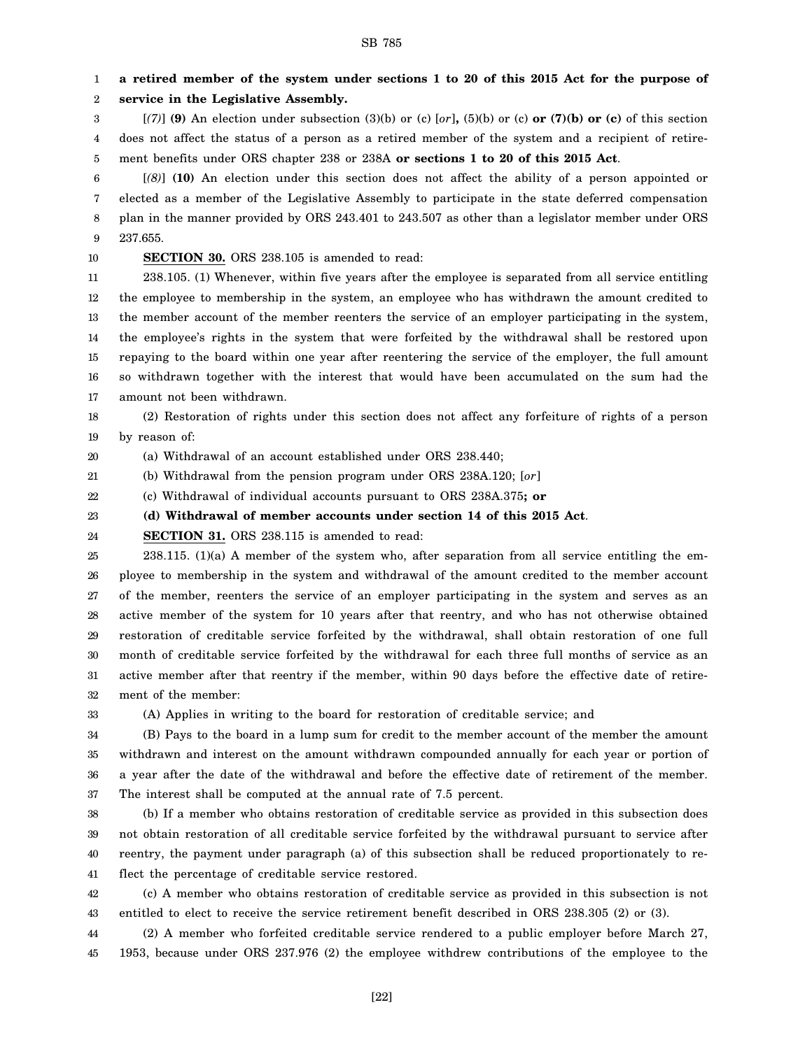1 2 **a retired member of the system under sections 1 to 20 of this 2015 Act for the purpose of service in the Legislative Assembly.**

3 4 5  $[(7)]$  (9) An election under subsection (3)(b) or (c)  $[or]$ , (5)(b) or (c) or (7)(b) or (c) of this section does not affect the status of a person as a retired member of the system and a recipient of retirement benefits under ORS chapter 238 or 238A **or sections 1 to 20 of this 2015 Act**.

6 7 8 9 [*(8)*] **(10)** An election under this section does not affect the ability of a person appointed or elected as a member of the Legislative Assembly to participate in the state deferred compensation plan in the manner provided by ORS 243.401 to 243.507 as other than a legislator member under ORS 237.655.

10

#### **SECTION 30.** ORS 238.105 is amended to read:

11 12 13 14 15 16 17 238.105. (1) Whenever, within five years after the employee is separated from all service entitling the employee to membership in the system, an employee who has withdrawn the amount credited to the member account of the member reenters the service of an employer participating in the system, the employee's rights in the system that were forfeited by the withdrawal shall be restored upon repaying to the board within one year after reentering the service of the employer, the full amount so withdrawn together with the interest that would have been accumulated on the sum had the amount not been withdrawn.

18 19 (2) Restoration of rights under this section does not affect any forfeiture of rights of a person by reason of:

20 (a) Withdrawal of an account established under ORS 238.440;

21 (b) Withdrawal from the pension program under ORS 238A.120; [*or*]

22 (c) Withdrawal of individual accounts pursuant to ORS 238A.375**; or**

#### 23 **(d) Withdrawal of member accounts under section 14 of this 2015 Act**.

24 **SECTION 31.** ORS 238.115 is amended to read:

25 26 27 28 29 30 31 32 238.115. (1)(a) A member of the system who, after separation from all service entitling the employee to membership in the system and withdrawal of the amount credited to the member account of the member, reenters the service of an employer participating in the system and serves as an active member of the system for 10 years after that reentry, and who has not otherwise obtained restoration of creditable service forfeited by the withdrawal, shall obtain restoration of one full month of creditable service forfeited by the withdrawal for each three full months of service as an active member after that reentry if the member, within 90 days before the effective date of retirement of the member:

33

(A) Applies in writing to the board for restoration of creditable service; and

34 35 36 37 (B) Pays to the board in a lump sum for credit to the member account of the member the amount withdrawn and interest on the amount withdrawn compounded annually for each year or portion of a year after the date of the withdrawal and before the effective date of retirement of the member. The interest shall be computed at the annual rate of 7.5 percent.

38 39 40 41 (b) If a member who obtains restoration of creditable service as provided in this subsection does not obtain restoration of all creditable service forfeited by the withdrawal pursuant to service after reentry, the payment under paragraph (a) of this subsection shall be reduced proportionately to reflect the percentage of creditable service restored.

42 43 (c) A member who obtains restoration of creditable service as provided in this subsection is not entitled to elect to receive the service retirement benefit described in ORS 238.305 (2) or (3).

44 45 (2) A member who forfeited creditable service rendered to a public employer before March 27, 1953, because under ORS 237.976 (2) the employee withdrew contributions of the employee to the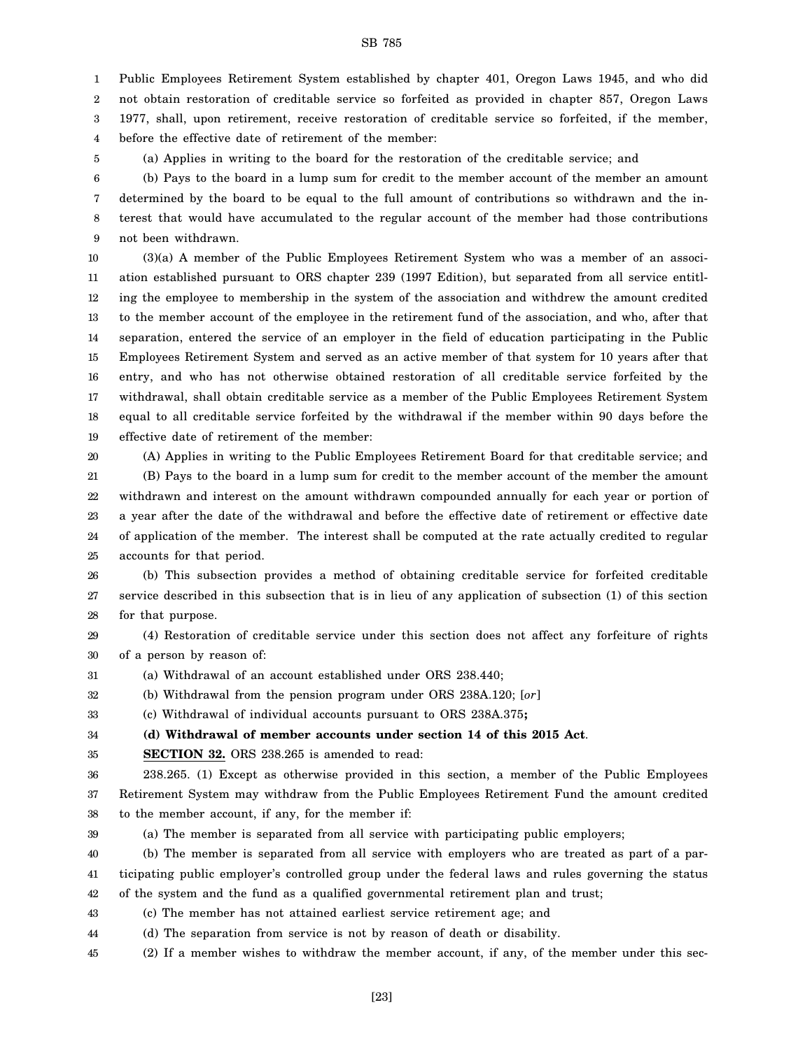1 Public Employees Retirement System established by chapter 401, Oregon Laws 1945, and who did

2 not obtain restoration of creditable service so forfeited as provided in chapter 857, Oregon Laws

3 1977, shall, upon retirement, receive restoration of creditable service so forfeited, if the member,

4 before the effective date of retirement of the member:

(a) Applies in writing to the board for the restoration of the creditable service; and

6 7 8 9 (b) Pays to the board in a lump sum for credit to the member account of the member an amount determined by the board to be equal to the full amount of contributions so withdrawn and the interest that would have accumulated to the regular account of the member had those contributions not been withdrawn.

10 11 12 13 14 15 16 17 18 19 (3)(a) A member of the Public Employees Retirement System who was a member of an association established pursuant to ORS chapter 239 (1997 Edition), but separated from all service entitling the employee to membership in the system of the association and withdrew the amount credited to the member account of the employee in the retirement fund of the association, and who, after that separation, entered the service of an employer in the field of education participating in the Public Employees Retirement System and served as an active member of that system for 10 years after that entry, and who has not otherwise obtained restoration of all creditable service forfeited by the withdrawal, shall obtain creditable service as a member of the Public Employees Retirement System equal to all creditable service forfeited by the withdrawal if the member within 90 days before the effective date of retirement of the member:

20

5

21 22 23 24 25 (A) Applies in writing to the Public Employees Retirement Board for that creditable service; and (B) Pays to the board in a lump sum for credit to the member account of the member the amount withdrawn and interest on the amount withdrawn compounded annually for each year or portion of a year after the date of the withdrawal and before the effective date of retirement or effective date of application of the member. The interest shall be computed at the rate actually credited to regular accounts for that period.

26 27 28 (b) This subsection provides a method of obtaining creditable service for forfeited creditable service described in this subsection that is in lieu of any application of subsection (1) of this section for that purpose.

29 30 (4) Restoration of creditable service under this section does not affect any forfeiture of rights of a person by reason of:

31 (a) Withdrawal of an account established under ORS 238.440;

32 (b) Withdrawal from the pension program under ORS 238A.120; [*or*]

33 (c) Withdrawal of individual accounts pursuant to ORS 238A.375**;**

34 **(d) Withdrawal of member accounts under section 14 of this 2015 Act**.

35 **SECTION 32.** ORS 238.265 is amended to read:

36 37 38 238.265. (1) Except as otherwise provided in this section, a member of the Public Employees Retirement System may withdraw from the Public Employees Retirement Fund the amount credited to the member account, if any, for the member if:

39

(a) The member is separated from all service with participating public employers;

40 41 (b) The member is separated from all service with employers who are treated as part of a participating public employer's controlled group under the federal laws and rules governing the status

42 of the system and the fund as a qualified governmental retirement plan and trust;

43 (c) The member has not attained earliest service retirement age; and

44 (d) The separation from service is not by reason of death or disability.

45 (2) If a member wishes to withdraw the member account, if any, of the member under this sec-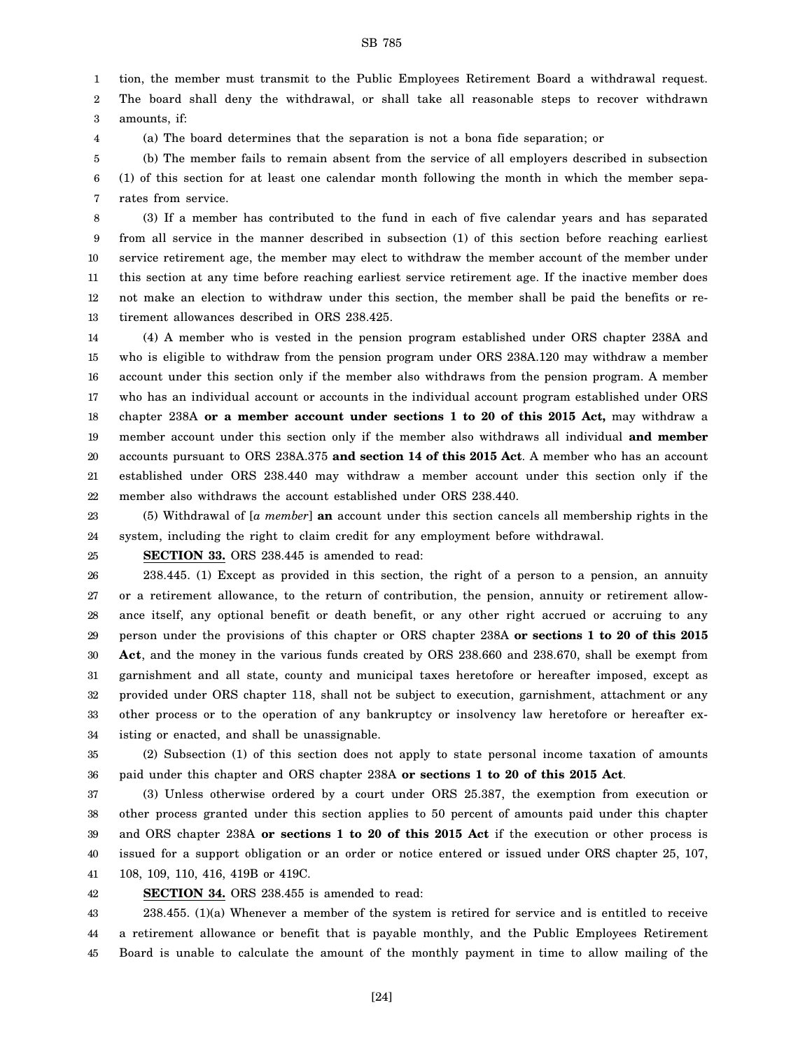1 2 tion, the member must transmit to the Public Employees Retirement Board a withdrawal request. The board shall deny the withdrawal, or shall take all reasonable steps to recover withdrawn

3 amounts, if:

4

(a) The board determines that the separation is not a bona fide separation; or

5 6 7 (b) The member fails to remain absent from the service of all employers described in subsection (1) of this section for at least one calendar month following the month in which the member separates from service.

8 9 10 11 12 13 (3) If a member has contributed to the fund in each of five calendar years and has separated from all service in the manner described in subsection (1) of this section before reaching earliest service retirement age, the member may elect to withdraw the member account of the member under this section at any time before reaching earliest service retirement age. If the inactive member does not make an election to withdraw under this section, the member shall be paid the benefits or retirement allowances described in ORS 238.425.

14 15 16 17 18 19 20 21 22 (4) A member who is vested in the pension program established under ORS chapter 238A and who is eligible to withdraw from the pension program under ORS 238A.120 may withdraw a member account under this section only if the member also withdraws from the pension program. A member who has an individual account or accounts in the individual account program established under ORS chapter 238A **or a member account under sections 1 to 20 of this 2015 Act,** may withdraw a member account under this section only if the member also withdraws all individual **and member** accounts pursuant to ORS 238A.375 **and section 14 of this 2015 Act**. A member who has an account established under ORS 238.440 may withdraw a member account under this section only if the member also withdraws the account established under ORS 238.440.

23 24 (5) Withdrawal of [*a member*] **an** account under this section cancels all membership rights in the system, including the right to claim credit for any employment before withdrawal.

25

**SECTION 33.** ORS 238.445 is amended to read:

26 27 28 29 30 31 32 33 34 238.445. (1) Except as provided in this section, the right of a person to a pension, an annuity or a retirement allowance, to the return of contribution, the pension, annuity or retirement allowance itself, any optional benefit or death benefit, or any other right accrued or accruing to any person under the provisions of this chapter or ORS chapter 238A **or sections 1 to 20 of this 2015 Act**, and the money in the various funds created by ORS 238.660 and 238.670, shall be exempt from garnishment and all state, county and municipal taxes heretofore or hereafter imposed, except as provided under ORS chapter 118, shall not be subject to execution, garnishment, attachment or any other process or to the operation of any bankruptcy or insolvency law heretofore or hereafter existing or enacted, and shall be unassignable.

35 36 (2) Subsection (1) of this section does not apply to state personal income taxation of amounts paid under this chapter and ORS chapter 238A **or sections 1 to 20 of this 2015 Act**.

37 38 39 40 41 (3) Unless otherwise ordered by a court under ORS 25.387, the exemption from execution or other process granted under this section applies to 50 percent of amounts paid under this chapter and ORS chapter 238A **or sections 1 to 20 of this 2015 Act** if the execution or other process is issued for a support obligation or an order or notice entered or issued under ORS chapter 25, 107, 108, 109, 110, 416, 419B or 419C.

42 **SECTION 34.** ORS 238.455 is amended to read:

43 44 45 238.455. (1)(a) Whenever a member of the system is retired for service and is entitled to receive a retirement allowance or benefit that is payable monthly, and the Public Employees Retirement Board is unable to calculate the amount of the monthly payment in time to allow mailing of the

[24]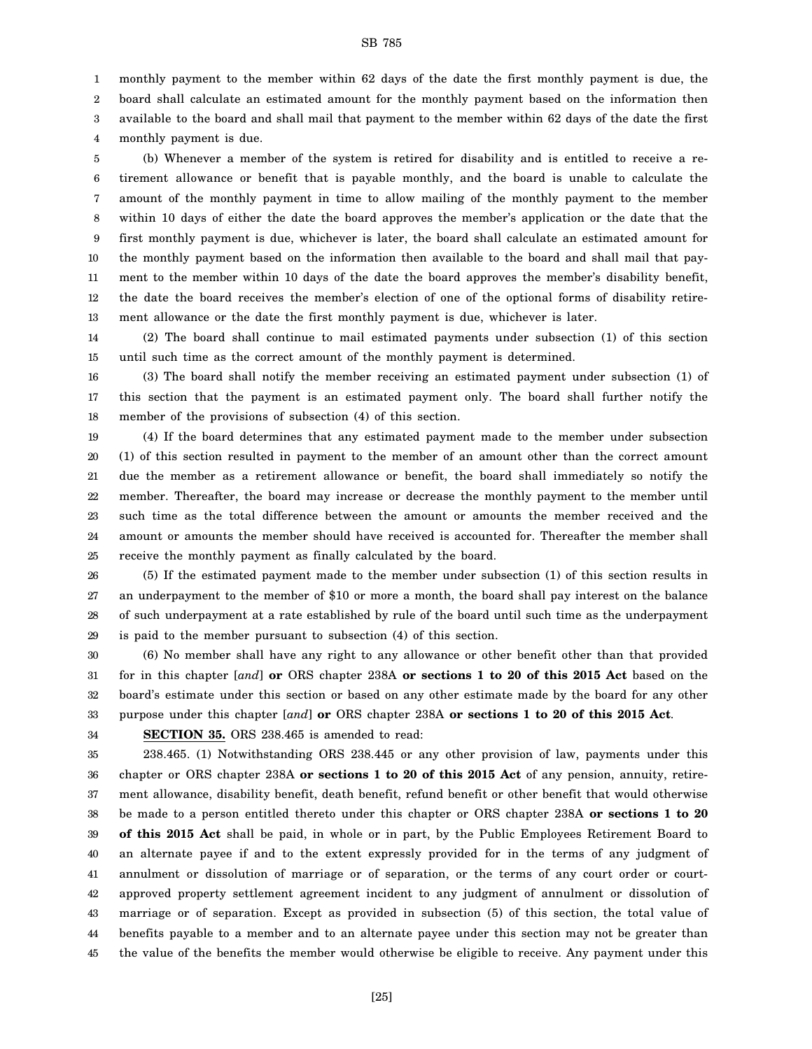monthly payment to the member within 62 days of the date the first monthly payment is due, the

2 board shall calculate an estimated amount for the monthly payment based on the information then

3 available to the board and shall mail that payment to the member within 62 days of the date the first

4 monthly payment is due.

1

5 6 7 8 9 10 11 12 13 (b) Whenever a member of the system is retired for disability and is entitled to receive a retirement allowance or benefit that is payable monthly, and the board is unable to calculate the amount of the monthly payment in time to allow mailing of the monthly payment to the member within 10 days of either the date the board approves the member's application or the date that the first monthly payment is due, whichever is later, the board shall calculate an estimated amount for the monthly payment based on the information then available to the board and shall mail that payment to the member within 10 days of the date the board approves the member's disability benefit, the date the board receives the member's election of one of the optional forms of disability retirement allowance or the date the first monthly payment is due, whichever is later.

14 15 (2) The board shall continue to mail estimated payments under subsection (1) of this section until such time as the correct amount of the monthly payment is determined.

16 17 18 (3) The board shall notify the member receiving an estimated payment under subsection (1) of this section that the payment is an estimated payment only. The board shall further notify the member of the provisions of subsection (4) of this section.

19 20 21 22 23 24 25 (4) If the board determines that any estimated payment made to the member under subsection (1) of this section resulted in payment to the member of an amount other than the correct amount due the member as a retirement allowance or benefit, the board shall immediately so notify the member. Thereafter, the board may increase or decrease the monthly payment to the member until such time as the total difference between the amount or amounts the member received and the amount or amounts the member should have received is accounted for. Thereafter the member shall receive the monthly payment as finally calculated by the board.

26 27 28 29 (5) If the estimated payment made to the member under subsection (1) of this section results in an underpayment to the member of \$10 or more a month, the board shall pay interest on the balance of such underpayment at a rate established by rule of the board until such time as the underpayment is paid to the member pursuant to subsection (4) of this section.

30 31 32 33 (6) No member shall have any right to any allowance or other benefit other than that provided for in this chapter [*and*] **or** ORS chapter 238A **or sections 1 to 20 of this 2015 Act** based on the board's estimate under this section or based on any other estimate made by the board for any other purpose under this chapter [*and*] **or** ORS chapter 238A **or sections 1 to 20 of this 2015 Act**.

34

**SECTION 35.** ORS 238.465 is amended to read:

35 36 37 38 39 40 41 42 43 44 45 238.465. (1) Notwithstanding ORS 238.445 or any other provision of law, payments under this chapter or ORS chapter 238A **or sections 1 to 20 of this 2015 Act** of any pension, annuity, retirement allowance, disability benefit, death benefit, refund benefit or other benefit that would otherwise be made to a person entitled thereto under this chapter or ORS chapter 238A **or sections 1 to 20 of this 2015 Act** shall be paid, in whole or in part, by the Public Employees Retirement Board to an alternate payee if and to the extent expressly provided for in the terms of any judgment of annulment or dissolution of marriage or of separation, or the terms of any court order or courtapproved property settlement agreement incident to any judgment of annulment or dissolution of marriage or of separation. Except as provided in subsection (5) of this section, the total value of benefits payable to a member and to an alternate payee under this section may not be greater than the value of the benefits the member would otherwise be eligible to receive. Any payment under this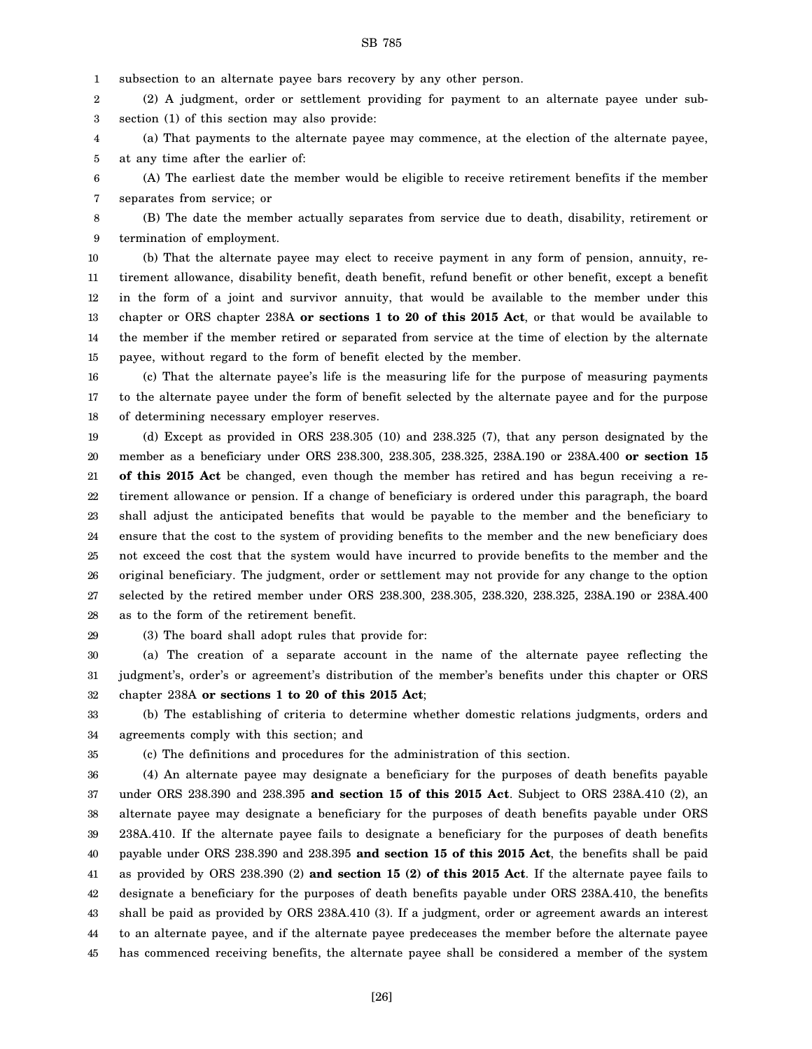1 subsection to an alternate payee bars recovery by any other person.

2 3 (2) A judgment, order or settlement providing for payment to an alternate payee under subsection (1) of this section may also provide:

4 5 (a) That payments to the alternate payee may commence, at the election of the alternate payee, at any time after the earlier of:

6 7 (A) The earliest date the member would be eligible to receive retirement benefits if the member separates from service; or

8 9 (B) The date the member actually separates from service due to death, disability, retirement or termination of employment.

10 11 12 13 14 15 (b) That the alternate payee may elect to receive payment in any form of pension, annuity, retirement allowance, disability benefit, death benefit, refund benefit or other benefit, except a benefit in the form of a joint and survivor annuity, that would be available to the member under this chapter or ORS chapter 238A **or sections 1 to 20 of this 2015 Act**, or that would be available to the member if the member retired or separated from service at the time of election by the alternate payee, without regard to the form of benefit elected by the member.

16 17 18 (c) That the alternate payee's life is the measuring life for the purpose of measuring payments to the alternate payee under the form of benefit selected by the alternate payee and for the purpose of determining necessary employer reserves.

19 20 21 22 23 24 25 26 27 28 (d) Except as provided in ORS 238.305 (10) and 238.325 (7), that any person designated by the member as a beneficiary under ORS 238.300, 238.305, 238.325, 238A.190 or 238A.400 **or section 15 of this 2015 Act** be changed, even though the member has retired and has begun receiving a retirement allowance or pension. If a change of beneficiary is ordered under this paragraph, the board shall adjust the anticipated benefits that would be payable to the member and the beneficiary to ensure that the cost to the system of providing benefits to the member and the new beneficiary does not exceed the cost that the system would have incurred to provide benefits to the member and the original beneficiary. The judgment, order or settlement may not provide for any change to the option selected by the retired member under ORS 238.300, 238.305, 238.320, 238.325, 238A.190 or 238A.400 as to the form of the retirement benefit.

29

(3) The board shall adopt rules that provide for:

30 31 32 (a) The creation of a separate account in the name of the alternate payee reflecting the judgment's, order's or agreement's distribution of the member's benefits under this chapter or ORS chapter 238A **or sections 1 to 20 of this 2015 Act**;

33 34 (b) The establishing of criteria to determine whether domestic relations judgments, orders and agreements comply with this section; and

35

(c) The definitions and procedures for the administration of this section.

36 37 38 39 40 41 42 43 44 45 (4) An alternate payee may designate a beneficiary for the purposes of death benefits payable under ORS 238.390 and 238.395 **and section 15 of this 2015 Act**. Subject to ORS 238A.410 (2), an alternate payee may designate a beneficiary for the purposes of death benefits payable under ORS 238A.410. If the alternate payee fails to designate a beneficiary for the purposes of death benefits payable under ORS 238.390 and 238.395 **and section 15 of this 2015 Act**, the benefits shall be paid as provided by ORS 238.390 (2) **and section 15 (2) of this 2015 Act**. If the alternate payee fails to designate a beneficiary for the purposes of death benefits payable under ORS 238A.410, the benefits shall be paid as provided by ORS 238A.410 (3). If a judgment, order or agreement awards an interest to an alternate payee, and if the alternate payee predeceases the member before the alternate payee has commenced receiving benefits, the alternate payee shall be considered a member of the system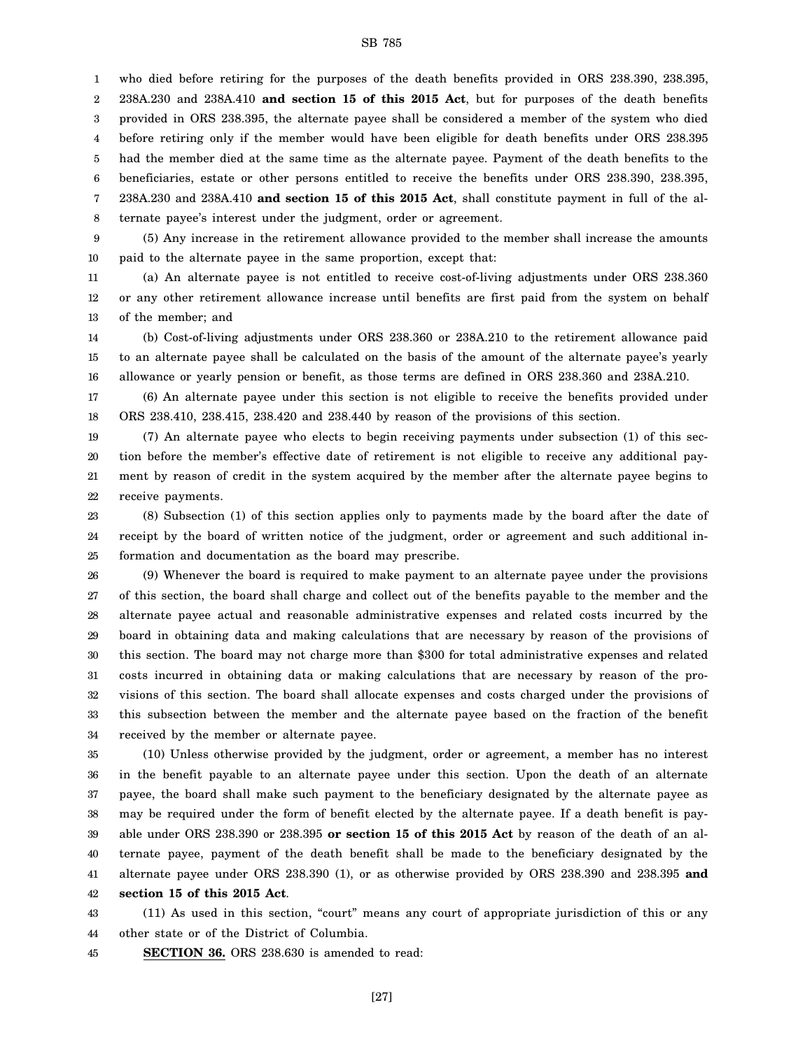1 2 3 4 5 6 7 8 who died before retiring for the purposes of the death benefits provided in ORS 238.390, 238.395, 238A.230 and 238A.410 **and section 15 of this 2015 Act**, but for purposes of the death benefits provided in ORS 238.395, the alternate payee shall be considered a member of the system who died before retiring only if the member would have been eligible for death benefits under ORS 238.395 had the member died at the same time as the alternate payee. Payment of the death benefits to the beneficiaries, estate or other persons entitled to receive the benefits under ORS 238.390, 238.395, 238A.230 and 238A.410 **and section 15 of this 2015 Act**, shall constitute payment in full of the alternate payee's interest under the judgment, order or agreement.

9 10 (5) Any increase in the retirement allowance provided to the member shall increase the amounts paid to the alternate payee in the same proportion, except that:

11 12 13 (a) An alternate payee is not entitled to receive cost-of-living adjustments under ORS 238.360 or any other retirement allowance increase until benefits are first paid from the system on behalf of the member; and

14 15 16 (b) Cost-of-living adjustments under ORS 238.360 or 238A.210 to the retirement allowance paid to an alternate payee shall be calculated on the basis of the amount of the alternate payee's yearly allowance or yearly pension or benefit, as those terms are defined in ORS 238.360 and 238A.210.

17 18 (6) An alternate payee under this section is not eligible to receive the benefits provided under ORS 238.410, 238.415, 238.420 and 238.440 by reason of the provisions of this section.

19 20 21 22 (7) An alternate payee who elects to begin receiving payments under subsection (1) of this section before the member's effective date of retirement is not eligible to receive any additional payment by reason of credit in the system acquired by the member after the alternate payee begins to receive payments.

23 24 25 (8) Subsection (1) of this section applies only to payments made by the board after the date of receipt by the board of written notice of the judgment, order or agreement and such additional information and documentation as the board may prescribe.

26 27 28 29 30 31 32 33 34 (9) Whenever the board is required to make payment to an alternate payee under the provisions of this section, the board shall charge and collect out of the benefits payable to the member and the alternate payee actual and reasonable administrative expenses and related costs incurred by the board in obtaining data and making calculations that are necessary by reason of the provisions of this section. The board may not charge more than \$300 for total administrative expenses and related costs incurred in obtaining data or making calculations that are necessary by reason of the provisions of this section. The board shall allocate expenses and costs charged under the provisions of this subsection between the member and the alternate payee based on the fraction of the benefit received by the member or alternate payee.

35 36 37 38 39 40 41 42 (10) Unless otherwise provided by the judgment, order or agreement, a member has no interest in the benefit payable to an alternate payee under this section. Upon the death of an alternate payee, the board shall make such payment to the beneficiary designated by the alternate payee as may be required under the form of benefit elected by the alternate payee. If a death benefit is payable under ORS 238.390 or 238.395 **or section 15 of this 2015 Act** by reason of the death of an alternate payee, payment of the death benefit shall be made to the beneficiary designated by the alternate payee under ORS 238.390 (1), or as otherwise provided by ORS 238.390 and 238.395 **and section 15 of this 2015 Act**.

43 44 (11) As used in this section, "court" means any court of appropriate jurisdiction of this or any other state or of the District of Columbia.

45 **SECTION 36.** ORS 238.630 is amended to read: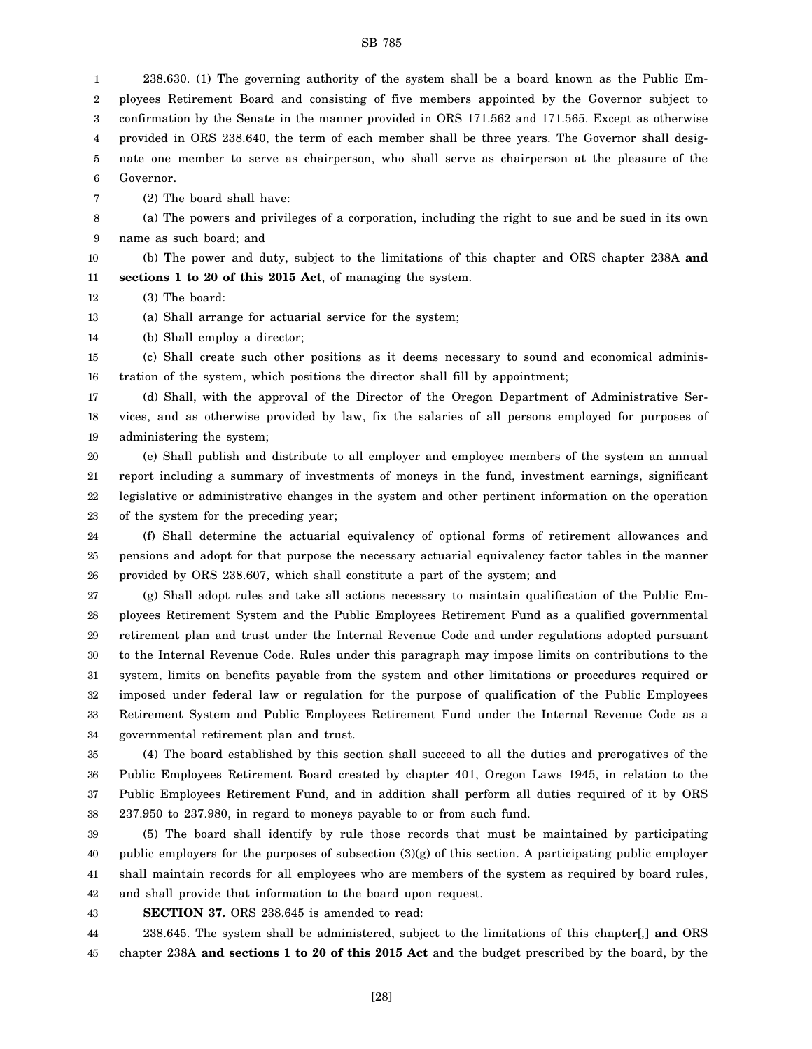[28]

SB 785

1 2 3 4 5 238.630. (1) The governing authority of the system shall be a board known as the Public Employees Retirement Board and consisting of five members appointed by the Governor subject to confirmation by the Senate in the manner provided in ORS 171.562 and 171.565. Except as otherwise provided in ORS 238.640, the term of each member shall be three years. The Governor shall designate one member to serve as chairperson, who shall serve as chairperson at the pleasure of the

6 Governor.

7 (2) The board shall have:

8 9 (a) The powers and privileges of a corporation, including the right to sue and be sued in its own name as such board; and

10 11 (b) The power and duty, subject to the limitations of this chapter and ORS chapter 238A **and sections 1 to 20 of this 2015 Act**, of managing the system.

12 (3) The board:

13 (a) Shall arrange for actuarial service for the system;

14 (b) Shall employ a director;

15 16 (c) Shall create such other positions as it deems necessary to sound and economical administration of the system, which positions the director shall fill by appointment;

17 18 19 (d) Shall, with the approval of the Director of the Oregon Department of Administrative Services, and as otherwise provided by law, fix the salaries of all persons employed for purposes of administering the system;

20 21 22 23 (e) Shall publish and distribute to all employer and employee members of the system an annual report including a summary of investments of moneys in the fund, investment earnings, significant legislative or administrative changes in the system and other pertinent information on the operation of the system for the preceding year;

24 25 26 (f) Shall determine the actuarial equivalency of optional forms of retirement allowances and pensions and adopt for that purpose the necessary actuarial equivalency factor tables in the manner provided by ORS 238.607, which shall constitute a part of the system; and

27 28 29 30 31 32 33 34 (g) Shall adopt rules and take all actions necessary to maintain qualification of the Public Employees Retirement System and the Public Employees Retirement Fund as a qualified governmental retirement plan and trust under the Internal Revenue Code and under regulations adopted pursuant to the Internal Revenue Code. Rules under this paragraph may impose limits on contributions to the system, limits on benefits payable from the system and other limitations or procedures required or imposed under federal law or regulation for the purpose of qualification of the Public Employees Retirement System and Public Employees Retirement Fund under the Internal Revenue Code as a governmental retirement plan and trust.

35 36 37 38 (4) The board established by this section shall succeed to all the duties and prerogatives of the Public Employees Retirement Board created by chapter 401, Oregon Laws 1945, in relation to the Public Employees Retirement Fund, and in addition shall perform all duties required of it by ORS 237.950 to 237.980, in regard to moneys payable to or from such fund.

39 40 41 42 (5) The board shall identify by rule those records that must be maintained by participating public employers for the purposes of subsection (3)(g) of this section. A participating public employer shall maintain records for all employees who are members of the system as required by board rules, and shall provide that information to the board upon request.

43 **SECTION 37.** ORS 238.645 is amended to read:

44 45 238.645. The system shall be administered, subject to the limitations of this chapter[*,*] **and** ORS chapter 238A **and sections 1 to 20 of this 2015 Act** and the budget prescribed by the board, by the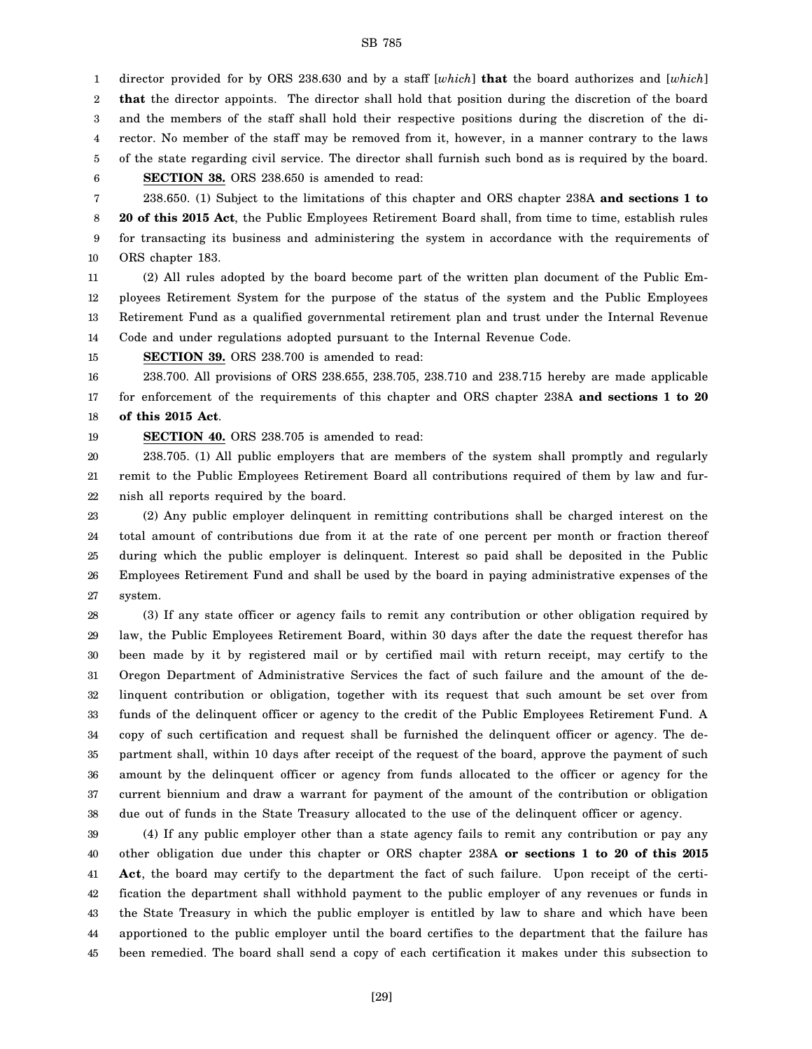1 2 3 4 5 6 7 director provided for by ORS 238.630 and by a staff [*which*] **that** the board authorizes and [*which*] **that** the director appoints. The director shall hold that position during the discretion of the board and the members of the staff shall hold their respective positions during the discretion of the director. No member of the staff may be removed from it, however, in a manner contrary to the laws of the state regarding civil service. The director shall furnish such bond as is required by the board. **SECTION 38.** ORS 238.650 is amended to read: 238.650. (1) Subject to the limitations of this chapter and ORS chapter 238A **and sections 1 to**

8 9 10 **20 of this 2015 Act**, the Public Employees Retirement Board shall, from time to time, establish rules for transacting its business and administering the system in accordance with the requirements of ORS chapter 183.

11 12 13 14 (2) All rules adopted by the board become part of the written plan document of the Public Employees Retirement System for the purpose of the status of the system and the Public Employees Retirement Fund as a qualified governmental retirement plan and trust under the Internal Revenue Code and under regulations adopted pursuant to the Internal Revenue Code.

15 **SECTION 39.** ORS 238.700 is amended to read:

16 17 18 238.700. All provisions of ORS 238.655, 238.705, 238.710 and 238.715 hereby are made applicable for enforcement of the requirements of this chapter and ORS chapter 238A **and sections 1 to 20 of this 2015 Act**.

19 **SECTION 40.** ORS 238.705 is amended to read:

20 21 22 238.705. (1) All public employers that are members of the system shall promptly and regularly remit to the Public Employees Retirement Board all contributions required of them by law and furnish all reports required by the board.

23 24 25 26 27 (2) Any public employer delinquent in remitting contributions shall be charged interest on the total amount of contributions due from it at the rate of one percent per month or fraction thereof during which the public employer is delinquent. Interest so paid shall be deposited in the Public Employees Retirement Fund and shall be used by the board in paying administrative expenses of the system.

28 29 30 31 32 33 34 35 36 37 38 (3) If any state officer or agency fails to remit any contribution or other obligation required by law, the Public Employees Retirement Board, within 30 days after the date the request therefor has been made by it by registered mail or by certified mail with return receipt, may certify to the Oregon Department of Administrative Services the fact of such failure and the amount of the delinquent contribution or obligation, together with its request that such amount be set over from funds of the delinquent officer or agency to the credit of the Public Employees Retirement Fund. A copy of such certification and request shall be furnished the delinquent officer or agency. The department shall, within 10 days after receipt of the request of the board, approve the payment of such amount by the delinquent officer or agency from funds allocated to the officer or agency for the current biennium and draw a warrant for payment of the amount of the contribution or obligation due out of funds in the State Treasury allocated to the use of the delinquent officer or agency.

39 40 41 42 43 44 45 (4) If any public employer other than a state agency fails to remit any contribution or pay any other obligation due under this chapter or ORS chapter 238A **or sections 1 to 20 of this 2015 Act**, the board may certify to the department the fact of such failure. Upon receipt of the certification the department shall withhold payment to the public employer of any revenues or funds in the State Treasury in which the public employer is entitled by law to share and which have been apportioned to the public employer until the board certifies to the department that the failure has been remedied. The board shall send a copy of each certification it makes under this subsection to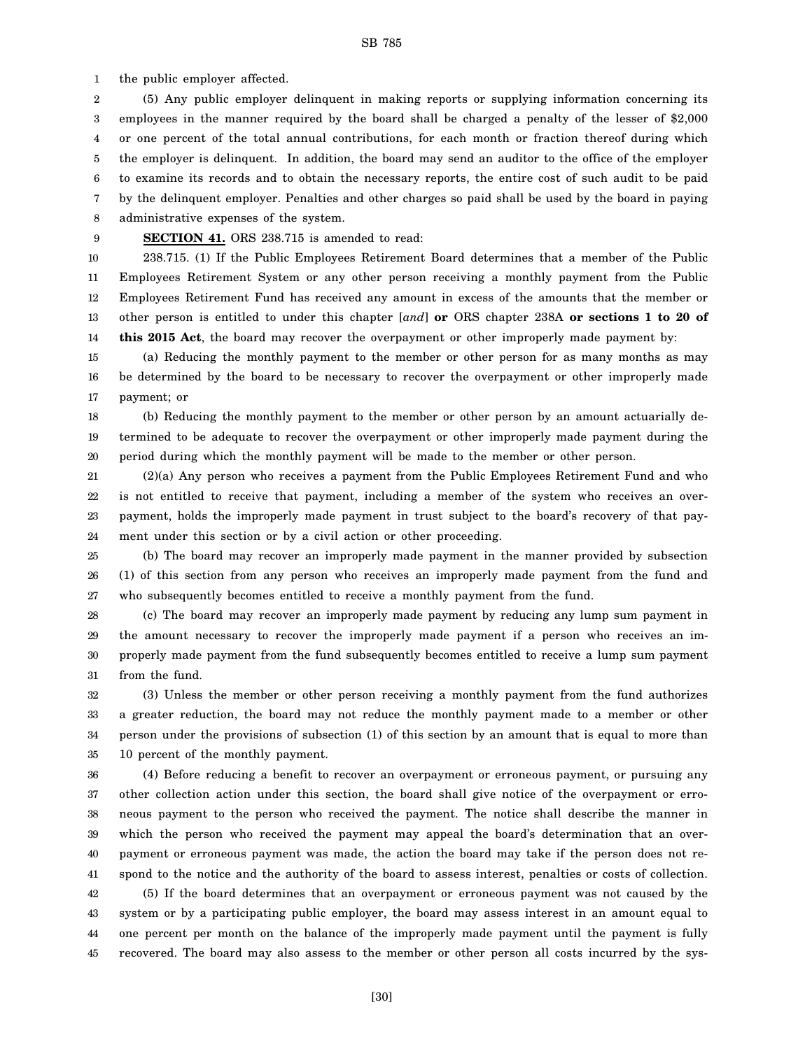1 the public employer affected.

2 3 4 5 6 7 8 (5) Any public employer delinquent in making reports or supplying information concerning its employees in the manner required by the board shall be charged a penalty of the lesser of \$2,000 or one percent of the total annual contributions, for each month or fraction thereof during which the employer is delinquent. In addition, the board may send an auditor to the office of the employer to examine its records and to obtain the necessary reports, the entire cost of such audit to be paid by the delinquent employer. Penalties and other charges so paid shall be used by the board in paying administrative expenses of the system.

9

#### **SECTION 41.** ORS 238.715 is amended to read:

10 11 12 13 14 238.715. (1) If the Public Employees Retirement Board determines that a member of the Public Employees Retirement System or any other person receiving a monthly payment from the Public Employees Retirement Fund has received any amount in excess of the amounts that the member or other person is entitled to under this chapter [*and*] **or** ORS chapter 238A **or sections 1 to 20 of this 2015 Act**, the board may recover the overpayment or other improperly made payment by:

15 16 17 (a) Reducing the monthly payment to the member or other person for as many months as may be determined by the board to be necessary to recover the overpayment or other improperly made payment; or

18 19 20 (b) Reducing the monthly payment to the member or other person by an amount actuarially determined to be adequate to recover the overpayment or other improperly made payment during the period during which the monthly payment will be made to the member or other person.

21 22 23 24 (2)(a) Any person who receives a payment from the Public Employees Retirement Fund and who is not entitled to receive that payment, including a member of the system who receives an overpayment, holds the improperly made payment in trust subject to the board's recovery of that payment under this section or by a civil action or other proceeding.

25 26 27 (b) The board may recover an improperly made payment in the manner provided by subsection (1) of this section from any person who receives an improperly made payment from the fund and who subsequently becomes entitled to receive a monthly payment from the fund.

28 29 30 31 (c) The board may recover an improperly made payment by reducing any lump sum payment in the amount necessary to recover the improperly made payment if a person who receives an improperly made payment from the fund subsequently becomes entitled to receive a lump sum payment from the fund.

32 33 34 35 (3) Unless the member or other person receiving a monthly payment from the fund authorizes a greater reduction, the board may not reduce the monthly payment made to a member or other person under the provisions of subsection (1) of this section by an amount that is equal to more than 10 percent of the monthly payment.

36 37 38 39 40 41 42 43 44 45 (4) Before reducing a benefit to recover an overpayment or erroneous payment, or pursuing any other collection action under this section, the board shall give notice of the overpayment or erroneous payment to the person who received the payment. The notice shall describe the manner in which the person who received the payment may appeal the board's determination that an overpayment or erroneous payment was made, the action the board may take if the person does not respond to the notice and the authority of the board to assess interest, penalties or costs of collection. (5) If the board determines that an overpayment or erroneous payment was not caused by the system or by a participating public employer, the board may assess interest in an amount equal to one percent per month on the balance of the improperly made payment until the payment is fully recovered. The board may also assess to the member or other person all costs incurred by the sys-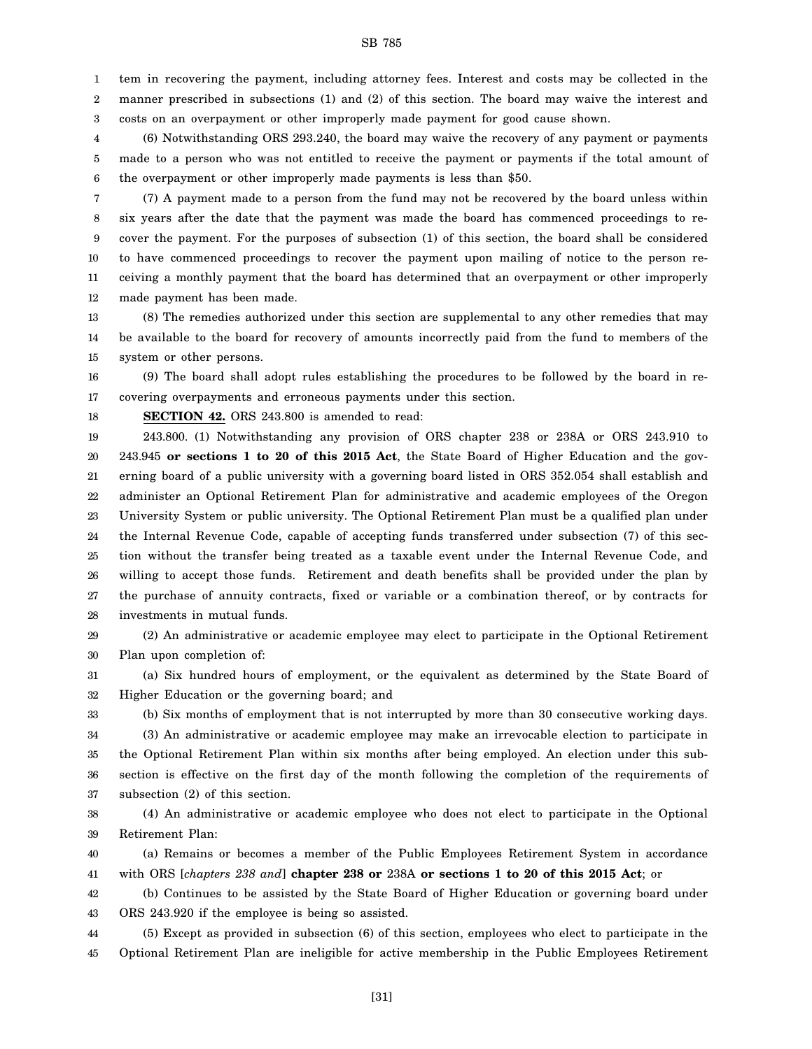1 2 3 tem in recovering the payment, including attorney fees. Interest and costs may be collected in the manner prescribed in subsections (1) and (2) of this section. The board may waive the interest and costs on an overpayment or other improperly made payment for good cause shown.

4 5 6 (6) Notwithstanding ORS 293.240, the board may waive the recovery of any payment or payments made to a person who was not entitled to receive the payment or payments if the total amount of the overpayment or other improperly made payments is less than \$50.

7 8 9 10 11 12 (7) A payment made to a person from the fund may not be recovered by the board unless within six years after the date that the payment was made the board has commenced proceedings to recover the payment. For the purposes of subsection (1) of this section, the board shall be considered to have commenced proceedings to recover the payment upon mailing of notice to the person receiving a monthly payment that the board has determined that an overpayment or other improperly made payment has been made.

13 14 15 (8) The remedies authorized under this section are supplemental to any other remedies that may be available to the board for recovery of amounts incorrectly paid from the fund to members of the system or other persons.

16 17 (9) The board shall adopt rules establishing the procedures to be followed by the board in recovering overpayments and erroneous payments under this section.

18

**SECTION 42.** ORS 243.800 is amended to read:

19 20 21 22 23 24 25 26 27 28 243.800. (1) Notwithstanding any provision of ORS chapter 238 or 238A or ORS 243.910 to 243.945 **or sections 1 to 20 of this 2015 Act**, the State Board of Higher Education and the governing board of a public university with a governing board listed in ORS 352.054 shall establish and administer an Optional Retirement Plan for administrative and academic employees of the Oregon University System or public university. The Optional Retirement Plan must be a qualified plan under the Internal Revenue Code, capable of accepting funds transferred under subsection (7) of this section without the transfer being treated as a taxable event under the Internal Revenue Code, and willing to accept those funds. Retirement and death benefits shall be provided under the plan by the purchase of annuity contracts, fixed or variable or a combination thereof, or by contracts for investments in mutual funds.

29 30 (2) An administrative or academic employee may elect to participate in the Optional Retirement Plan upon completion of:

31 32 (a) Six hundred hours of employment, or the equivalent as determined by the State Board of Higher Education or the governing board; and

33

(b) Six months of employment that is not interrupted by more than 30 consecutive working days.

34 35 36 37 (3) An administrative or academic employee may make an irrevocable election to participate in the Optional Retirement Plan within six months after being employed. An election under this subsection is effective on the first day of the month following the completion of the requirements of subsection (2) of this section.

38 39 (4) An administrative or academic employee who does not elect to participate in the Optional Retirement Plan:

40 41 (a) Remains or becomes a member of the Public Employees Retirement System in accordance with ORS [*chapters 238 and*] **chapter 238 or** 238A **or sections 1 to 20 of this 2015 Act**; or

42 43 (b) Continues to be assisted by the State Board of Higher Education or governing board under ORS 243.920 if the employee is being so assisted.

44 45 (5) Except as provided in subsection (6) of this section, employees who elect to participate in the Optional Retirement Plan are ineligible for active membership in the Public Employees Retirement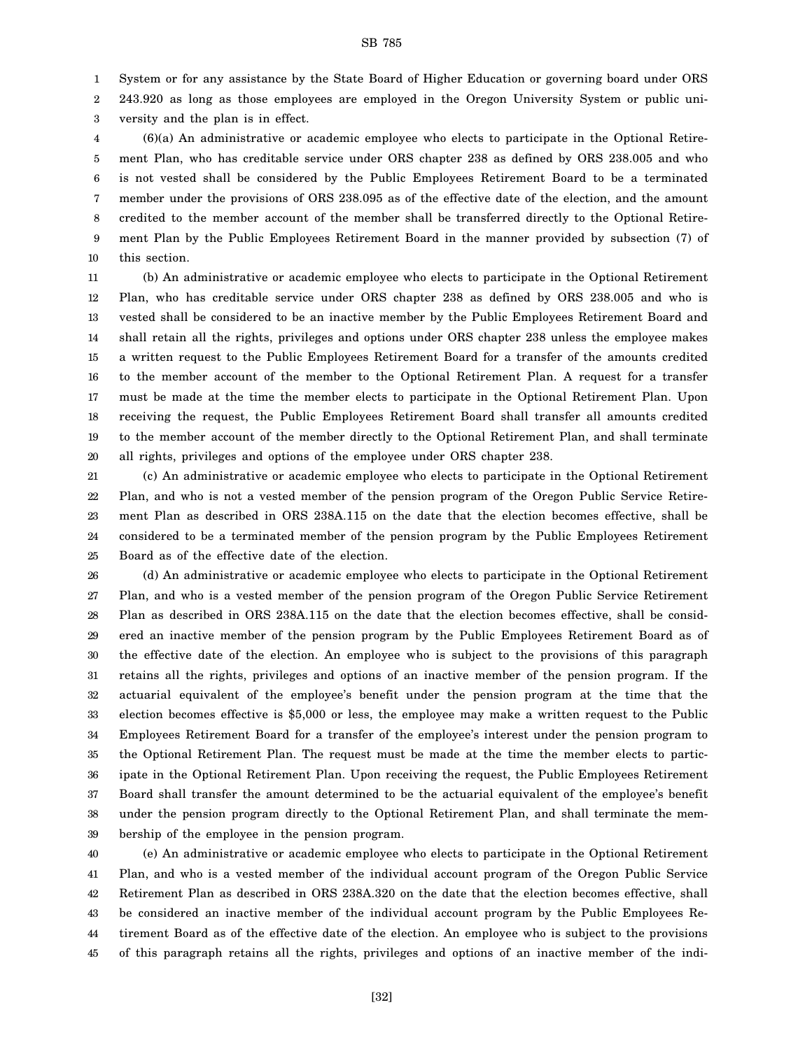1 System or for any assistance by the State Board of Higher Education or governing board under ORS

2 243.920 as long as those employees are employed in the Oregon University System or public uni-

3 versity and the plan is in effect.

4 5 6 7 8 9 10 (6)(a) An administrative or academic employee who elects to participate in the Optional Retirement Plan, who has creditable service under ORS chapter 238 as defined by ORS 238.005 and who is not vested shall be considered by the Public Employees Retirement Board to be a terminated member under the provisions of ORS 238.095 as of the effective date of the election, and the amount credited to the member account of the member shall be transferred directly to the Optional Retirement Plan by the Public Employees Retirement Board in the manner provided by subsection (7) of this section.

11 12 13 14 15 16 17 18 19 20 (b) An administrative or academic employee who elects to participate in the Optional Retirement Plan, who has creditable service under ORS chapter 238 as defined by ORS 238.005 and who is vested shall be considered to be an inactive member by the Public Employees Retirement Board and shall retain all the rights, privileges and options under ORS chapter 238 unless the employee makes a written request to the Public Employees Retirement Board for a transfer of the amounts credited to the member account of the member to the Optional Retirement Plan. A request for a transfer must be made at the time the member elects to participate in the Optional Retirement Plan. Upon receiving the request, the Public Employees Retirement Board shall transfer all amounts credited to the member account of the member directly to the Optional Retirement Plan, and shall terminate all rights, privileges and options of the employee under ORS chapter 238.

21 22 23 24 25 (c) An administrative or academic employee who elects to participate in the Optional Retirement Plan, and who is not a vested member of the pension program of the Oregon Public Service Retirement Plan as described in ORS 238A.115 on the date that the election becomes effective, shall be considered to be a terminated member of the pension program by the Public Employees Retirement Board as of the effective date of the election.

26 27 28 29 30 31 32 33 34 35 36 37 38 39 (d) An administrative or academic employee who elects to participate in the Optional Retirement Plan, and who is a vested member of the pension program of the Oregon Public Service Retirement Plan as described in ORS 238A.115 on the date that the election becomes effective, shall be considered an inactive member of the pension program by the Public Employees Retirement Board as of the effective date of the election. An employee who is subject to the provisions of this paragraph retains all the rights, privileges and options of an inactive member of the pension program. If the actuarial equivalent of the employee's benefit under the pension program at the time that the election becomes effective is \$5,000 or less, the employee may make a written request to the Public Employees Retirement Board for a transfer of the employee's interest under the pension program to the Optional Retirement Plan. The request must be made at the time the member elects to participate in the Optional Retirement Plan. Upon receiving the request, the Public Employees Retirement Board shall transfer the amount determined to be the actuarial equivalent of the employee's benefit under the pension program directly to the Optional Retirement Plan, and shall terminate the membership of the employee in the pension program.

40 41 42 43 44 45 (e) An administrative or academic employee who elects to participate in the Optional Retirement Plan, and who is a vested member of the individual account program of the Oregon Public Service Retirement Plan as described in ORS 238A.320 on the date that the election becomes effective, shall be considered an inactive member of the individual account program by the Public Employees Retirement Board as of the effective date of the election. An employee who is subject to the provisions of this paragraph retains all the rights, privileges and options of an inactive member of the indi-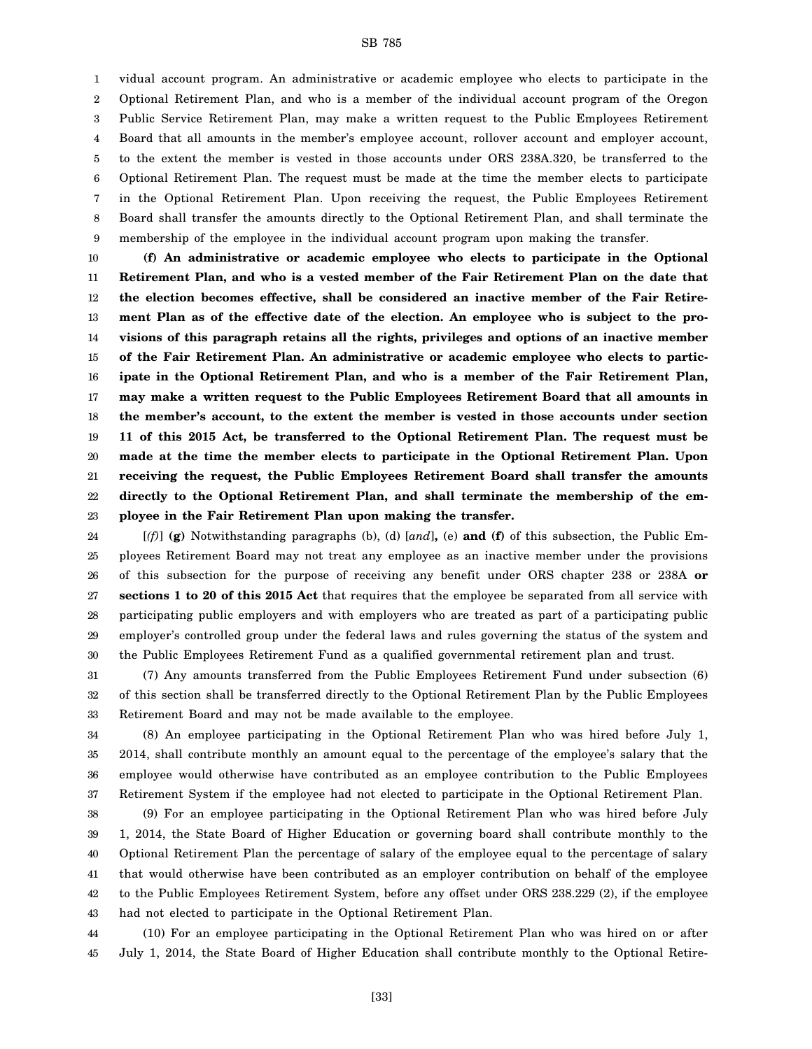1 2 3 4 5 6 7 8 9 vidual account program. An administrative or academic employee who elects to participate in the Optional Retirement Plan, and who is a member of the individual account program of the Oregon Public Service Retirement Plan, may make a written request to the Public Employees Retirement Board that all amounts in the member's employee account, rollover account and employer account, to the extent the member is vested in those accounts under ORS 238A.320, be transferred to the Optional Retirement Plan. The request must be made at the time the member elects to participate in the Optional Retirement Plan. Upon receiving the request, the Public Employees Retirement Board shall transfer the amounts directly to the Optional Retirement Plan, and shall terminate the membership of the employee in the individual account program upon making the transfer.

10 11 12 13 14 15 16 17 18 19 20 21 22 23 **(f) An administrative or academic employee who elects to participate in the Optional Retirement Plan, and who is a vested member of the Fair Retirement Plan on the date that the election becomes effective, shall be considered an inactive member of the Fair Retirement Plan as of the effective date of the election. An employee who is subject to the provisions of this paragraph retains all the rights, privileges and options of an inactive member of the Fair Retirement Plan. An administrative or academic employee who elects to participate in the Optional Retirement Plan, and who is a member of the Fair Retirement Plan, may make a written request to the Public Employees Retirement Board that all amounts in the member's account, to the extent the member is vested in those accounts under section 11 of this 2015 Act, be transferred to the Optional Retirement Plan. The request must be made at the time the member elects to participate in the Optional Retirement Plan. Upon receiving the request, the Public Employees Retirement Board shall transfer the amounts directly to the Optional Retirement Plan, and shall terminate the membership of the employee in the Fair Retirement Plan upon making the transfer.**

24 25 26 27 28 29 30 [*(f)*] **(g)** Notwithstanding paragraphs (b), (d) [*and*]**,** (e) **and (f)** of this subsection, the Public Employees Retirement Board may not treat any employee as an inactive member under the provisions of this subsection for the purpose of receiving any benefit under ORS chapter 238 or 238A **or sections 1 to 20 of this 2015 Act** that requires that the employee be separated from all service with participating public employers and with employers who are treated as part of a participating public employer's controlled group under the federal laws and rules governing the status of the system and the Public Employees Retirement Fund as a qualified governmental retirement plan and trust.

31 32 33 (7) Any amounts transferred from the Public Employees Retirement Fund under subsection (6) of this section shall be transferred directly to the Optional Retirement Plan by the Public Employees Retirement Board and may not be made available to the employee.

34 35 36 37 (8) An employee participating in the Optional Retirement Plan who was hired before July 1, 2014, shall contribute monthly an amount equal to the percentage of the employee's salary that the employee would otherwise have contributed as an employee contribution to the Public Employees Retirement System if the employee had not elected to participate in the Optional Retirement Plan.

38 39 40 41 42 43 (9) For an employee participating in the Optional Retirement Plan who was hired before July 1, 2014, the State Board of Higher Education or governing board shall contribute monthly to the Optional Retirement Plan the percentage of salary of the employee equal to the percentage of salary that would otherwise have been contributed as an employer contribution on behalf of the employee to the Public Employees Retirement System, before any offset under ORS 238.229 (2), if the employee had not elected to participate in the Optional Retirement Plan.

44 45 (10) For an employee participating in the Optional Retirement Plan who was hired on or after July 1, 2014, the State Board of Higher Education shall contribute monthly to the Optional Retire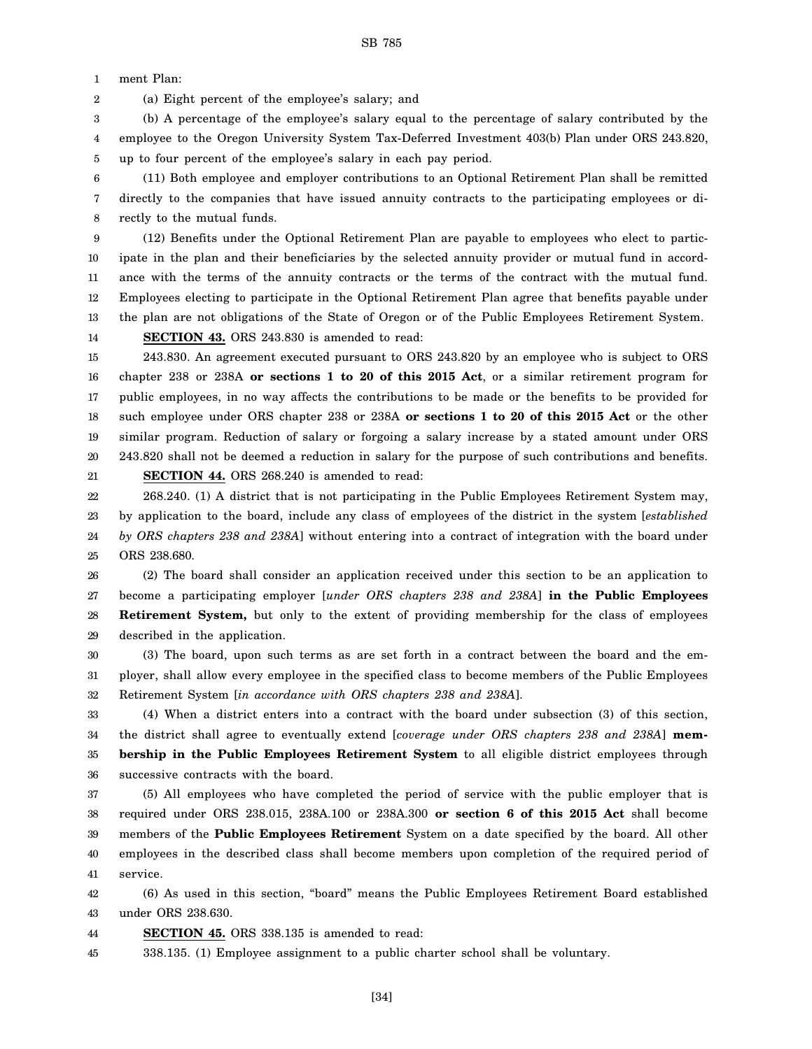1 ment Plan:

2 (a) Eight percent of the employee's salary; and

3 4 5 (b) A percentage of the employee's salary equal to the percentage of salary contributed by the employee to the Oregon University System Tax-Deferred Investment 403(b) Plan under ORS 243.820, up to four percent of the employee's salary in each pay period.

6 7 8 (11) Both employee and employer contributions to an Optional Retirement Plan shall be remitted directly to the companies that have issued annuity contracts to the participating employees or directly to the mutual funds.

9 10 11 12 13 14 (12) Benefits under the Optional Retirement Plan are payable to employees who elect to participate in the plan and their beneficiaries by the selected annuity provider or mutual fund in accordance with the terms of the annuity contracts or the terms of the contract with the mutual fund. Employees electing to participate in the Optional Retirement Plan agree that benefits payable under the plan are not obligations of the State of Oregon or of the Public Employees Retirement System. **SECTION 43.** ORS 243.830 is amended to read:

15 16 17 18 19 20 21 243.830. An agreement executed pursuant to ORS 243.820 by an employee who is subject to ORS chapter 238 or 238A **or sections 1 to 20 of this 2015 Act**, or a similar retirement program for public employees, in no way affects the contributions to be made or the benefits to be provided for such employee under ORS chapter 238 or 238A **or sections 1 to 20 of this 2015 Act** or the other similar program. Reduction of salary or forgoing a salary increase by a stated amount under ORS 243.820 shall not be deemed a reduction in salary for the purpose of such contributions and benefits. **SECTION 44.** ORS 268.240 is amended to read:

22 23 24 25 268.240. (1) A district that is not participating in the Public Employees Retirement System may, by application to the board, include any class of employees of the district in the system [*established by ORS chapters 238 and 238A*] without entering into a contract of integration with the board under ORS 238.680.

26 27 28 29 (2) The board shall consider an application received under this section to be an application to become a participating employer [*under ORS chapters 238 and 238A*] **in the Public Employees Retirement System,** but only to the extent of providing membership for the class of employees described in the application.

30 31 32 (3) The board, upon such terms as are set forth in a contract between the board and the employer, shall allow every employee in the specified class to become members of the Public Employees Retirement System [*in accordance with ORS chapters 238 and 238A*].

33 34 35 36 (4) When a district enters into a contract with the board under subsection (3) of this section, the district shall agree to eventually extend [*coverage under ORS chapters 238 and 238A*] **membership in the Public Employees Retirement System** to all eligible district employees through successive contracts with the board.

37 38 39 40 41 (5) All employees who have completed the period of service with the public employer that is required under ORS 238.015, 238A.100 or 238A.300 **or section 6 of this 2015 Act** shall become members of the **Public Employees Retirement** System on a date specified by the board. All other employees in the described class shall become members upon completion of the required period of service.

42 43 (6) As used in this section, "board" means the Public Employees Retirement Board established under ORS 238.630.

44 **SECTION 45.** ORS 338.135 is amended to read:

45 338.135. (1) Employee assignment to a public charter school shall be voluntary.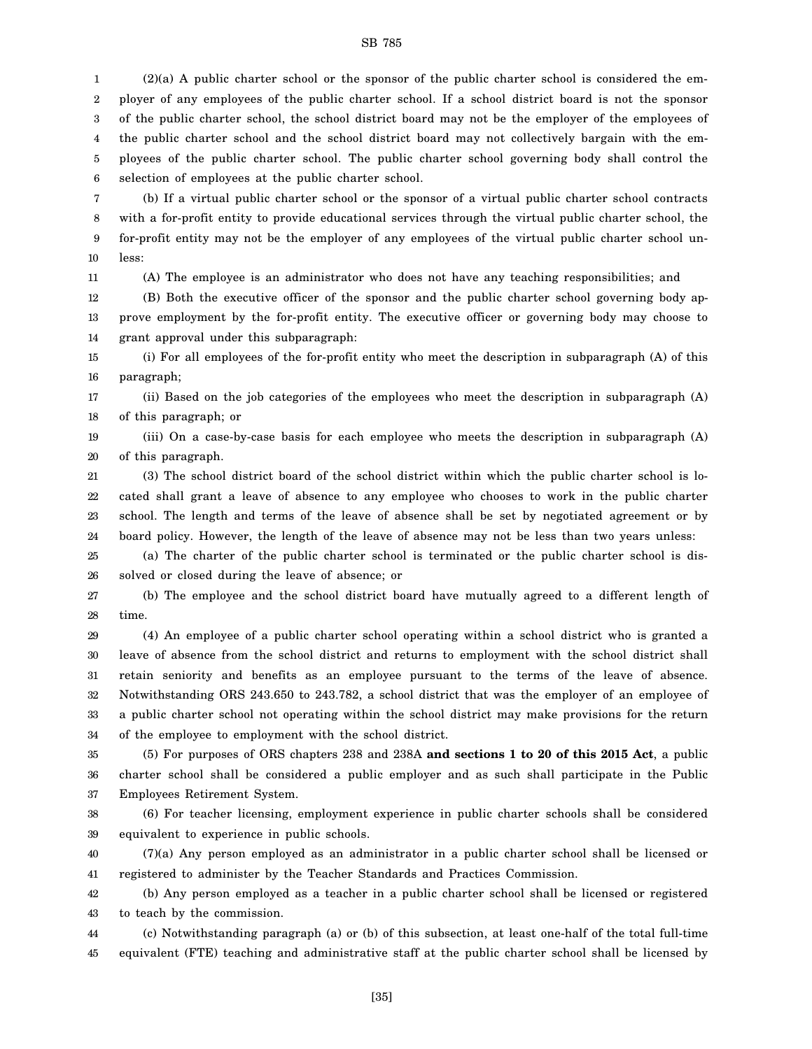1 2 3 4 5 6 (2)(a) A public charter school or the sponsor of the public charter school is considered the employer of any employees of the public charter school. If a school district board is not the sponsor of the public charter school, the school district board may not be the employer of the employees of the public charter school and the school district board may not collectively bargain with the employees of the public charter school. The public charter school governing body shall control the selection of employees at the public charter school.

7 8 9 10 (b) If a virtual public charter school or the sponsor of a virtual public charter school contracts with a for-profit entity to provide educational services through the virtual public charter school, the for-profit entity may not be the employer of any employees of the virtual public charter school unless:

11

(A) The employee is an administrator who does not have any teaching responsibilities; and

12 13 14 (B) Both the executive officer of the sponsor and the public charter school governing body approve employment by the for-profit entity. The executive officer or governing body may choose to grant approval under this subparagraph:

15 16 (i) For all employees of the for-profit entity who meet the description in subparagraph (A) of this paragraph;

17 18 (ii) Based on the job categories of the employees who meet the description in subparagraph (A) of this paragraph; or

19 20 (iii) On a case-by-case basis for each employee who meets the description in subparagraph (A) of this paragraph.

21 22 23 24 (3) The school district board of the school district within which the public charter school is located shall grant a leave of absence to any employee who chooses to work in the public charter school. The length and terms of the leave of absence shall be set by negotiated agreement or by board policy. However, the length of the leave of absence may not be less than two years unless:

25 26 (a) The charter of the public charter school is terminated or the public charter school is dissolved or closed during the leave of absence; or

27 28 (b) The employee and the school district board have mutually agreed to a different length of time.

29 30 31 32 33 34 (4) An employee of a public charter school operating within a school district who is granted a leave of absence from the school district and returns to employment with the school district shall retain seniority and benefits as an employee pursuant to the terms of the leave of absence. Notwithstanding ORS 243.650 to 243.782, a school district that was the employer of an employee of a public charter school not operating within the school district may make provisions for the return of the employee to employment with the school district.

35 36 37 (5) For purposes of ORS chapters 238 and 238A **and sections 1 to 20 of this 2015 Act**, a public charter school shall be considered a public employer and as such shall participate in the Public Employees Retirement System.

38 39 (6) For teacher licensing, employment experience in public charter schools shall be considered equivalent to experience in public schools.

40 41 (7)(a) Any person employed as an administrator in a public charter school shall be licensed or registered to administer by the Teacher Standards and Practices Commission.

42 43 (b) Any person employed as a teacher in a public charter school shall be licensed or registered to teach by the commission.

44 45 (c) Notwithstanding paragraph (a) or (b) of this subsection, at least one-half of the total full-time equivalent (FTE) teaching and administrative staff at the public charter school shall be licensed by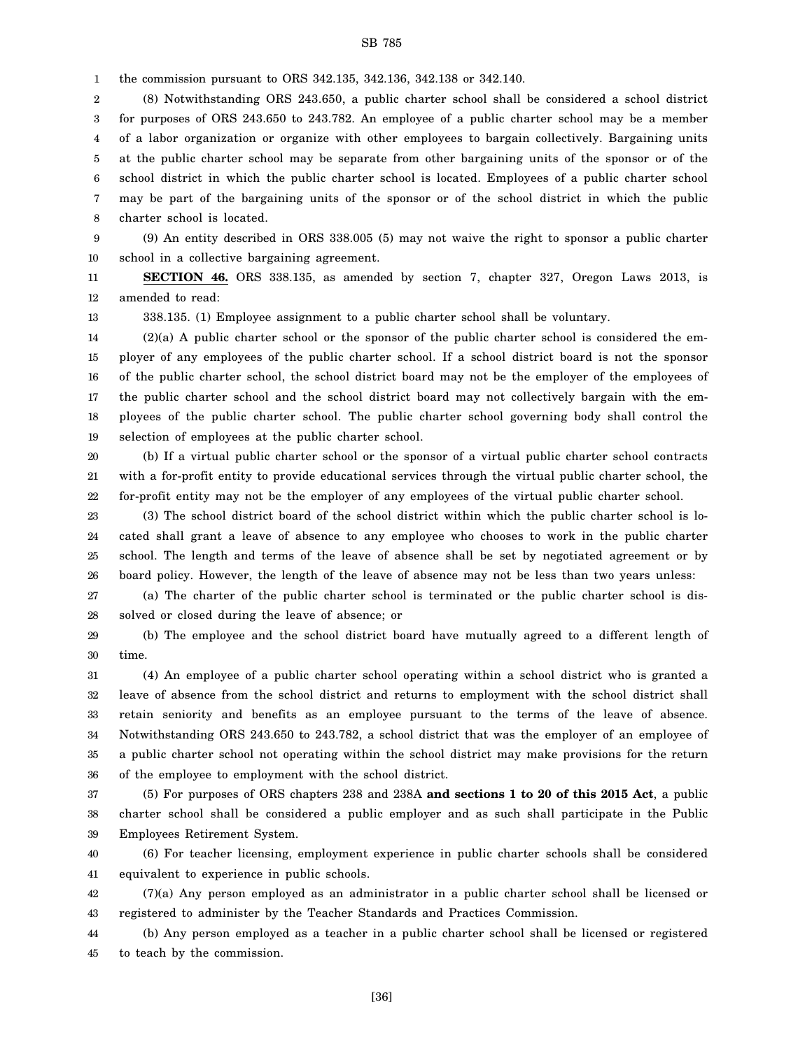1 the commission pursuant to ORS 342.135, 342.136, 342.138 or 342.140.

2 3 4 5 6 7 8 (8) Notwithstanding ORS 243.650, a public charter school shall be considered a school district for purposes of ORS 243.650 to 243.782. An employee of a public charter school may be a member of a labor organization or organize with other employees to bargain collectively. Bargaining units at the public charter school may be separate from other bargaining units of the sponsor or of the school district in which the public charter school is located. Employees of a public charter school may be part of the bargaining units of the sponsor or of the school district in which the public charter school is located.

9 10 (9) An entity described in ORS 338.005 (5) may not waive the right to sponsor a public charter school in a collective bargaining agreement.

11 12 **SECTION 46.** ORS 338.135, as amended by section 7, chapter 327, Oregon Laws 2013, is amended to read:

338.135. (1) Employee assignment to a public charter school shall be voluntary.

13

14 15 16 17 18 19  $(2)(a)$  A public charter school or the sponsor of the public charter school is considered the employer of any employees of the public charter school. If a school district board is not the sponsor of the public charter school, the school district board may not be the employer of the employees of the public charter school and the school district board may not collectively bargain with the employees of the public charter school. The public charter school governing body shall control the selection of employees at the public charter school.

20 21 22 (b) If a virtual public charter school or the sponsor of a virtual public charter school contracts with a for-profit entity to provide educational services through the virtual public charter school, the for-profit entity may not be the employer of any employees of the virtual public charter school.

23 24 25 26 (3) The school district board of the school district within which the public charter school is located shall grant a leave of absence to any employee who chooses to work in the public charter school. The length and terms of the leave of absence shall be set by negotiated agreement or by board policy. However, the length of the leave of absence may not be less than two years unless:

27 28 (a) The charter of the public charter school is terminated or the public charter school is dissolved or closed during the leave of absence; or

29 30 (b) The employee and the school district board have mutually agreed to a different length of time.

31 32 33 34 35 36 (4) An employee of a public charter school operating within a school district who is granted a leave of absence from the school district and returns to employment with the school district shall retain seniority and benefits as an employee pursuant to the terms of the leave of absence. Notwithstanding ORS 243.650 to 243.782, a school district that was the employer of an employee of a public charter school not operating within the school district may make provisions for the return of the employee to employment with the school district.

37 38 39 (5) For purposes of ORS chapters 238 and 238A **and sections 1 to 20 of this 2015 Act**, a public charter school shall be considered a public employer and as such shall participate in the Public Employees Retirement System.

40 41 (6) For teacher licensing, employment experience in public charter schools shall be considered equivalent to experience in public schools.

42 43 (7)(a) Any person employed as an administrator in a public charter school shall be licensed or registered to administer by the Teacher Standards and Practices Commission.

44 45 (b) Any person employed as a teacher in a public charter school shall be licensed or registered to teach by the commission.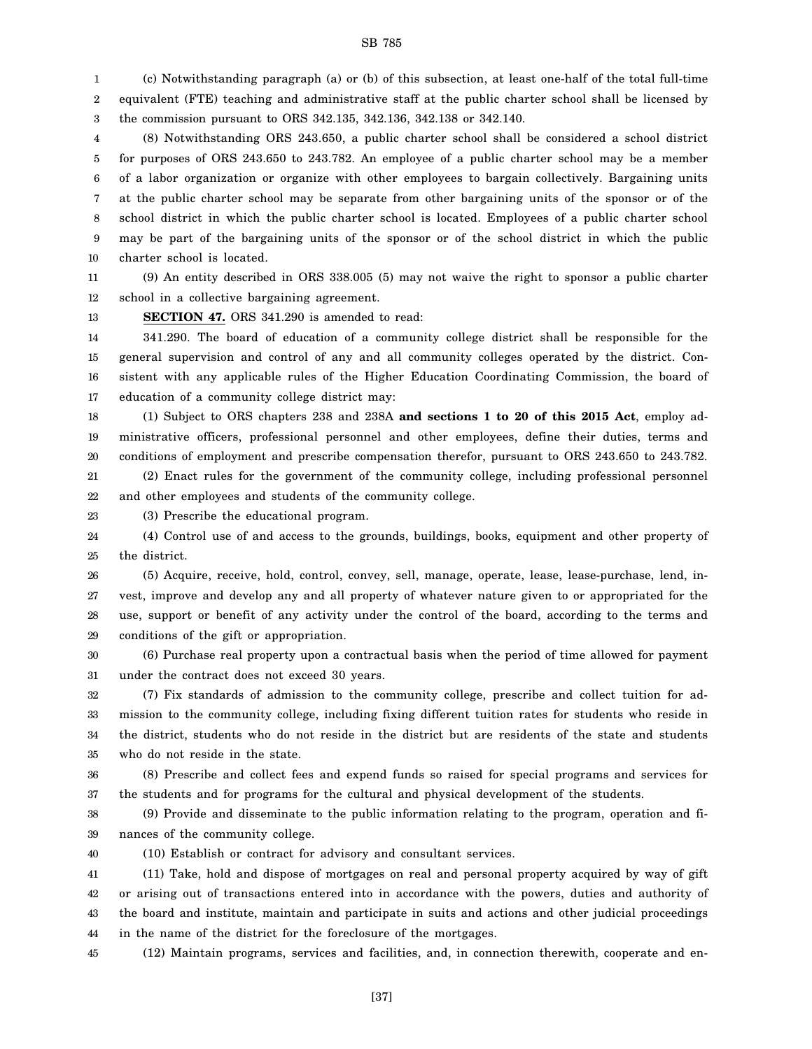1 2 3 (c) Notwithstanding paragraph (a) or (b) of this subsection, at least one-half of the total full-time equivalent (FTE) teaching and administrative staff at the public charter school shall be licensed by the commission pursuant to ORS 342.135, 342.136, 342.138 or 342.140.

4 5 6 7 8 9 10 (8) Notwithstanding ORS 243.650, a public charter school shall be considered a school district for purposes of ORS 243.650 to 243.782. An employee of a public charter school may be a member of a labor organization or organize with other employees to bargain collectively. Bargaining units at the public charter school may be separate from other bargaining units of the sponsor or of the school district in which the public charter school is located. Employees of a public charter school may be part of the bargaining units of the sponsor or of the school district in which the public charter school is located.

11 12 (9) An entity described in ORS 338.005 (5) may not waive the right to sponsor a public charter school in a collective bargaining agreement.

13

**SECTION 47.** ORS 341.290 is amended to read:

14 15 16 17 341.290. The board of education of a community college district shall be responsible for the general supervision and control of any and all community colleges operated by the district. Consistent with any applicable rules of the Higher Education Coordinating Commission, the board of education of a community college district may:

18 19 20 (1) Subject to ORS chapters 238 and 238A **and sections 1 to 20 of this 2015 Act**, employ administrative officers, professional personnel and other employees, define their duties, terms and conditions of employment and prescribe compensation therefor, pursuant to ORS 243.650 to 243.782.

21 22 (2) Enact rules for the government of the community college, including professional personnel and other employees and students of the community college.

23 (3) Prescribe the educational program.

24 25 (4) Control use of and access to the grounds, buildings, books, equipment and other property of the district.

26 27 28 29 (5) Acquire, receive, hold, control, convey, sell, manage, operate, lease, lease-purchase, lend, invest, improve and develop any and all property of whatever nature given to or appropriated for the use, support or benefit of any activity under the control of the board, according to the terms and conditions of the gift or appropriation.

30 31 (6) Purchase real property upon a contractual basis when the period of time allowed for payment under the contract does not exceed 30 years.

32 33 34 35 (7) Fix standards of admission to the community college, prescribe and collect tuition for admission to the community college, including fixing different tuition rates for students who reside in the district, students who do not reside in the district but are residents of the state and students who do not reside in the state.

36 37 (8) Prescribe and collect fees and expend funds so raised for special programs and services for the students and for programs for the cultural and physical development of the students.

38 39 (9) Provide and disseminate to the public information relating to the program, operation and finances of the community college.

40

(10) Establish or contract for advisory and consultant services.

41 42 43 44 (11) Take, hold and dispose of mortgages on real and personal property acquired by way of gift or arising out of transactions entered into in accordance with the powers, duties and authority of the board and institute, maintain and participate in suits and actions and other judicial proceedings in the name of the district for the foreclosure of the mortgages.

45 (12) Maintain programs, services and facilities, and, in connection therewith, cooperate and en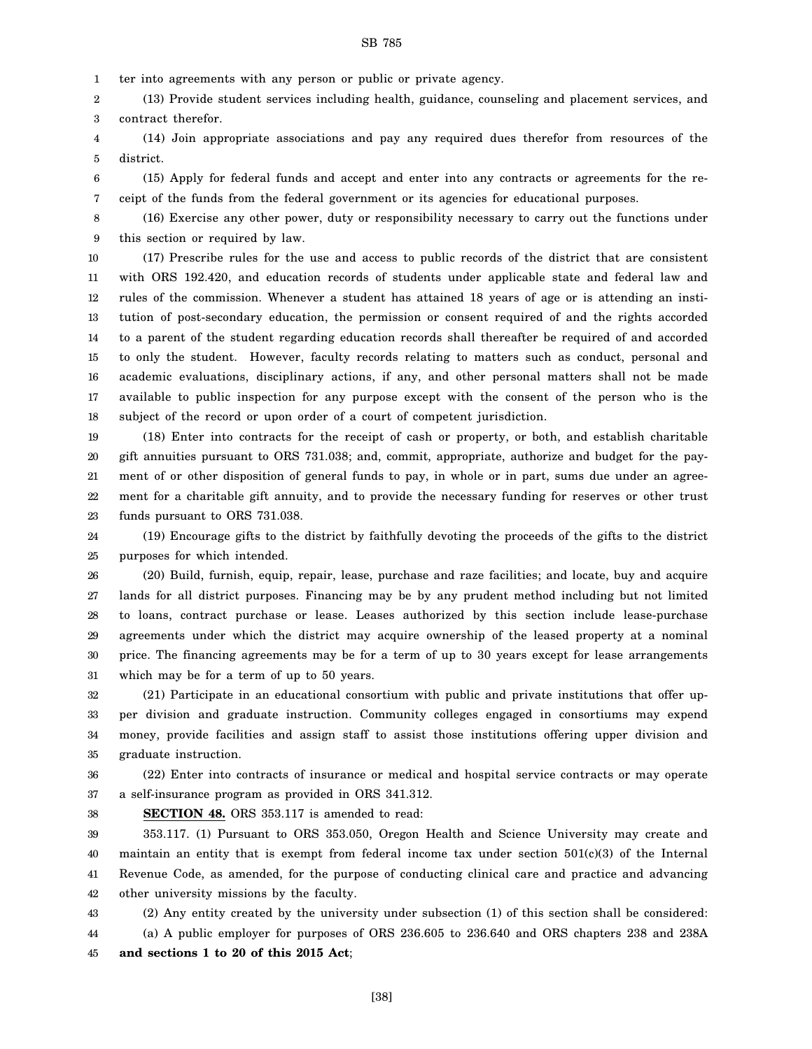1 ter into agreements with any person or public or private agency.

2 3 (13) Provide student services including health, guidance, counseling and placement services, and contract therefor.

4 5 (14) Join appropriate associations and pay any required dues therefor from resources of the district.

6 7 (15) Apply for federal funds and accept and enter into any contracts or agreements for the receipt of the funds from the federal government or its agencies for educational purposes.

8 9 (16) Exercise any other power, duty or responsibility necessary to carry out the functions under this section or required by law.

10 11 12 13 14 15 16 17 18 (17) Prescribe rules for the use and access to public records of the district that are consistent with ORS 192.420, and education records of students under applicable state and federal law and rules of the commission. Whenever a student has attained 18 years of age or is attending an institution of post-secondary education, the permission or consent required of and the rights accorded to a parent of the student regarding education records shall thereafter be required of and accorded to only the student. However, faculty records relating to matters such as conduct, personal and academic evaluations, disciplinary actions, if any, and other personal matters shall not be made available to public inspection for any purpose except with the consent of the person who is the subject of the record or upon order of a court of competent jurisdiction.

19 20 21 22 23 (18) Enter into contracts for the receipt of cash or property, or both, and establish charitable gift annuities pursuant to ORS 731.038; and, commit, appropriate, authorize and budget for the payment of or other disposition of general funds to pay, in whole or in part, sums due under an agreement for a charitable gift annuity, and to provide the necessary funding for reserves or other trust funds pursuant to ORS 731.038.

24 25 (19) Encourage gifts to the district by faithfully devoting the proceeds of the gifts to the district purposes for which intended.

26 27 28 29 30 31 (20) Build, furnish, equip, repair, lease, purchase and raze facilities; and locate, buy and acquire lands for all district purposes. Financing may be by any prudent method including but not limited to loans, contract purchase or lease. Leases authorized by this section include lease-purchase agreements under which the district may acquire ownership of the leased property at a nominal price. The financing agreements may be for a term of up to 30 years except for lease arrangements which may be for a term of up to 50 years.

32 33 34 35 (21) Participate in an educational consortium with public and private institutions that offer upper division and graduate instruction. Community colleges engaged in consortiums may expend money, provide facilities and assign staff to assist those institutions offering upper division and graduate instruction.

36 37 (22) Enter into contracts of insurance or medical and hospital service contracts or may operate a self-insurance program as provided in ORS 341.312.

**SECTION 48.** ORS 353.117 is amended to read:

38

39 40 41 42 353.117. (1) Pursuant to ORS 353.050, Oregon Health and Science University may create and maintain an entity that is exempt from federal income tax under section  $501(c)(3)$  of the Internal Revenue Code, as amended, for the purpose of conducting clinical care and practice and advancing other university missions by the faculty.

43 (2) Any entity created by the university under subsection (1) of this section shall be considered:

44 45 (a) A public employer for purposes of ORS 236.605 to 236.640 and ORS chapters 238 and 238A **and sections 1 to 20 of this 2015 Act**;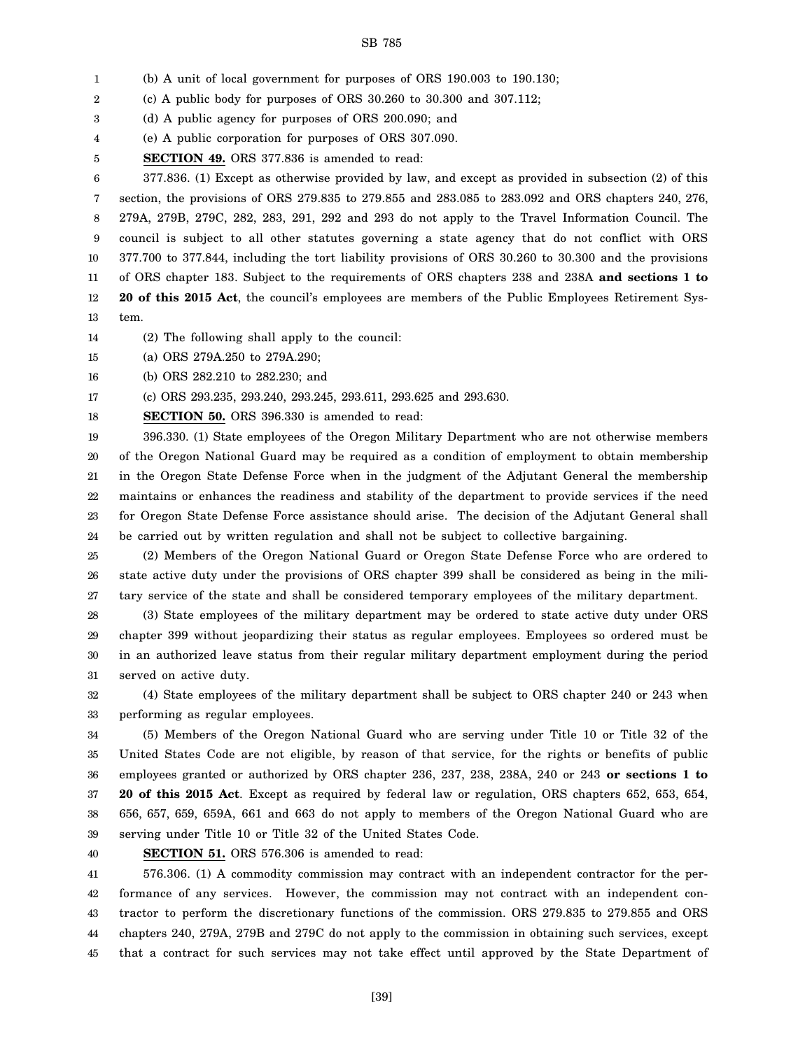1 (b) A unit of local government for purposes of ORS 190.003 to 190.130;

2 (c) A public body for purposes of ORS 30.260 to 30.300 and 307.112;

3 (d) A public agency for purposes of ORS 200.090; and

4 (e) A public corporation for purposes of ORS 307.090.

5 **SECTION 49.** ORS 377.836 is amended to read:

6 7 8 9 10 11 12 13 377.836. (1) Except as otherwise provided by law, and except as provided in subsection (2) of this section, the provisions of ORS 279.835 to 279.855 and 283.085 to 283.092 and ORS chapters 240, 276, 279A, 279B, 279C, 282, 283, 291, 292 and 293 do not apply to the Travel Information Council. The council is subject to all other statutes governing a state agency that do not conflict with ORS 377.700 to 377.844, including the tort liability provisions of ORS 30.260 to 30.300 and the provisions of ORS chapter 183. Subject to the requirements of ORS chapters 238 and 238A **and sections 1 to 20 of this 2015 Act**, the council's employees are members of the Public Employees Retirement System.

- 14 (2) The following shall apply to the council:
- 15 (a) ORS 279A.250 to 279A.290;

16 (b) ORS 282.210 to 282.230; and

17 (c) ORS 293.235, 293.240, 293.245, 293.611, 293.625 and 293.630.

18 **SECTION 50.** ORS 396.330 is amended to read:

19 20 21 22 23 24 396.330. (1) State employees of the Oregon Military Department who are not otherwise members of the Oregon National Guard may be required as a condition of employment to obtain membership in the Oregon State Defense Force when in the judgment of the Adjutant General the membership maintains or enhances the readiness and stability of the department to provide services if the need for Oregon State Defense Force assistance should arise. The decision of the Adjutant General shall be carried out by written regulation and shall not be subject to collective bargaining.

25 26 27 (2) Members of the Oregon National Guard or Oregon State Defense Force who are ordered to state active duty under the provisions of ORS chapter 399 shall be considered as being in the military service of the state and shall be considered temporary employees of the military department.

28 29 30 31 (3) State employees of the military department may be ordered to state active duty under ORS chapter 399 without jeopardizing their status as regular employees. Employees so ordered must be in an authorized leave status from their regular military department employment during the period served on active duty.

32 33 (4) State employees of the military department shall be subject to ORS chapter 240 or 243 when performing as regular employees.

34 35 36 37 38 39 (5) Members of the Oregon National Guard who are serving under Title 10 or Title 32 of the United States Code are not eligible, by reason of that service, for the rights or benefits of public employees granted or authorized by ORS chapter 236, 237, 238, 238A, 240 or 243 **or sections 1 to 20 of this 2015 Act**. Except as required by federal law or regulation, ORS chapters 652, 653, 654, 656, 657, 659, 659A, 661 and 663 do not apply to members of the Oregon National Guard who are serving under Title 10 or Title 32 of the United States Code.

40

**SECTION 51.** ORS 576.306 is amended to read:

41 42 43 44 45 576.306. (1) A commodity commission may contract with an independent contractor for the performance of any services. However, the commission may not contract with an independent contractor to perform the discretionary functions of the commission. ORS 279.835 to 279.855 and ORS chapters 240, 279A, 279B and 279C do not apply to the commission in obtaining such services, except that a contract for such services may not take effect until approved by the State Department of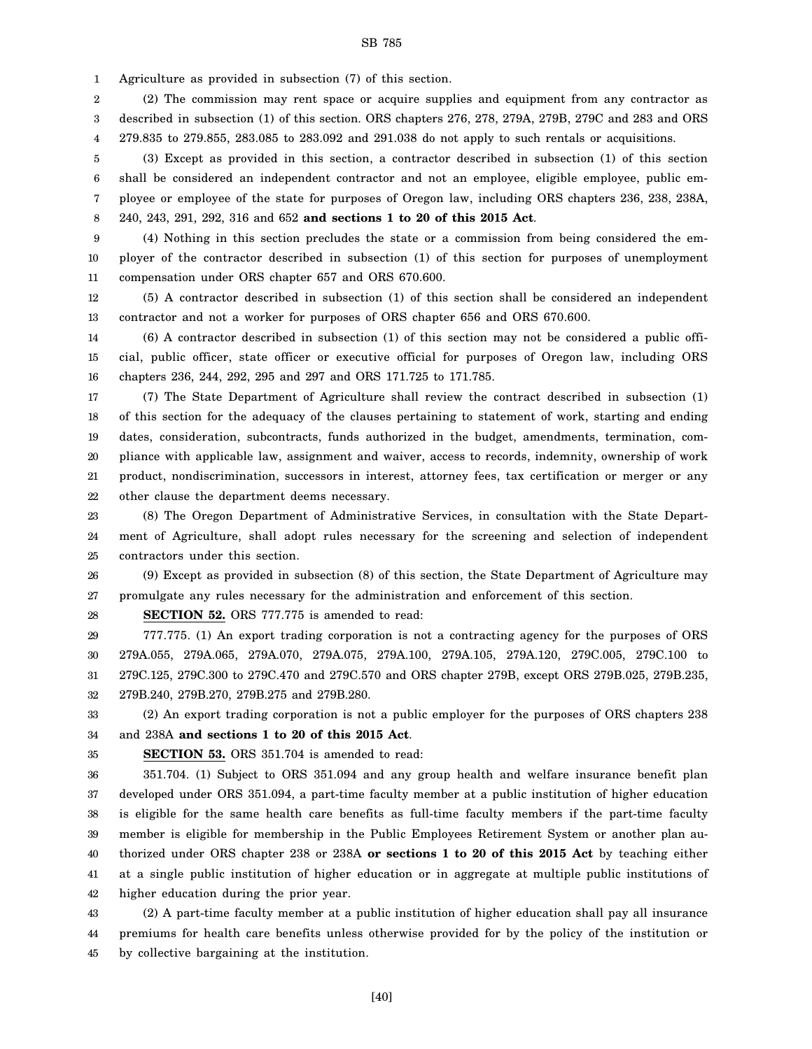1 Agriculture as provided in subsection (7) of this section.

2 3 4 (2) The commission may rent space or acquire supplies and equipment from any contractor as described in subsection (1) of this section. ORS chapters 276, 278, 279A, 279B, 279C and 283 and ORS 279.835 to 279.855, 283.085 to 283.092 and 291.038 do not apply to such rentals or acquisitions.

5 6 7 8 (3) Except as provided in this section, a contractor described in subsection (1) of this section shall be considered an independent contractor and not an employee, eligible employee, public employee or employee of the state for purposes of Oregon law, including ORS chapters 236, 238, 238A, 240, 243, 291, 292, 316 and 652 **and sections 1 to 20 of this 2015 Act**.

9 10 11 (4) Nothing in this section precludes the state or a commission from being considered the employer of the contractor described in subsection (1) of this section for purposes of unemployment compensation under ORS chapter 657 and ORS 670.600.

12 13 (5) A contractor described in subsection (1) of this section shall be considered an independent contractor and not a worker for purposes of ORS chapter 656 and ORS 670.600.

14 15 16 (6) A contractor described in subsection (1) of this section may not be considered a public official, public officer, state officer or executive official for purposes of Oregon law, including ORS chapters 236, 244, 292, 295 and 297 and ORS 171.725 to 171.785.

17 18 19 20 21 22 (7) The State Department of Agriculture shall review the contract described in subsection (1) of this section for the adequacy of the clauses pertaining to statement of work, starting and ending dates, consideration, subcontracts, funds authorized in the budget, amendments, termination, compliance with applicable law, assignment and waiver, access to records, indemnity, ownership of work product, nondiscrimination, successors in interest, attorney fees, tax certification or merger or any other clause the department deems necessary.

23 24 25 (8) The Oregon Department of Administrative Services, in consultation with the State Department of Agriculture, shall adopt rules necessary for the screening and selection of independent contractors under this section.

26 27 (9) Except as provided in subsection (8) of this section, the State Department of Agriculture may promulgate any rules necessary for the administration and enforcement of this section.

28 **SECTION 52.** ORS 777.775 is amended to read:

29 30 31 32 777.775. (1) An export trading corporation is not a contracting agency for the purposes of ORS 279A.055, 279A.065, 279A.070, 279A.075, 279A.100, 279A.105, 279A.120, 279C.005, 279C.100 to 279C.125, 279C.300 to 279C.470 and 279C.570 and ORS chapter 279B, except ORS 279B.025, 279B.235, 279B.240, 279B.270, 279B.275 and 279B.280.

33 34 (2) An export trading corporation is not a public employer for the purposes of ORS chapters 238 and 238A **and sections 1 to 20 of this 2015 Act**.

35

#### **SECTION 53.** ORS 351.704 is amended to read:

36 37 38 39 40 41 42 351.704. (1) Subject to ORS 351.094 and any group health and welfare insurance benefit plan developed under ORS 351.094, a part-time faculty member at a public institution of higher education is eligible for the same health care benefits as full-time faculty members if the part-time faculty member is eligible for membership in the Public Employees Retirement System or another plan authorized under ORS chapter 238 or 238A **or sections 1 to 20 of this 2015 Act** by teaching either at a single public institution of higher education or in aggregate at multiple public institutions of higher education during the prior year.

43 44 45 (2) A part-time faculty member at a public institution of higher education shall pay all insurance premiums for health care benefits unless otherwise provided for by the policy of the institution or by collective bargaining at the institution.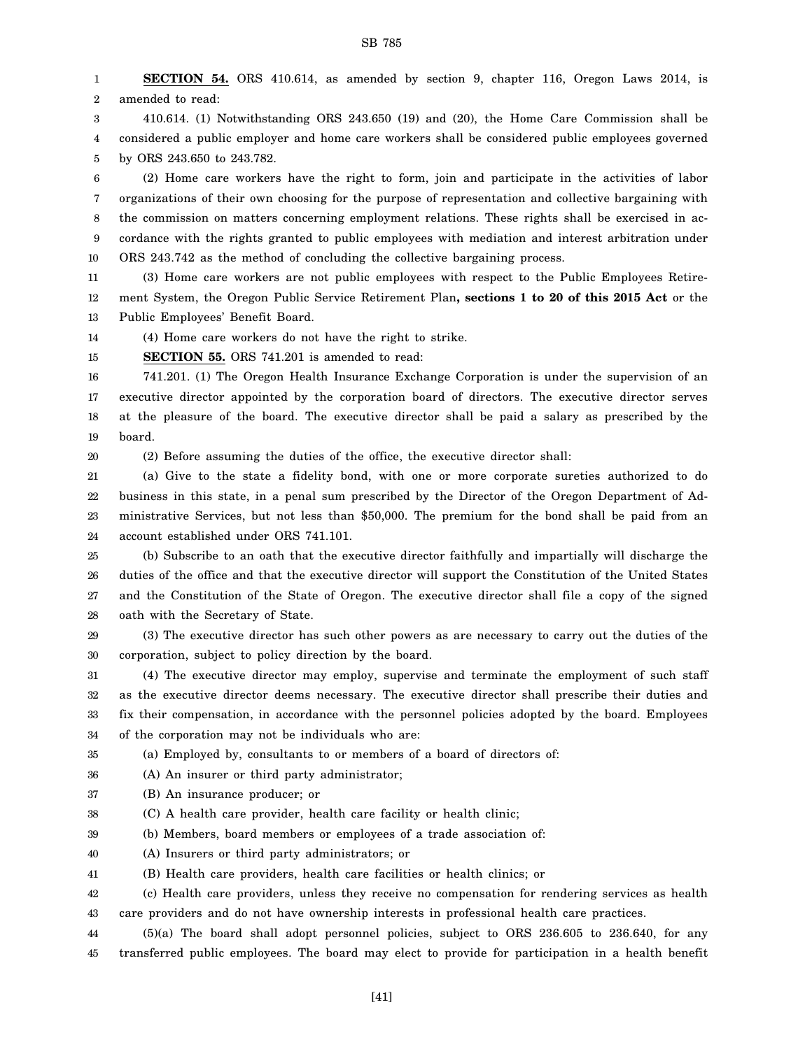1 2 **SECTION 54.** ORS 410.614, as amended by section 9, chapter 116, Oregon Laws 2014, is amended to read:

3 4 5 410.614. (1) Notwithstanding ORS 243.650 (19) and (20), the Home Care Commission shall be considered a public employer and home care workers shall be considered public employees governed by ORS 243.650 to 243.782.

6 7 8 9 10 (2) Home care workers have the right to form, join and participate in the activities of labor organizations of their own choosing for the purpose of representation and collective bargaining with the commission on matters concerning employment relations. These rights shall be exercised in accordance with the rights granted to public employees with mediation and interest arbitration under ORS 243.742 as the method of concluding the collective bargaining process.

11 12 13 (3) Home care workers are not public employees with respect to the Public Employees Retirement System, the Oregon Public Service Retirement Plan**, sections 1 to 20 of this 2015 Act** or the Public Employees' Benefit Board.

14 (4) Home care workers do not have the right to strike.

15 **SECTION 55.** ORS 741.201 is amended to read:

16 17 18 19 741.201. (1) The Oregon Health Insurance Exchange Corporation is under the supervision of an executive director appointed by the corporation board of directors. The executive director serves at the pleasure of the board. The executive director shall be paid a salary as prescribed by the board.

20

(2) Before assuming the duties of the office, the executive director shall:

21 22 23 24 (a) Give to the state a fidelity bond, with one or more corporate sureties authorized to do business in this state, in a penal sum prescribed by the Director of the Oregon Department of Administrative Services, but not less than \$50,000. The premium for the bond shall be paid from an account established under ORS 741.101.

25 26 27 28 (b) Subscribe to an oath that the executive director faithfully and impartially will discharge the duties of the office and that the executive director will support the Constitution of the United States and the Constitution of the State of Oregon. The executive director shall file a copy of the signed oath with the Secretary of State.

29 30 (3) The executive director has such other powers as are necessary to carry out the duties of the corporation, subject to policy direction by the board.

31 32 33 34 (4) The executive director may employ, supervise and terminate the employment of such staff as the executive director deems necessary. The executive director shall prescribe their duties and fix their compensation, in accordance with the personnel policies adopted by the board. Employees of the corporation may not be individuals who are:

35 (a) Employed by, consultants to or members of a board of directors of:

36 (A) An insurer or third party administrator;

37 (B) An insurance producer; or

38 (C) A health care provider, health care facility or health clinic;

39 (b) Members, board members or employees of a trade association of:

- 40 (A) Insurers or third party administrators; or
- 41 (B) Health care providers, health care facilities or health clinics; or

42 43 (c) Health care providers, unless they receive no compensation for rendering services as health care providers and do not have ownership interests in professional health care practices.

44 45 (5)(a) The board shall adopt personnel policies, subject to ORS 236.605 to 236.640, for any transferred public employees. The board may elect to provide for participation in a health benefit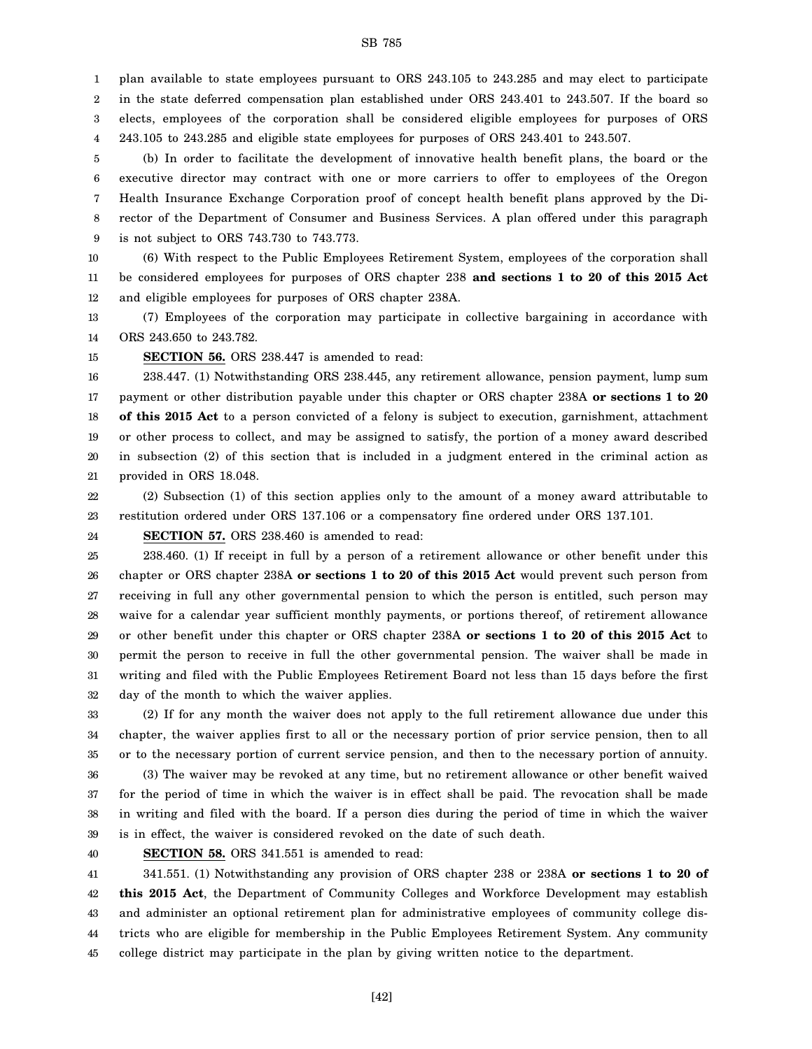1 2 3 4 plan available to state employees pursuant to ORS 243.105 to 243.285 and may elect to participate in the state deferred compensation plan established under ORS 243.401 to 243.507. If the board so elects, employees of the corporation shall be considered eligible employees for purposes of ORS 243.105 to 243.285 and eligible state employees for purposes of ORS 243.401 to 243.507.

5 6 7 8 9 (b) In order to facilitate the development of innovative health benefit plans, the board or the executive director may contract with one or more carriers to offer to employees of the Oregon Health Insurance Exchange Corporation proof of concept health benefit plans approved by the Director of the Department of Consumer and Business Services. A plan offered under this paragraph is not subject to ORS 743.730 to 743.773.

10 11 12 (6) With respect to the Public Employees Retirement System, employees of the corporation shall be considered employees for purposes of ORS chapter 238 **and sections 1 to 20 of this 2015 Act** and eligible employees for purposes of ORS chapter 238A.

13 14 (7) Employees of the corporation may participate in collective bargaining in accordance with ORS 243.650 to 243.782.

15

**SECTION 56.** ORS 238.447 is amended to read:

16 17 18 19 20 21 238.447. (1) Notwithstanding ORS 238.445, any retirement allowance, pension payment, lump sum payment or other distribution payable under this chapter or ORS chapter 238A **or sections 1 to 20 of this 2015 Act** to a person convicted of a felony is subject to execution, garnishment, attachment or other process to collect, and may be assigned to satisfy, the portion of a money award described in subsection (2) of this section that is included in a judgment entered in the criminal action as provided in ORS 18.048.

22 23 (2) Subsection (1) of this section applies only to the amount of a money award attributable to restitution ordered under ORS 137.106 or a compensatory fine ordered under ORS 137.101.

24 **SECTION 57.** ORS 238.460 is amended to read:

25 26 27 28 29 30 31 32 238.460. (1) If receipt in full by a person of a retirement allowance or other benefit under this chapter or ORS chapter 238A **or sections 1 to 20 of this 2015 Act** would prevent such person from receiving in full any other governmental pension to which the person is entitled, such person may waive for a calendar year sufficient monthly payments, or portions thereof, of retirement allowance or other benefit under this chapter or ORS chapter 238A **or sections 1 to 20 of this 2015 Act** to permit the person to receive in full the other governmental pension. The waiver shall be made in writing and filed with the Public Employees Retirement Board not less than 15 days before the first day of the month to which the waiver applies.

33 34 35 (2) If for any month the waiver does not apply to the full retirement allowance due under this chapter, the waiver applies first to all or the necessary portion of prior service pension, then to all or to the necessary portion of current service pension, and then to the necessary portion of annuity.

36 37 38 39 (3) The waiver may be revoked at any time, but no retirement allowance or other benefit waived for the period of time in which the waiver is in effect shall be paid. The revocation shall be made in writing and filed with the board. If a person dies during the period of time in which the waiver is in effect, the waiver is considered revoked on the date of such death.

40

**SECTION 58.** ORS 341.551 is amended to read:

41 42 43 44 45 341.551. (1) Notwithstanding any provision of ORS chapter 238 or 238A **or sections 1 to 20 of this 2015 Act**, the Department of Community Colleges and Workforce Development may establish and administer an optional retirement plan for administrative employees of community college districts who are eligible for membership in the Public Employees Retirement System. Any community college district may participate in the plan by giving written notice to the department.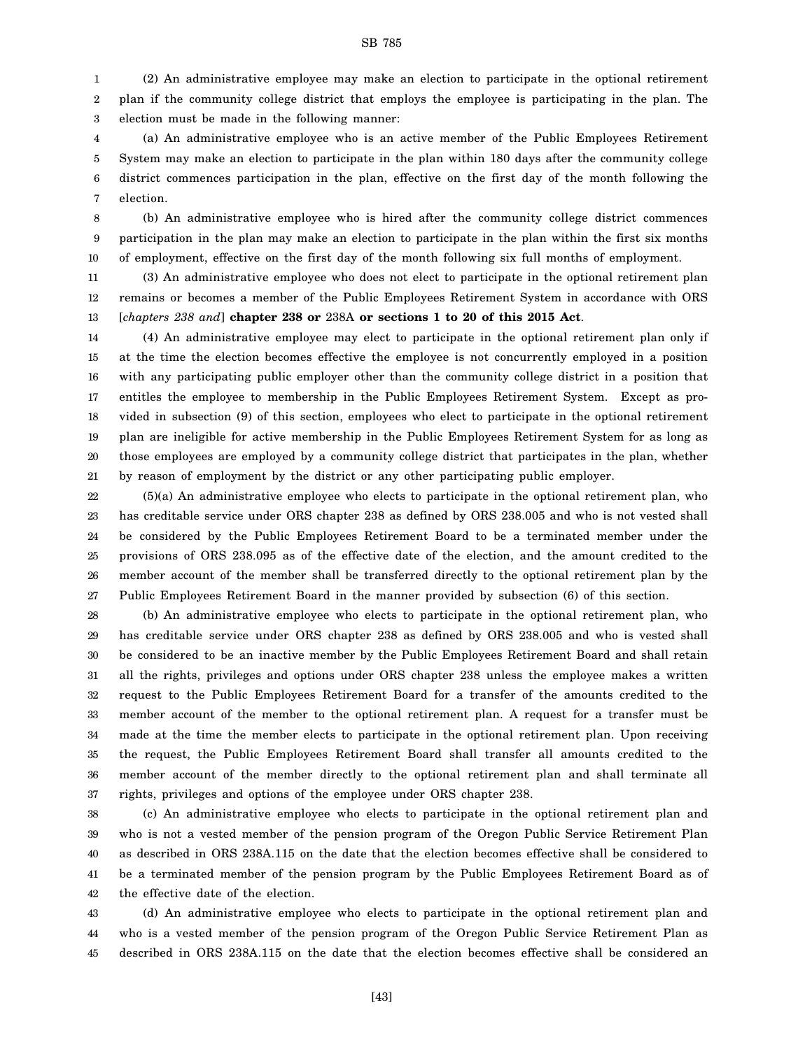1 2 3 (2) An administrative employee may make an election to participate in the optional retirement plan if the community college district that employs the employee is participating in the plan. The election must be made in the following manner:

4 5 6 7 (a) An administrative employee who is an active member of the Public Employees Retirement System may make an election to participate in the plan within 180 days after the community college district commences participation in the plan, effective on the first day of the month following the election.

8 9 10 (b) An administrative employee who is hired after the community college district commences participation in the plan may make an election to participate in the plan within the first six months of employment, effective on the first day of the month following six full months of employment.

11 12 13 (3) An administrative employee who does not elect to participate in the optional retirement plan remains or becomes a member of the Public Employees Retirement System in accordance with ORS [*chapters 238 and*] **chapter 238 or** 238A **or sections 1 to 20 of this 2015 Act**.

14 15 16 17 18 19 20 21 (4) An administrative employee may elect to participate in the optional retirement plan only if at the time the election becomes effective the employee is not concurrently employed in a position with any participating public employer other than the community college district in a position that entitles the employee to membership in the Public Employees Retirement System. Except as provided in subsection (9) of this section, employees who elect to participate in the optional retirement plan are ineligible for active membership in the Public Employees Retirement System for as long as those employees are employed by a community college district that participates in the plan, whether by reason of employment by the district or any other participating public employer.

22 23 24 25 26 27 (5)(a) An administrative employee who elects to participate in the optional retirement plan, who has creditable service under ORS chapter 238 as defined by ORS 238.005 and who is not vested shall be considered by the Public Employees Retirement Board to be a terminated member under the provisions of ORS 238.095 as of the effective date of the election, and the amount credited to the member account of the member shall be transferred directly to the optional retirement plan by the Public Employees Retirement Board in the manner provided by subsection (6) of this section.

28 29 30 31 32 33 34 35 36 37 (b) An administrative employee who elects to participate in the optional retirement plan, who has creditable service under ORS chapter 238 as defined by ORS 238.005 and who is vested shall be considered to be an inactive member by the Public Employees Retirement Board and shall retain all the rights, privileges and options under ORS chapter 238 unless the employee makes a written request to the Public Employees Retirement Board for a transfer of the amounts credited to the member account of the member to the optional retirement plan. A request for a transfer must be made at the time the member elects to participate in the optional retirement plan. Upon receiving the request, the Public Employees Retirement Board shall transfer all amounts credited to the member account of the member directly to the optional retirement plan and shall terminate all rights, privileges and options of the employee under ORS chapter 238.

38 39 40 41 42 (c) An administrative employee who elects to participate in the optional retirement plan and who is not a vested member of the pension program of the Oregon Public Service Retirement Plan as described in ORS 238A.115 on the date that the election becomes effective shall be considered to be a terminated member of the pension program by the Public Employees Retirement Board as of the effective date of the election.

43 44 45 (d) An administrative employee who elects to participate in the optional retirement plan and who is a vested member of the pension program of the Oregon Public Service Retirement Plan as described in ORS 238A.115 on the date that the election becomes effective shall be considered an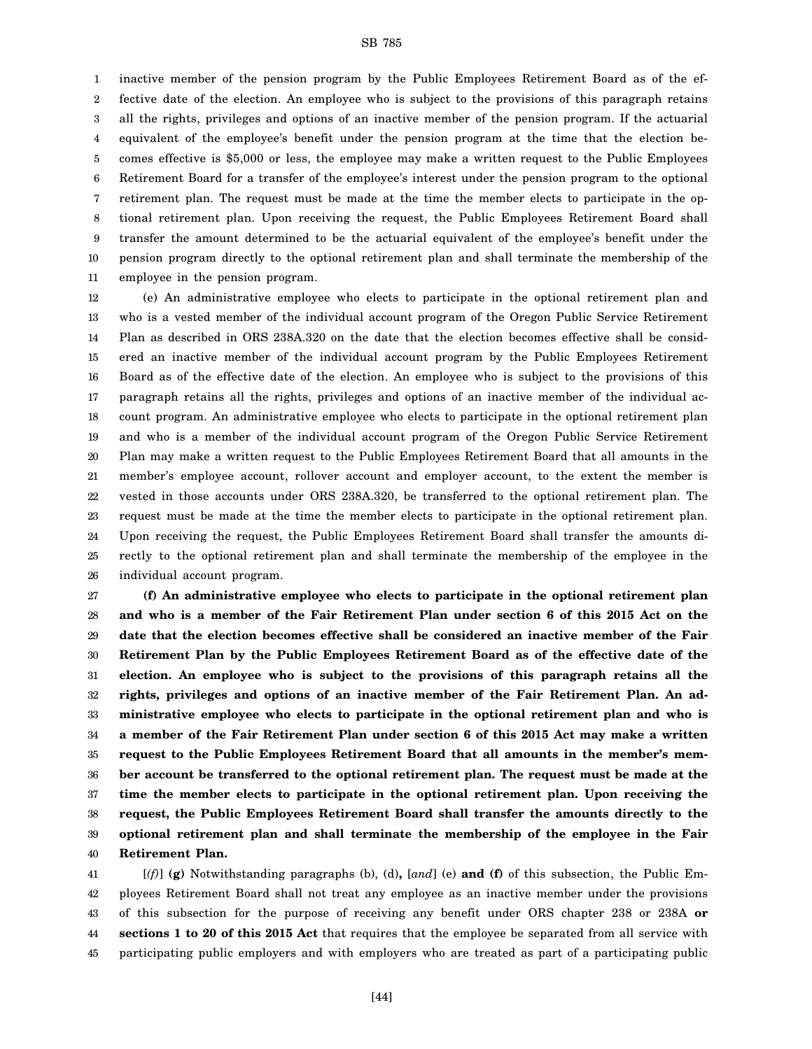1 2 3 4 5 6 7 8 9 10 11 inactive member of the pension program by the Public Employees Retirement Board as of the effective date of the election. An employee who is subject to the provisions of this paragraph retains all the rights, privileges and options of an inactive member of the pension program. If the actuarial equivalent of the employee's benefit under the pension program at the time that the election becomes effective is \$5,000 or less, the employee may make a written request to the Public Employees Retirement Board for a transfer of the employee's interest under the pension program to the optional retirement plan. The request must be made at the time the member elects to participate in the optional retirement plan. Upon receiving the request, the Public Employees Retirement Board shall transfer the amount determined to be the actuarial equivalent of the employee's benefit under the pension program directly to the optional retirement plan and shall terminate the membership of the employee in the pension program.

12 13 14 15 16 17 18 19 20 21 22 23 24 25 26 (e) An administrative employee who elects to participate in the optional retirement plan and who is a vested member of the individual account program of the Oregon Public Service Retirement Plan as described in ORS 238A.320 on the date that the election becomes effective shall be considered an inactive member of the individual account program by the Public Employees Retirement Board as of the effective date of the election. An employee who is subject to the provisions of this paragraph retains all the rights, privileges and options of an inactive member of the individual account program. An administrative employee who elects to participate in the optional retirement plan and who is a member of the individual account program of the Oregon Public Service Retirement Plan may make a written request to the Public Employees Retirement Board that all amounts in the member's employee account, rollover account and employer account, to the extent the member is vested in those accounts under ORS 238A.320, be transferred to the optional retirement plan. The request must be made at the time the member elects to participate in the optional retirement plan. Upon receiving the request, the Public Employees Retirement Board shall transfer the amounts directly to the optional retirement plan and shall terminate the membership of the employee in the individual account program.

27 28 29 30 31 32 33 34 35 36 37 38 39 40 **(f) An administrative employee who elects to participate in the optional retirement plan and who is a member of the Fair Retirement Plan under section 6 of this 2015 Act on the date that the election becomes effective shall be considered an inactive member of the Fair Retirement Plan by the Public Employees Retirement Board as of the effective date of the election. An employee who is subject to the provisions of this paragraph retains all the rights, privileges and options of an inactive member of the Fair Retirement Plan. An administrative employee who elects to participate in the optional retirement plan and who is a member of the Fair Retirement Plan under section 6 of this 2015 Act may make a written request to the Public Employees Retirement Board that all amounts in the member's member account be transferred to the optional retirement plan. The request must be made at the time the member elects to participate in the optional retirement plan. Upon receiving the request, the Public Employees Retirement Board shall transfer the amounts directly to the optional retirement plan and shall terminate the membership of the employee in the Fair Retirement Plan.**

41 42 43 44 45 [*(f)*] **(g)** Notwithstanding paragraphs (b), (d)**,** [*and*] (e) **and (f)** of this subsection, the Public Employees Retirement Board shall not treat any employee as an inactive member under the provisions of this subsection for the purpose of receiving any benefit under ORS chapter 238 or 238A **or sections 1 to 20 of this 2015 Act** that requires that the employee be separated from all service with participating public employers and with employers who are treated as part of a participating public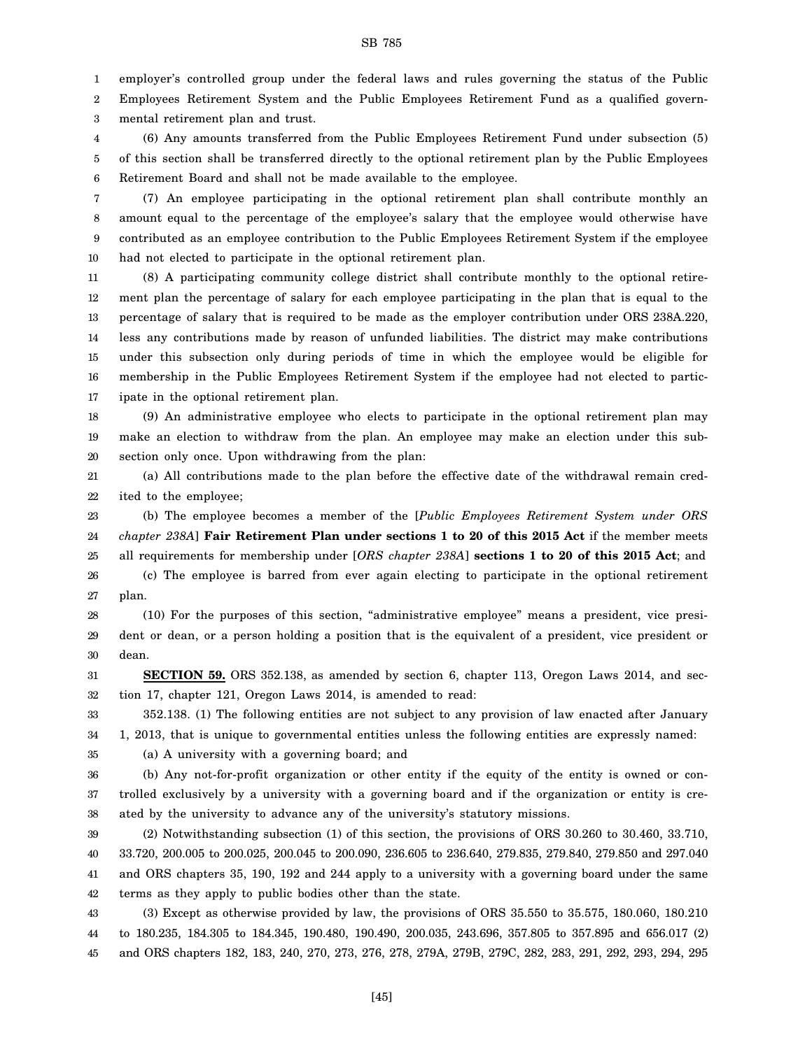1 employer's controlled group under the federal laws and rules governing the status of the Public

2 3 Employees Retirement System and the Public Employees Retirement Fund as a qualified governmental retirement plan and trust.

4 5 6 (6) Any amounts transferred from the Public Employees Retirement Fund under subsection (5) of this section shall be transferred directly to the optional retirement plan by the Public Employees Retirement Board and shall not be made available to the employee.

7 8 9 10 (7) An employee participating in the optional retirement plan shall contribute monthly an amount equal to the percentage of the employee's salary that the employee would otherwise have contributed as an employee contribution to the Public Employees Retirement System if the employee had not elected to participate in the optional retirement plan.

11 12 13 14 15 16 17 (8) A participating community college district shall contribute monthly to the optional retirement plan the percentage of salary for each employee participating in the plan that is equal to the percentage of salary that is required to be made as the employer contribution under ORS 238A.220, less any contributions made by reason of unfunded liabilities. The district may make contributions under this subsection only during periods of time in which the employee would be eligible for membership in the Public Employees Retirement System if the employee had not elected to participate in the optional retirement plan.

18 19 20 (9) An administrative employee who elects to participate in the optional retirement plan may make an election to withdraw from the plan. An employee may make an election under this subsection only once. Upon withdrawing from the plan:

21 22 (a) All contributions made to the plan before the effective date of the withdrawal remain credited to the employee;

23 24 25 26 (b) The employee becomes a member of the [*Public Employees Retirement System under ORS chapter 238A*] **Fair Retirement Plan under sections 1 to 20 of this 2015 Act** if the member meets all requirements for membership under [*ORS chapter 238A*] **sections 1 to 20 of this 2015 Act**; and (c) The employee is barred from ever again electing to participate in the optional retirement

27 28 29 plan. (10) For the purposes of this section, "administrative employee" means a president, vice president or dean, or a person holding a position that is the equivalent of a president, vice president or

31 32 **SECTION 59.** ORS 352.138, as amended by section 6, chapter 113, Oregon Laws 2014, and section 17, chapter 121, Oregon Laws 2014, is amended to read:

33 352.138. (1) The following entities are not subject to any provision of law enacted after January

34 1, 2013, that is unique to governmental entities unless the following entities are expressly named:

35

30

dean.

(a) A university with a governing board; and

36 37 38 (b) Any not-for-profit organization or other entity if the equity of the entity is owned or controlled exclusively by a university with a governing board and if the organization or entity is created by the university to advance any of the university's statutory missions.

39 40 41 42 (2) Notwithstanding subsection (1) of this section, the provisions of ORS 30.260 to 30.460, 33.710, 33.720, 200.005 to 200.025, 200.045 to 200.090, 236.605 to 236.640, 279.835, 279.840, 279.850 and 297.040 and ORS chapters 35, 190, 192 and 244 apply to a university with a governing board under the same terms as they apply to public bodies other than the state.

43 44 45 (3) Except as otherwise provided by law, the provisions of ORS 35.550 to 35.575, 180.060, 180.210 to 180.235, 184.305 to 184.345, 190.480, 190.490, 200.035, 243.696, 357.805 to 357.895 and 656.017 (2) and ORS chapters 182, 183, 240, 270, 273, 276, 278, 279A, 279B, 279C, 282, 283, 291, 292, 293, 294, 295

[45]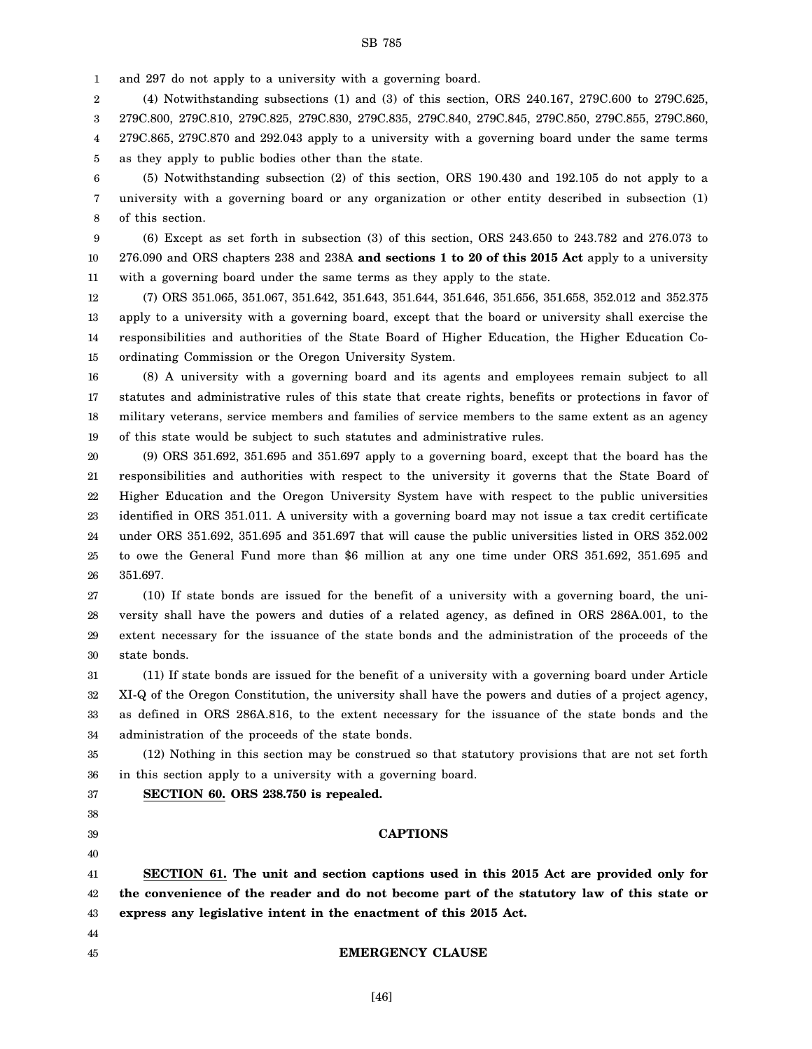1 and 297 do not apply to a university with a governing board.

2 3 4 5 (4) Notwithstanding subsections (1) and (3) of this section, ORS 240.167, 279C.600 to 279C.625, 279C.800, 279C.810, 279C.825, 279C.830, 279C.835, 279C.840, 279C.845, 279C.850, 279C.855, 279C.860, 279C.865, 279C.870 and 292.043 apply to a university with a governing board under the same terms as they apply to public bodies other than the state.

6 7 8 (5) Notwithstanding subsection (2) of this section, ORS 190.430 and 192.105 do not apply to a university with a governing board or any organization or other entity described in subsection (1) of this section.

9 10 11 (6) Except as set forth in subsection (3) of this section, ORS 243.650 to 243.782 and 276.073 to 276.090 and ORS chapters 238 and 238A **and sections 1 to 20 of this 2015 Act** apply to a university with a governing board under the same terms as they apply to the state.

12 13 14 15 (7) ORS 351.065, 351.067, 351.642, 351.643, 351.644, 351.646, 351.656, 351.658, 352.012 and 352.375 apply to a university with a governing board, except that the board or university shall exercise the responsibilities and authorities of the State Board of Higher Education, the Higher Education Coordinating Commission or the Oregon University System.

16 17 18 19 (8) A university with a governing board and its agents and employees remain subject to all statutes and administrative rules of this state that create rights, benefits or protections in favor of military veterans, service members and families of service members to the same extent as an agency of this state would be subject to such statutes and administrative rules.

20 21 22 23 24 25 26 (9) ORS 351.692, 351.695 and 351.697 apply to a governing board, except that the board has the responsibilities and authorities with respect to the university it governs that the State Board of Higher Education and the Oregon University System have with respect to the public universities identified in ORS 351.011. A university with a governing board may not issue a tax credit certificate under ORS 351.692, 351.695 and 351.697 that will cause the public universities listed in ORS 352.002 to owe the General Fund more than \$6 million at any one time under ORS 351.692, 351.695 and 351.697.

27 28 29 30 (10) If state bonds are issued for the benefit of a university with a governing board, the university shall have the powers and duties of a related agency, as defined in ORS 286A.001, to the extent necessary for the issuance of the state bonds and the administration of the proceeds of the state bonds.

31 32 33 34 (11) If state bonds are issued for the benefit of a university with a governing board under Article XI-Q of the Oregon Constitution, the university shall have the powers and duties of a project agency, as defined in ORS 286A.816, to the extent necessary for the issuance of the state bonds and the administration of the proceeds of the state bonds.

35 36 (12) Nothing in this section may be construed so that statutory provisions that are not set forth in this section apply to a university with a governing board.

**SECTION 60. ORS 238.750 is repealed.**

## 37

#### 38 39

### 40

44 45

#### **CAPTIONS**

41 42 43 **SECTION 61. The unit and section captions used in this 2015 Act are provided only for the convenience of the reader and do not become part of the statutory law of this state or express any legislative intent in the enactment of this 2015 Act.**

#### **EMERGENCY CLAUSE**